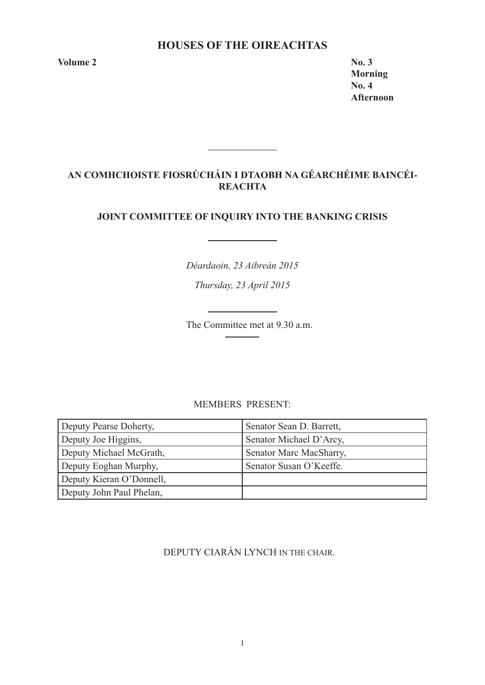# **HOUSES OF THE OIREACHTAS**

**Volume 2 No. 3** 

**Morning No. 4 Afternoon**

# **AN COMHCHOISTE FIOSRÚCHÁIN I DTAOBH NA GÉARCHÉIME BAINCÉI-REACHTA**

the control of the control of the

## **JOINT COMMITTEE OF INQUIRY INTO THE BANKING CRISIS**

*Déardaoin, 23 Aibreán 2015*

*Thursday, 23 April 2015*

The Committee met at 9.30 a.m.

## MEMBERS PRESENT:

| Deputy Pearse Doherty,   | Senator Sean D. Barrett, |
|--------------------------|--------------------------|
| Deputy Joe Higgins,      | Senator Michael D'Arcy,  |
| Deputy Michael McGrath,  | Senator Marc MacSharry,  |
| Deputy Eoghan Murphy,    | Senator Susan O'Keeffe.  |
| Deputy Kieran O'Donnell, |                          |
| Deputy John Paul Phelan, |                          |

DEPUTY CIARÁN LYNCH IN THE CHAIR.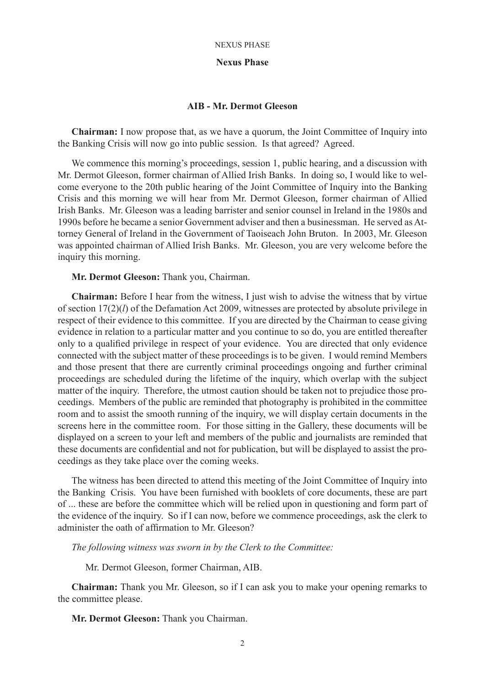### **Nexus Phase**

### **AIB - Mr. Dermot Gleeson**

**Chairman:** I now propose that, as we have a quorum, the Joint Committee of Inquiry into the Banking Crisis will now go into public session. Is that agreed? Agreed.

We commence this morning's proceedings, session 1, public hearing, and a discussion with Mr. Dermot Gleeson, former chairman of Allied Irish Banks. In doing so, I would like to welcome everyone to the 20th public hearing of the Joint Committee of Inquiry into the Banking Crisis and this morning we will hear from Mr. Dermot Gleeson, former chairman of Allied Irish Banks. Mr. Gleeson was a leading barrister and senior counsel in Ireland in the 1980s and 1990s before he became a senior Government adviser and then a businessman. He served as Attorney General of Ireland in the Government of Taoiseach John Bruton. In 2003, Mr. Gleeson was appointed chairman of Allied Irish Banks. Mr. Gleeson, you are very welcome before the inquiry this morning.

### **Mr. Dermot Gleeson:** Thank you, Chairman.

**Chairman:** Before I hear from the witness, I just wish to advise the witness that by virtue of section 17(2)(*l*) of the Defamation Act 2009, witnesses are protected by absolute privilege in respect of their evidence to this committee. If you are directed by the Chairman to cease giving evidence in relation to a particular matter and you continue to so do, you are entitled thereafter only to a qualified privilege in respect of your evidence. You are directed that only evidence connected with the subject matter of these proceedings is to be given. I would remind Members and those present that there are currently criminal proceedings ongoing and further criminal proceedings are scheduled during the lifetime of the inquiry, which overlap with the subject matter of the inquiry. Therefore, the utmost caution should be taken not to prejudice those proceedings. Members of the public are reminded that photography is prohibited in the committee room and to assist the smooth running of the inquiry, we will display certain documents in the screens here in the committee room. For those sitting in the Gallery, these documents will be displayed on a screen to your left and members of the public and journalists are reminded that these documents are confidential and not for publication, but will be displayed to assist the proceedings as they take place over the coming weeks.

The witness has been directed to attend this meeting of the Joint Committee of Inquiry into the Banking Crisis. You have been furnished with booklets of core documents, these are part of ... these are before the committee which will be relied upon in questioning and form part of the evidence of the inquiry. So if I can now, before we commence proceedings, ask the clerk to administer the oath of affirmation to Mr. Gleeson?

*The following witness was sworn in by the Clerk to the Committee:*

Mr. Dermot Gleeson, former Chairman, AIB.

**Chairman:** Thank you Mr. Gleeson, so if I can ask you to make your opening remarks to the committee please.

**Mr. Dermot Gleeson:** Thank you Chairman.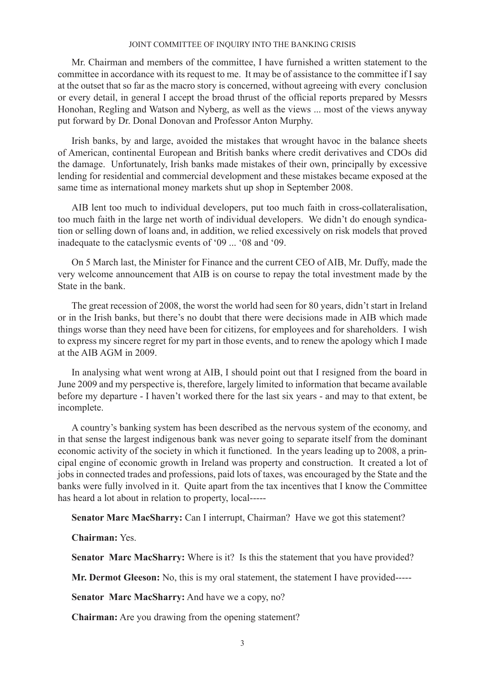Mr. Chairman and members of the committee, I have furnished a written statement to the committee in accordance with its request to me. It may be of assistance to the committee if I say at the outset that so far as the macro story is concerned, without agreeing with every conclusion or every detail, in general I accept the broad thrust of the official reports prepared by Messrs Honohan, Regling and Watson and Nyberg, as well as the views ... most of the views anyway put forward by Dr. Donal Donovan and Professor Anton Murphy.

Irish banks, by and large, avoided the mistakes that wrought havoc in the balance sheets of American, continental European and British banks where credit derivatives and CDOs did the damage. Unfortunately, Irish banks made mistakes of their own, principally by excessive lending for residential and commercial development and these mistakes became exposed at the same time as international money markets shut up shop in September 2008.

AIB lent too much to individual developers, put too much faith in cross-collateralisation, too much faith in the large net worth of individual developers. We didn't do enough syndication or selling down of loans and, in addition, we relied excessively on risk models that proved inadequate to the cataclysmic events of '09 ... '08 and '09.

On 5 March last, the Minister for Finance and the current CEO of AIB, Mr. Duffy, made the very welcome announcement that AIB is on course to repay the total investment made by the State in the bank.

The great recession of 2008, the worst the world had seen for 80 years, didn't start in Ireland or in the Irish banks, but there's no doubt that there were decisions made in AIB which made things worse than they need have been for citizens, for employees and for shareholders. I wish to express my sincere regret for my part in those events, and to renew the apology which I made at the AIB AGM in 2009.

In analysing what went wrong at AIB, I should point out that I resigned from the board in June 2009 and my perspective is, therefore, largely limited to information that became available before my departure - I haven't worked there for the last six years - and may to that extent, be incomplete.

A country's banking system has been described as the nervous system of the economy, and in that sense the largest indigenous bank was never going to separate itself from the dominant economic activity of the society in which it functioned. In the years leading up to 2008, a principal engine of economic growth in Ireland was property and construction. It created a lot of jobs in connected trades and professions, paid lots of taxes, was encouraged by the State and the banks were fully involved in it. Quite apart from the tax incentives that I know the Committee has heard a lot about in relation to property, local-----

**Senator Marc MacSharry:** Can I interrupt, Chairman? Have we got this statement?

**Chairman:** Yes.

**Senator Marc MacSharry:** Where is it? Is this the statement that you have provided?

**Mr. Dermot Gleeson:** No, this is my oral statement, the statement I have provided-----

**Senator Marc MacSharry:** And have we a copy, no?

**Chairman:** Are you drawing from the opening statement?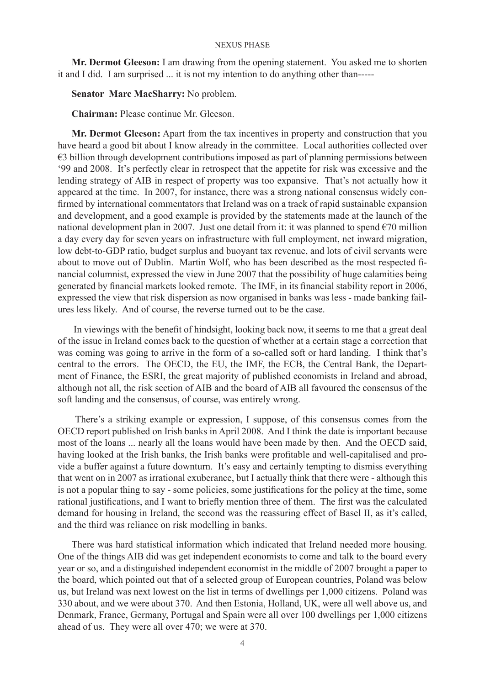**Mr. Dermot Gleeson:** I am drawing from the opening statement. You asked me to shorten it and I did. I am surprised ... it is not my intention to do anything other than-----

**Senator Marc MacSharry:** No problem.

**Chairman:** Please continue Mr. Gleeson.

**Mr. Dermot Gleeson:** Apart from the tax incentives in property and construction that you have heard a good bit about I know already in the committee. Local authorities collected over  $\epsilon$ 3 billion through development contributions imposed as part of planning permissions between '99 and 2008. It's perfectly clear in retrospect that the appetite for risk was excessive and the lending strategy of AIB in respect of property was too expansive. That's not actually how it appeared at the time. In 2007, for instance, there was a strong national consensus widely confirmed by international commentators that Ireland was on a track of rapid sustainable expansion and development, and a good example is provided by the statements made at the launch of the national development plan in 2007. Just one detail from it: it was planned to spend  $\epsilon$ 70 million a day every day for seven years on infrastructure with full employment, net inward migration, low debt-to-GDP ratio, budget surplus and buoyant tax revenue, and lots of civil servants were about to move out of Dublin. Martin Wolf, who has been described as the most respected financial columnist, expressed the view in June 2007 that the possibility of huge calamities being generated by financial markets looked remote. The IMF, in its financial stability report in 2006, expressed the view that risk dispersion as now organised in banks was less - made banking failures less likely. And of course, the reverse turned out to be the case.

 In viewings with the benefit of hindsight, looking back now, it seems to me that a great deal of the issue in Ireland comes back to the question of whether at a certain stage a correction that was coming was going to arrive in the form of a so-called soft or hard landing. I think that's central to the errors. The OECD, the EU, the IMF, the ECB, the Central Bank, the Department of Finance, the ESRI, the great majority of published economists in Ireland and abroad, although not all, the risk section of AIB and the board of AIB all favoured the consensus of the soft landing and the consensus, of course, was entirely wrong.

 There's a striking example or expression, I suppose, of this consensus comes from the OECD report published on Irish banks in April 2008. And I think the date is important because most of the loans ... nearly all the loans would have been made by then. And the OECD said, having looked at the Irish banks, the Irish banks were profitable and well-capitalised and provide a buffer against a future downturn. It's easy and certainly tempting to dismiss everything that went on in 2007 as irrational exuberance, but I actually think that there were - although this is not a popular thing to say - some policies, some justifications for the policy at the time, some rational justifications, and I want to briefly mention three of them. The first was the calculated demand for housing in Ireland, the second was the reassuring effect of Basel II, as it's called, and the third was reliance on risk modelling in banks.

There was hard statistical information which indicated that Ireland needed more housing. One of the things AIB did was get independent economists to come and talk to the board every year or so, and a distinguished independent economist in the middle of 2007 brought a paper to the board, which pointed out that of a selected group of European countries, Poland was below us, but Ireland was next lowest on the list in terms of dwellings per 1,000 citizens. Poland was 330 about, and we were about 370. And then Estonia, Holland, UK, were all well above us, and Denmark, France, Germany, Portugal and Spain were all over 100 dwellings per 1,000 citizens ahead of us. They were all over 470; we were at 370.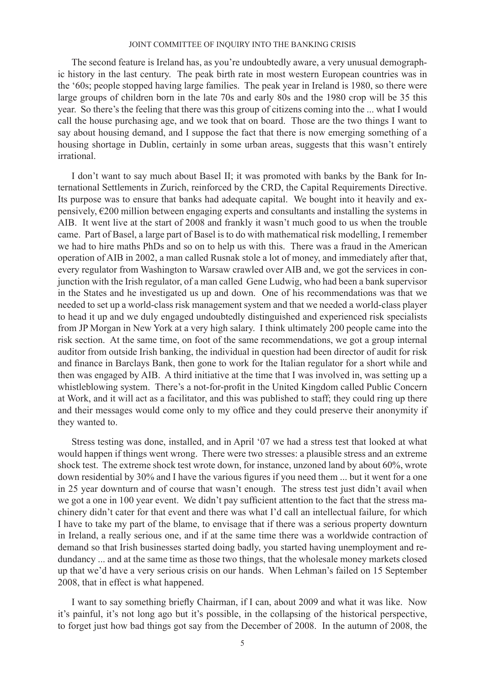The second feature is Ireland has, as you're undoubtedly aware, a very unusual demographic history in the last century. The peak birth rate in most western European countries was in the '60s; people stopped having large families. The peak year in Ireland is 1980, so there were large groups of children born in the late 70s and early 80s and the 1980 crop will be 35 this year. So there's the feeling that there was this group of citizens coming into the ... what I would call the house purchasing age, and we took that on board. Those are the two things I want to say about housing demand, and I suppose the fact that there is now emerging something of a housing shortage in Dublin, certainly in some urban areas, suggests that this wasn't entirely irrational.

I don't want to say much about Basel II; it was promoted with banks by the Bank for International Settlements in Zurich, reinforced by the CRD, the Capital Requirements Directive. Its purpose was to ensure that banks had adequate capital. We bought into it heavily and expensively, €200 million between engaging experts and consultants and installing the systems in AIB. It went live at the start of 2008 and frankly it wasn't much good to us when the trouble came. Part of Basel, a large part of Basel is to do with mathematical risk modelling, I remember we had to hire maths PhDs and so on to help us with this. There was a fraud in the American operation of AIB in 2002, a man called Rusnak stole a lot of money, and immediately after that, every regulator from Washington to Warsaw crawled over AIB and, we got the services in conjunction with the Irish regulator, of a man called Gene Ludwig, who had been a bank supervisor in the States and he investigated us up and down. One of his recommendations was that we needed to set up a world-class risk management system and that we needed a world-class player to head it up and we duly engaged undoubtedly distinguished and experienced risk specialists from JP Morgan in New York at a very high salary. I think ultimately 200 people came into the risk section. At the same time, on foot of the same recommendations, we got a group internal auditor from outside Irish banking, the individual in question had been director of audit for risk and finance in Barclays Bank, then gone to work for the Italian regulator for a short while and then was engaged by AIB. A third initiative at the time that I was involved in, was setting up a whistleblowing system. There's a not-for-profit in the United Kingdom called Public Concern at Work, and it will act as a facilitator, and this was published to staff; they could ring up there and their messages would come only to my office and they could preserve their anonymity if they wanted to.

Stress testing was done, installed, and in April '07 we had a stress test that looked at what would happen if things went wrong. There were two stresses: a plausible stress and an extreme shock test. The extreme shock test wrote down, for instance, unzoned land by about 60%, wrote down residential by 30% and I have the various figures if you need them ... but it went for a one in 25 year downturn and of course that wasn't enough. The stress test just didn't avail when we got a one in 100 year event. We didn't pay sufficient attention to the fact that the stress machinery didn't cater for that event and there was what I'd call an intellectual failure, for which I have to take my part of the blame, to envisage that if there was a serious property downturn in Ireland, a really serious one, and if at the same time there was a worldwide contraction of demand so that Irish businesses started doing badly, you started having unemployment and redundancy ... and at the same time as those two things, that the wholesale money markets closed up that we'd have a very serious crisis on our hands. When Lehman's failed on 15 September 2008, that in effect is what happened.

I want to say something briefly Chairman, if I can, about 2009 and what it was like. Now it's painful, it's not long ago but it's possible, in the collapsing of the historical perspective, to forget just how bad things got say from the December of 2008. In the autumn of 2008, the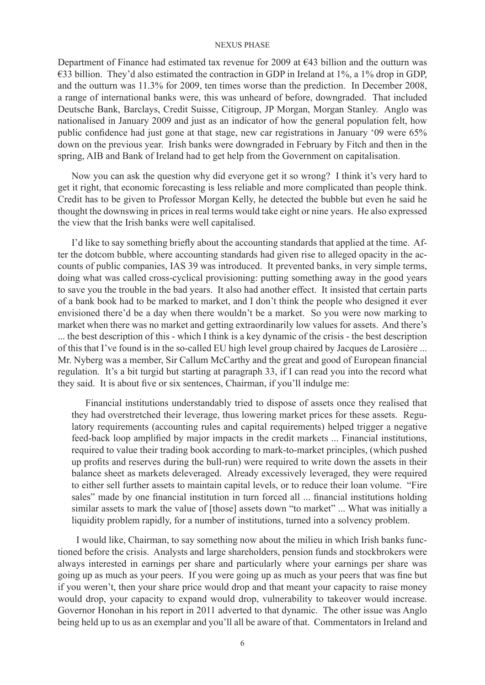Department of Finance had estimated tax revenue for 2009 at €43 billion and the outturn was €33 billion. They'd also estimated the contraction in GDP in Ireland at 1%, a 1% drop in GDP, and the outturn was 11.3% for 2009, ten times worse than the prediction. In December 2008, a range of international banks were, this was unheard of before, downgraded. That included Deutsche Bank, Barclays, Credit Suisse, Citigroup, JP Morgan, Morgan Stanley. Anglo was nationalised in January 2009 and just as an indicator of how the general population felt, how public confidence had just gone at that stage, new car registrations in January '09 were 65% down on the previous year. Irish banks were downgraded in February by Fitch and then in the spring, AIB and Bank of Ireland had to get help from the Government on capitalisation.

Now you can ask the question why did everyone get it so wrong? I think it's very hard to get it right, that economic forecasting is less reliable and more complicated than people think. Credit has to be given to Professor Morgan Kelly, he detected the bubble but even he said he thought the downswing in prices in real terms would take eight or nine years. He also expressed the view that the Irish banks were well capitalised.

I'd like to say something briefly about the accounting standards that applied at the time. After the dotcom bubble, where accounting standards had given rise to alleged opacity in the accounts of public companies, IAS 39 was introduced. It prevented banks, in very simple terms, doing what was called cross-cyclical provisioning: putting something away in the good years to save you the trouble in the bad years. It also had another effect. It insisted that certain parts of a bank book had to be marked to market, and I don't think the people who designed it ever envisioned there'd be a day when there wouldn't be a market. So you were now marking to market when there was no market and getting extraordinarily low values for assets. And there's ... the best description of this - which I think is a key dynamic of the crisis - the best description of this that I've found is in the so-called EU high level group chaired by Jacques de Larosière ... Mr. Nyberg was a member, Sir Callum McCarthy and the great and good of European financial regulation. It's a bit turgid but starting at paragraph 33, if I can read you into the record what they said. It is about five or six sentences, Chairman, if you'll indulge me:

Financial institutions understandably tried to dispose of assets once they realised that they had overstretched their leverage, thus lowering market prices for these assets. Regulatory requirements (accounting rules and capital requirements) helped trigger a negative feed-back loop amplified by major impacts in the credit markets ... Financial institutions, required to value their trading book according to mark-to-market principles, (which pushed up profits and reserves during the bull-run) were required to write down the assets in their balance sheet as markets deleveraged. Already excessively leveraged, they were required to either sell further assets to maintain capital levels, or to reduce their loan volume. "Fire sales" made by one financial institution in turn forced all ... financial institutions holding similar assets to mark the value of [those] assets down "to market" ... What was initially a liquidity problem rapidly, for a number of institutions, turned into a solvency problem.

 I would like, Chairman, to say something now about the milieu in which Irish banks functioned before the crisis. Analysts and large shareholders, pension funds and stockbrokers were always interested in earnings per share and particularly where your earnings per share was going up as much as your peers. If you were going up as much as your peers that was fine but if you weren't, then your share price would drop and that meant your capacity to raise money would drop, your capacity to expand would drop, vulnerability to takeover would increase. Governor Honohan in his report in 2011 adverted to that dynamic. The other issue was Anglo being held up to us as an exemplar and you'll all be aware of that. Commentators in Ireland and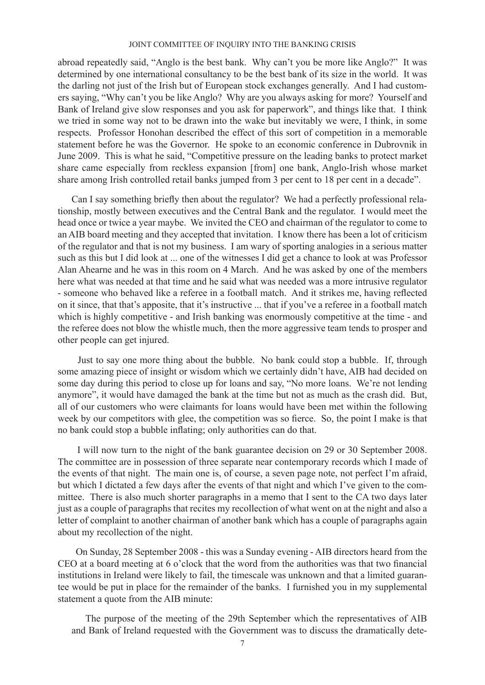abroad repeatedly said, "Anglo is the best bank. Why can't you be more like Anglo?" It was determined by one international consultancy to be the best bank of its size in the world. It was the darling not just of the Irish but of European stock exchanges generally. And I had customers saying, "Why can't you be like Anglo? Why are you always asking for more? Yourself and Bank of Ireland give slow responses and you ask for paperwork", and things like that. I think we tried in some way not to be drawn into the wake but inevitably we were, I think, in some respects. Professor Honohan described the effect of this sort of competition in a memorable statement before he was the Governor. He spoke to an economic conference in Dubrovnik in June 2009. This is what he said, "Competitive pressure on the leading banks to protect market share came especially from reckless expansion [from] one bank, Anglo-Irish whose market share among Irish controlled retail banks jumped from 3 per cent to 18 per cent in a decade".

Can I say something briefly then about the regulator? We had a perfectly professional relationship, mostly between executives and the Central Bank and the regulator. I would meet the head once or twice a year maybe. We invited the CEO and chairman of the regulator to come to an AIB board meeting and they accepted that invitation. I know there has been a lot of criticism of the regulator and that is not my business. I am wary of sporting analogies in a serious matter such as this but I did look at ... one of the witnesses I did get a chance to look at was Professor Alan Ahearne and he was in this room on 4 March. And he was asked by one of the members here what was needed at that time and he said what was needed was a more intrusive regulator - someone who behaved like a referee in a football match. And it strikes me, having reflected on it since, that that's apposite, that it's instructive ... that if you've a referee in a football match which is highly competitive - and Irish banking was enormously competitive at the time - and the referee does not blow the whistle much, then the more aggressive team tends to prosper and other people can get injured.

 Just to say one more thing about the bubble. No bank could stop a bubble. If, through some amazing piece of insight or wisdom which we certainly didn't have, AIB had decided on some day during this period to close up for loans and say, "No more loans. We're not lending anymore", it would have damaged the bank at the time but not as much as the crash did. But, all of our customers who were claimants for loans would have been met within the following week by our competitors with glee, the competition was so fierce. So, the point I make is that no bank could stop a bubble inflating; only authorities can do that.

 I will now turn to the night of the bank guarantee decision on 29 or 30 September 2008. The committee are in possession of three separate near contemporary records which I made of the events of that night. The main one is, of course, a seven page note, not perfect I'm afraid, but which I dictated a few days after the events of that night and which I've given to the committee. There is also much shorter paragraphs in a memo that I sent to the CA two days later just as a couple of paragraphs that recites my recollection of what went on at the night and also a letter of complaint to another chairman of another bank which has a couple of paragraphs again about my recollection of the night.

 On Sunday, 28 September 2008 - this was a Sunday evening - AIB directors heard from the CEO at a board meeting at 6 o'clock that the word from the authorities was that two financial institutions in Ireland were likely to fail, the timescale was unknown and that a limited guarantee would be put in place for the remainder of the banks. I furnished you in my supplemental statement a quote from the AIB minute:

The purpose of the meeting of the 29th September which the representatives of AIB and Bank of Ireland requested with the Government was to discuss the dramatically dete-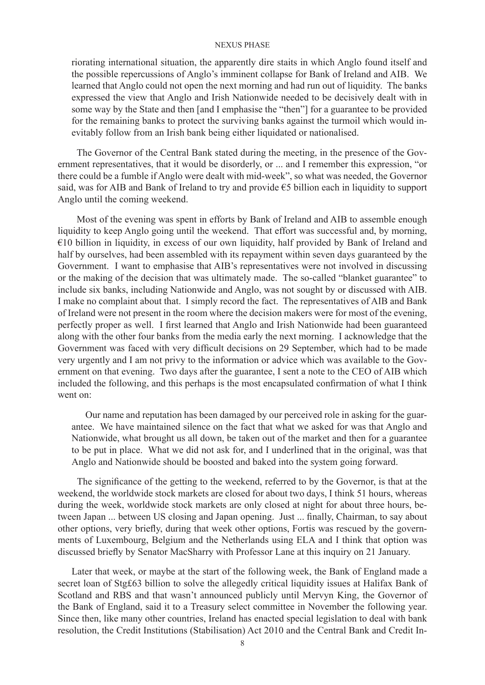riorating international situation, the apparently dire staits in which Anglo found itself and the possible repercussions of Anglo's imminent collapse for Bank of Ireland and AIB. We learned that Anglo could not open the next morning and had run out of liquidity. The banks expressed the view that Anglo and Irish Nationwide needed to be decisively dealt with in some way by the State and then [and I emphasise the "then"] for a guarantee to be provided for the remaining banks to protect the surviving banks against the turmoil which would inevitably follow from an Irish bank being either liquidated or nationalised.

 The Governor of the Central Bank stated during the meeting, in the presence of the Government representatives, that it would be disorderly, or ... and I remember this expression, "or there could be a fumble if Anglo were dealt with mid-week", so what was needed, the Governor said, was for AIB and Bank of Ireland to try and provide €5 billion each in liquidity to support Anglo until the coming weekend.

 Most of the evening was spent in efforts by Bank of Ireland and AIB to assemble enough liquidity to keep Anglo going until the weekend. That effort was successful and, by morning, €10 billion in liquidity, in excess of our own liquidity, half provided by Bank of Ireland and half by ourselves, had been assembled with its repayment within seven days guaranteed by the Government. I want to emphasise that AIB's representatives were not involved in discussing or the making of the decision that was ultimately made. The so-called "blanket guarantee" to include six banks, including Nationwide and Anglo, was not sought by or discussed with AIB. I make no complaint about that. I simply record the fact. The representatives of AIB and Bank of Ireland were not present in the room where the decision makers were for most of the evening, perfectly proper as well. I first learned that Anglo and Irish Nationwide had been guaranteed along with the other four banks from the media early the next morning. I acknowledge that the Government was faced with very difficult decisions on 29 September, which had to be made very urgently and I am not privy to the information or advice which was available to the Government on that evening. Two days after the guarantee, I sent a note to the CEO of AIB which included the following, and this perhaps is the most encapsulated confirmation of what I think went on:

Our name and reputation has been damaged by our perceived role in asking for the guarantee. We have maintained silence on the fact that what we asked for was that Anglo and Nationwide, what brought us all down, be taken out of the market and then for a guarantee to be put in place. What we did not ask for, and I underlined that in the original, was that Anglo and Nationwide should be boosted and baked into the system going forward.

 The significance of the getting to the weekend, referred to by the Governor, is that at the weekend, the worldwide stock markets are closed for about two days, I think 51 hours, whereas during the week, worldwide stock markets are only closed at night for about three hours, between Japan ... between US closing and Japan opening. Just ... finally, Chairman, to say about other options, very briefly, during that week other options, Fortis was rescued by the governments of Luxembourg, Belgium and the Netherlands using ELA and I think that option was discussed briefly by Senator MacSharry with Professor Lane at this inquiry on 21 January.

Later that week, or maybe at the start of the following week, the Bank of England made a secret loan of Stg£63 billion to solve the allegedly critical liquidity issues at Halifax Bank of Scotland and RBS and that wasn't announced publicly until Mervyn King, the Governor of the Bank of England, said it to a Treasury select committee in November the following year. Since then, like many other countries, Ireland has enacted special legislation to deal with bank resolution, the Credit Institutions (Stabilisation) Act 2010 and the Central Bank and Credit In-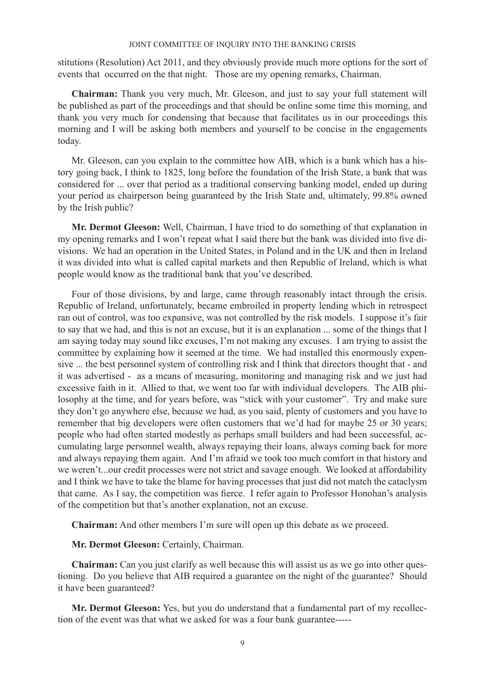stitutions (Resolution) Act 2011, and they obviously provide much more options for the sort of events that occurred on the that night. Those are my opening remarks, Chairman.

**Chairman:** Thank you very much, Mr. Gleeson, and just to say your full statement will be published as part of the proceedings and that should be online some time this morning, and thank you very much for condensing that because that facilitates us in our proceedings this morning and I will be asking both members and yourself to be concise in the engagements today.

Mr. Gleeson, can you explain to the committee how AIB, which is a bank which has a history going back, I think to 1825, long before the foundation of the Irish State, a bank that was considered for ... over that period as a traditional conserving banking model, ended up during your period as chairperson being guaranteed by the Irish State and, ultimately, 99.8% owned by the Irish public?

**Mr. Dermot Gleeson:** Well, Chairman, I have tried to do something of that explanation in my opening remarks and I won't repeat what I said there but the bank was divided into five divisions. We had an operation in the United States, in Poland and in the UK and then in Ireland it was divided into what is called capital markets and then Republic of Ireland, which is what people would know as the traditional bank that you've described.

Four of those divisions, by and large, came through reasonably intact through the crisis. Republic of Ireland, unfortunately, became embroiled in property lending which in retrospect ran out of control, was too expansive, was not controlled by the risk models. I suppose it's fair to say that we had, and this is not an excuse, but it is an explanation ... some of the things that I am saying today may sound like excuses, I'm not making any excuses. I am trying to assist the committee by explaining how it seemed at the time. We had installed this enormously expensive ... the best personnel system of controlling risk and I think that directors thought that - and it was advertised - as a means of measuring, monitoring and managing risk and we just had excessive faith in it. Allied to that, we went too far with individual developers. The AIB philosophy at the time, and for years before, was "stick with your customer". Try and make sure they don't go anywhere else, because we had, as you said, plenty of customers and you have to remember that big developers were often customers that we'd had for maybe 25 or 30 years; people who had often started modestly as perhaps small builders and had been successful, accumulating large personnel wealth, always repaying their loans, always coming back for more and always repaying them again. And I'm afraid we took too much comfort in that history and we weren't...our credit processes were not strict and savage enough. We looked at affordability and I think we have to take the blame for having processes that just did not match the cataclysm that came. As I say, the competition was fierce. I refer again to Professor Honohan's analysis of the competition but that's another explanation, not an excuse.

**Chairman:** And other members I'm sure will open up this debate as we proceed.

**Mr. Dermot Gleeson:** Certainly, Chairman.

**Chairman:** Can you just clarify as well because this will assist us as we go into other questioning. Do you believe that AIB required a guarantee on the night of the guarantee? Should it have been guaranteed?

**Mr. Dermot Gleeson:** Yes, but you do understand that a fundamental part of my recollection of the event was that what we asked for was a four bank guarantee-----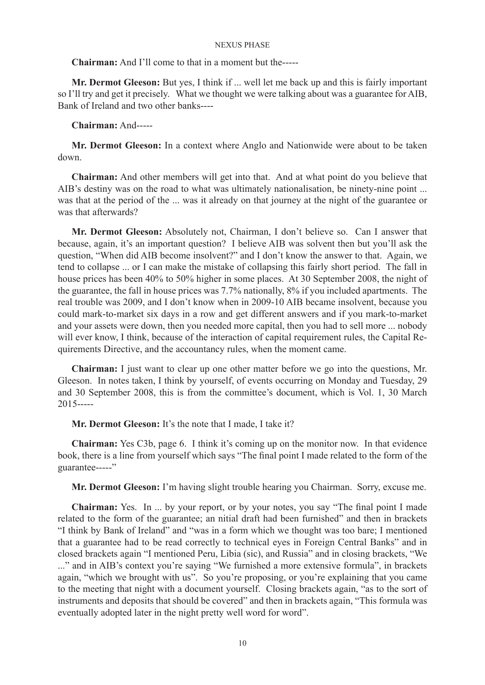**Chairman:** And I'll come to that in a moment but the-----

**Mr. Dermot Gleeson:** But yes, I think if ... well let me back up and this is fairly important so I'll try and get it precisely. What we thought we were talking about was a guarantee for AIB, Bank of Ireland and two other banks----

### **Chairman:** And-----

**Mr. Dermot Gleeson:** In a context where Anglo and Nationwide were about to be taken down.

**Chairman:** And other members will get into that. And at what point do you believe that AIB's destiny was on the road to what was ultimately nationalisation, be ninety-nine point ... was that at the period of the ... was it already on that journey at the night of the guarantee or was that afterwards?

**Mr. Dermot Gleeson:** Absolutely not, Chairman, I don't believe so. Can I answer that because, again, it's an important question? I believe AIB was solvent then but you'll ask the question, "When did AIB become insolvent?" and I don't know the answer to that. Again, we tend to collapse ... or I can make the mistake of collapsing this fairly short period. The fall in house prices has been 40% to 50% higher in some places. At 30 September 2008, the night of the guarantee, the fall in house prices was 7.7% nationally, 8% if you included apartments. The real trouble was 2009, and I don't know when in 2009-10 AIB became insolvent, because you could mark-to-market six days in a row and get different answers and if you mark-to-market and your assets were down, then you needed more capital, then you had to sell more ... nobody will ever know, I think, because of the interaction of capital requirement rules, the Capital Requirements Directive, and the accountancy rules, when the moment came.

**Chairman:** I just want to clear up one other matter before we go into the questions, Mr. Gleeson. In notes taken, I think by yourself, of events occurring on Monday and Tuesday, 29 and 30 September 2008, this is from the committee's document, which is Vol. 1, 30 March 2015-----

**Mr. Dermot Gleeson:** It's the note that I made, I take it?

**Chairman:** Yes C3b, page 6. I think it's coming up on the monitor now. In that evidence book, there is a line from yourself which says "The final point I made related to the form of the guarantee-----"

**Mr. Dermot Gleeson:** I'm having slight trouble hearing you Chairman. Sorry, excuse me.

**Chairman:** Yes. In ... by your report, or by your notes, you say "The final point I made related to the form of the guarantee; an nitial draft had been furnished" and then in brackets "I think by Bank of Ireland" and "was in a form which we thought was too bare; I mentioned that a guarantee had to be read correctly to technical eyes in Foreign Central Banks" and in closed brackets again "I mentioned Peru, Libia (sic), and Russia" and in closing brackets, "We ..." and in AIB's context you're saying "We furnished a more extensive formula", in brackets again, "which we brought with us". So you're proposing, or you're explaining that you came to the meeting that night with a document yourself. Closing brackets again, "as to the sort of instruments and deposits that should be covered" and then in brackets again, "This formula was eventually adopted later in the night pretty well word for word".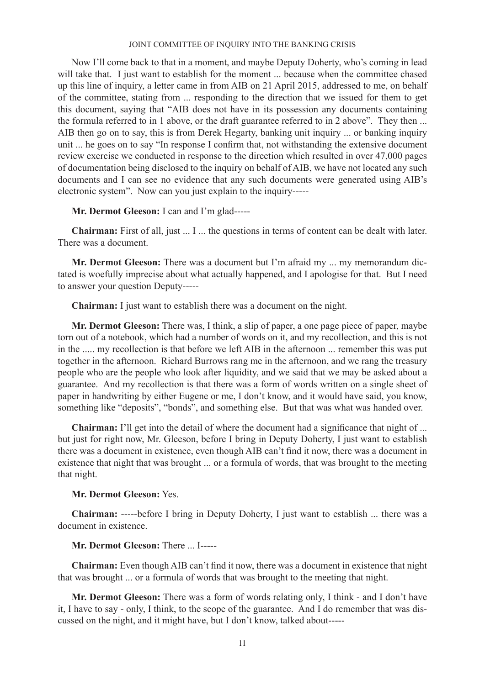Now I'll come back to that in a moment, and maybe Deputy Doherty, who's coming in lead will take that. I just want to establish for the moment ... because when the committee chased up this line of inquiry, a letter came in from AIB on 21 April 2015, addressed to me, on behalf of the committee, stating from ... responding to the direction that we issued for them to get this document, saying that "AIB does not have in its possession any documents containing the formula referred to in 1 above, or the draft guarantee referred to in 2 above". They then ... AIB then go on to say, this is from Derek Hegarty, banking unit inquiry ... or banking inquiry unit ... he goes on to say "In response I confirm that, not withstanding the extensive document review exercise we conducted in response to the direction which resulted in over 47,000 pages of documentation being disclosed to the inquiry on behalf of AIB, we have not located any such documents and I can see no evidence that any such documents were generated using AIB's electronic system". Now can you just explain to the inquiry-----

## **Mr. Dermot Gleeson:** I can and I'm glad-----

**Chairman:** First of all, just ... I ... the questions in terms of content can be dealt with later. There was a document.

**Mr. Dermot Gleeson:** There was a document but I'm afraid my ... my memorandum dictated is woefully imprecise about what actually happened, and I apologise for that. But I need to answer your question Deputy-----

**Chairman:** I just want to establish there was a document on the night.

**Mr. Dermot Gleeson:** There was, I think, a slip of paper, a one page piece of paper, maybe torn out of a notebook, which had a number of words on it, and my recollection, and this is not in the ..... my recollection is that before we left AIB in the afternoon ... remember this was put together in the afternoon. Richard Burrows rang me in the afternoon, and we rang the treasury people who are the people who look after liquidity, and we said that we may be asked about a guarantee. And my recollection is that there was a form of words written on a single sheet of paper in handwriting by either Eugene or me, I don't know, and it would have said, you know, something like "deposits", "bonds", and something else. But that was what was handed over.

**Chairman:** I'll get into the detail of where the document had a significance that night of ... but just for right now, Mr. Gleeson, before I bring in Deputy Doherty, I just want to establish there was a document in existence, even though AIB can't find it now, there was a document in existence that night that was brought ... or a formula of words, that was brought to the meeting that night.

## **Mr. Dermot Gleeson:** Yes.

**Chairman:** -----before I bring in Deputy Doherty, I just want to establish ... there was a document in existence.

## **Mr. Dermot Gleeson:** There ... I-----

**Chairman:** Even though AIB can't find it now, there was a document in existence that night that was brought ... or a formula of words that was brought to the meeting that night.

**Mr. Dermot Gleeson:** There was a form of words relating only, I think - and I don't have it, I have to say - only, I think, to the scope of the guarantee. And I do remember that was discussed on the night, and it might have, but I don't know, talked about-----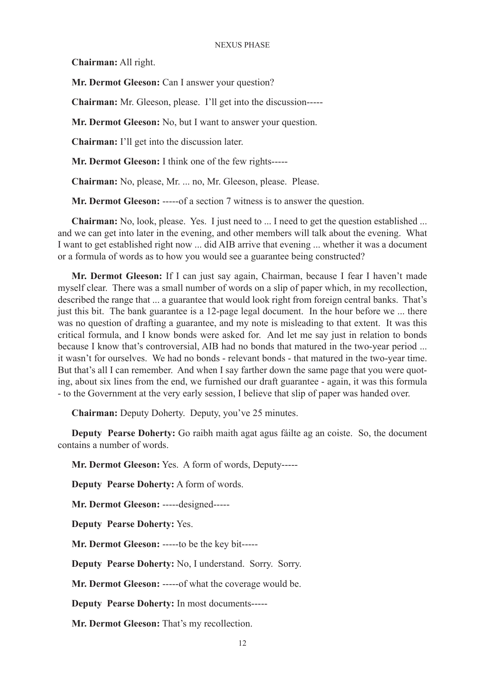**Chairman:** All right.

**Mr. Dermot Gleeson:** Can I answer your question?

**Chairman:** Mr. Gleeson, please. I'll get into the discussion-----

**Mr. Dermot Gleeson:** No, but I want to answer your question.

**Chairman:** I'll get into the discussion later.

**Mr. Dermot Gleeson:** I think one of the few rights-----

**Chairman:** No, please, Mr. ... no, Mr. Gleeson, please. Please.

**Mr. Dermot Gleeson:** -----of a section 7 witness is to answer the question.

**Chairman:** No, look, please. Yes. I just need to ... I need to get the question established ... and we can get into later in the evening, and other members will talk about the evening. What I want to get established right now ... did AIB arrive that evening ... whether it was a document or a formula of words as to how you would see a guarantee being constructed?

**Mr. Dermot Gleeson:** If I can just say again, Chairman, because I fear I haven't made myself clear. There was a small number of words on a slip of paper which, in my recollection, described the range that ... a guarantee that would look right from foreign central banks. That's just this bit. The bank guarantee is a 12-page legal document. In the hour before we ... there was no question of drafting a guarantee, and my note is misleading to that extent. It was this critical formula, and I know bonds were asked for. And let me say just in relation to bonds because I know that's controversial, AIB had no bonds that matured in the two-year period ... it wasn't for ourselves. We had no bonds - relevant bonds - that matured in the two-year time. But that's all I can remember. And when I say farther down the same page that you were quoting, about six lines from the end, we furnished our draft guarantee - again, it was this formula - to the Government at the very early session, I believe that slip of paper was handed over.

**Chairman:** Deputy Doherty. Deputy, you've 25 minutes.

**Deputy Pearse Doherty:** Go raibh maith agat agus fáilte ag an coiste. So, the document contains a number of words.

**Mr. Dermot Gleeson:** Yes. A form of words, Deputy-----

**Deputy Pearse Doherty:** A form of words.

**Mr. Dermot Gleeson:** -----designed-----

**Deputy Pearse Doherty:** Yes.

**Mr. Dermot Gleeson:** -----to be the key bit-----

**Deputy Pearse Doherty:** No, I understand. Sorry. Sorry.

**Mr. Dermot Gleeson:** -----of what the coverage would be.

**Deputy Pearse Doherty:** In most documents-----

**Mr. Dermot Gleeson:** That's my recollection.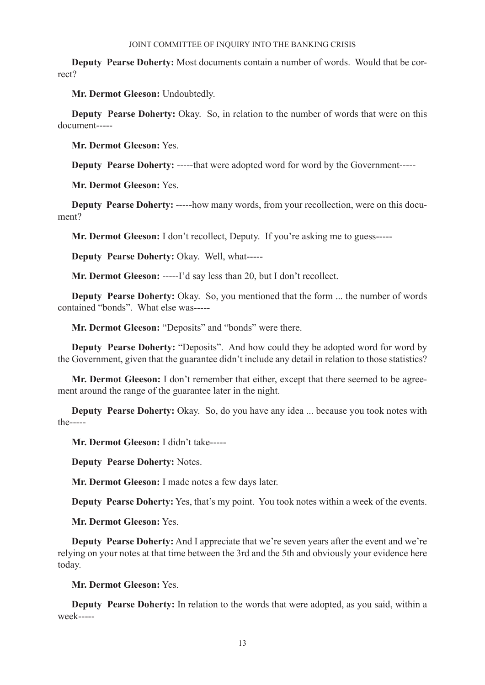**Deputy Pearse Doherty:** Most documents contain a number of words. Would that be correct?

**Mr. Dermot Gleeson:** Undoubtedly.

**Deputy Pearse Doherty:** Okay. So, in relation to the number of words that were on this document-----

**Mr. Dermot Gleeson:** Yes.

**Deputy Pearse Doherty:** -----that were adopted word for word by the Government-----

**Mr. Dermot Gleeson:** Yes.

**Deputy Pearse Doherty:** -----how many words, from your recollection, were on this document?

**Mr. Dermot Gleeson:** I don't recollect, Deputy. If you're asking me to guess-----

**Deputy Pearse Doherty:** Okay. Well, what-----

**Mr. Dermot Gleeson:** -----I'd say less than 20, but I don't recollect.

**Deputy Pearse Doherty:** Okay. So, you mentioned that the form ... the number of words contained "bonds". What else was-----

**Mr. Dermot Gleeson:** "Deposits" and "bonds" were there.

**Deputy Pearse Doherty:** "Deposits". And how could they be adopted word for word by the Government, given that the guarantee didn't include any detail in relation to those statistics?

**Mr. Dermot Gleeson:** I don't remember that either, except that there seemed to be agreement around the range of the guarantee later in the night.

**Deputy Pearse Doherty:** Okay. So, do you have any idea ... because you took notes with the-----

**Mr. Dermot Gleeson:** I didn't take-----

**Deputy Pearse Doherty:** Notes.

**Mr. Dermot Gleeson:** I made notes a few days later.

**Deputy Pearse Doherty:** Yes, that's my point. You took notes within a week of the events.

**Mr. Dermot Gleeson:** Yes.

**Deputy Pearse Doherty:** And I appreciate that we're seven years after the event and we're relying on your notes at that time between the 3rd and the 5th and obviously your evidence here today.

**Mr. Dermot Gleeson:** Yes.

**Deputy Pearse Doherty:** In relation to the words that were adopted, as you said, within a week-----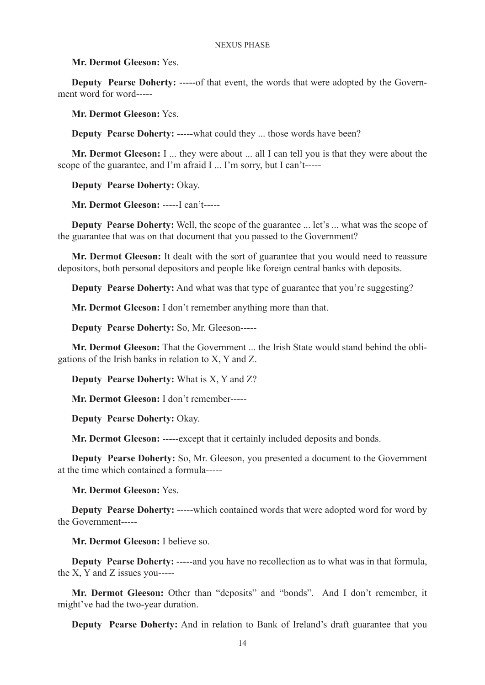**Mr. Dermot Gleeson:** Yes.

**Deputy Pearse Doherty:** -----of that event, the words that were adopted by the Government word for word-----

**Mr. Dermot Gleeson:** Yes.

**Deputy Pearse Doherty:** -----what could they ... those words have been?

**Mr. Dermot Gleeson:** I ... they were about ... all I can tell you is that they were about the scope of the guarantee, and I'm afraid I ... I'm sorry, but I can't-----

**Deputy Pearse Doherty:** Okay.

**Mr. Dermot Gleeson:** -----I can't-----

**Deputy Pearse Doherty:** Well, the scope of the guarantee ... let's ... what was the scope of the guarantee that was on that document that you passed to the Government?

**Mr. Dermot Gleeson:** It dealt with the sort of guarantee that you would need to reassure depositors, both personal depositors and people like foreign central banks with deposits.

**Deputy Pearse Doherty:** And what was that type of guarantee that you're suggesting?

**Mr. Dermot Gleeson:** I don't remember anything more than that.

**Deputy Pearse Doherty:** So, Mr. Gleeson-----

**Mr. Dermot Gleeson:** That the Government ... the Irish State would stand behind the obligations of the Irish banks in relation to X, Y and Z.

**Deputy Pearse Doherty:** What is X, Y and Z?

**Mr. Dermot Gleeson:** I don't remember-----

**Deputy Pearse Doherty:** Okay.

**Mr. Dermot Gleeson:** -----except that it certainly included deposits and bonds.

**Deputy Pearse Doherty:** So, Mr. Gleeson, you presented a document to the Government at the time which contained a formula-----

**Mr. Dermot Gleeson:** Yes.

**Deputy Pearse Doherty:** -----which contained words that were adopted word for word by the Government-----

**Mr. Dermot Gleeson:** I believe so.

**Deputy Pearse Doherty:** -----and you have no recollection as to what was in that formula, the  $X$ ,  $Y$  and  $Z$  issues you-----

**Mr. Dermot Gleeson:** Other than "deposits" and "bonds". And I don't remember, it might've had the two-year duration.

**Deputy Pearse Doherty:** And in relation to Bank of Ireland's draft guarantee that you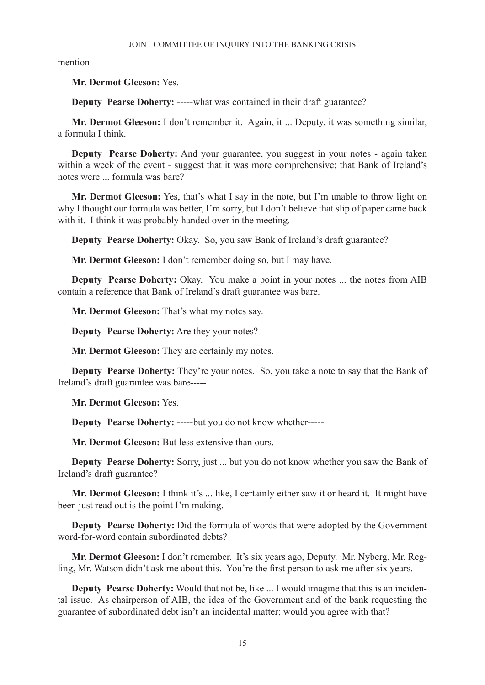mention-----

**Mr. Dermot Gleeson:** Yes.

**Deputy Pearse Doherty:** -----what was contained in their draft guarantee?

**Mr. Dermot Gleeson:** I don't remember it. Again, it ... Deputy, it was something similar, a formula I think.

**Deputy Pearse Doherty:** And your guarantee, you suggest in your notes - again taken within a week of the event - suggest that it was more comprehensive; that Bank of Ireland's notes were ... formula was hare?

**Mr. Dermot Gleeson:** Yes, that's what I say in the note, but I'm unable to throw light on why I thought our formula was better, I'm sorry, but I don't believe that slip of paper came back with it. I think it was probably handed over in the meeting.

**Deputy Pearse Doherty:** Okay. So, you saw Bank of Ireland's draft guarantee?

**Mr. Dermot Gleeson:** I don't remember doing so, but I may have.

**Deputy Pearse Doherty:** Okay. You make a point in your notes ... the notes from AIB contain a reference that Bank of Ireland's draft guarantee was bare.

**Mr. Dermot Gleeson:** That's what my notes say.

**Deputy Pearse Doherty:** Are they your notes?

**Mr. Dermot Gleeson:** They are certainly my notes.

**Deputy Pearse Doherty:** They're your notes. So, you take a note to say that the Bank of Ireland's draft guarantee was bare-----

**Mr. Dermot Gleeson:** Yes.

**Deputy Pearse Doherty:** -----but you do not know whether-----

**Mr. Dermot Gleeson:** But less extensive than ours.

**Deputy Pearse Doherty:** Sorry, just ... but you do not know whether you saw the Bank of Ireland's draft guarantee?

**Mr. Dermot Gleeson:** I think it's ... like, I certainly either saw it or heard it. It might have been just read out is the point I'm making.

**Deputy Pearse Doherty:** Did the formula of words that were adopted by the Government word-for-word contain subordinated debts?

**Mr. Dermot Gleeson:** I don't remember. It's six years ago, Deputy. Mr. Nyberg, Mr. Regling, Mr. Watson didn't ask me about this. You're the first person to ask me after six years.

**Deputy Pearse Doherty:** Would that not be, like ... I would imagine that this is an incidental issue. As chairperson of AIB, the idea of the Government and of the bank requesting the guarantee of subordinated debt isn't an incidental matter; would you agree with that?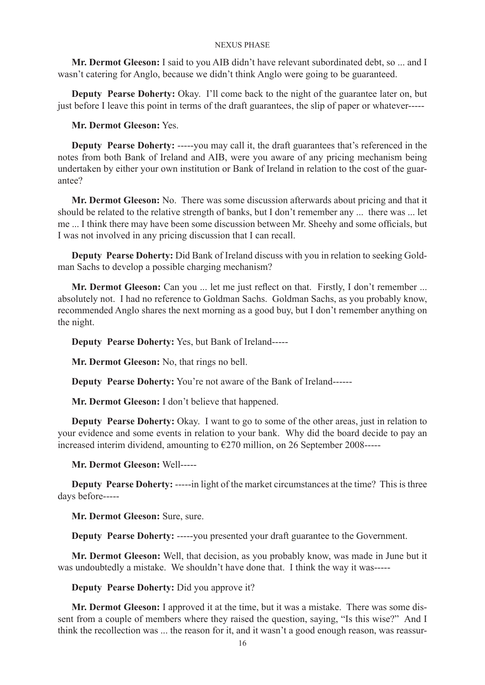**Mr. Dermot Gleeson:** I said to you AIB didn't have relevant subordinated debt, so ... and I wasn't catering for Anglo, because we didn't think Anglo were going to be guaranteed.

**Deputy Pearse Doherty:** Okay. I'll come back to the night of the guarantee later on, but just before I leave this point in terms of the draft guarantees, the slip of paper or whatever-----

**Mr. Dermot Gleeson:** Yes.

**Deputy Pearse Doherty:** -----you may call it, the draft guarantees that's referenced in the notes from both Bank of Ireland and AIB, were you aware of any pricing mechanism being undertaken by either your own institution or Bank of Ireland in relation to the cost of the guarantee?

**Mr. Dermot Gleeson:** No. There was some discussion afterwards about pricing and that it should be related to the relative strength of banks, but I don't remember any ... there was ... let me ... I think there may have been some discussion between Mr. Sheehy and some officials, but I was not involved in any pricing discussion that I can recall.

**Deputy Pearse Doherty:** Did Bank of Ireland discuss with you in relation to seeking Goldman Sachs to develop a possible charging mechanism?

**Mr. Dermot Gleeson:** Can you ... let me just reflect on that. Firstly, I don't remember ... absolutely not. I had no reference to Goldman Sachs. Goldman Sachs, as you probably know, recommended Anglo shares the next morning as a good buy, but I don't remember anything on the night.

**Deputy Pearse Doherty:** Yes, but Bank of Ireland-----

**Mr. Dermot Gleeson:** No, that rings no bell.

**Deputy Pearse Doherty:** You're not aware of the Bank of Ireland------

**Mr. Dermot Gleeson:** I don't believe that happened.

**Deputy Pearse Doherty:** Okay. I want to go to some of the other areas, just in relation to your evidence and some events in relation to your bank. Why did the board decide to pay an increased interim dividend, amounting to  $\epsilon$ 270 million, on 26 September 2008-----

**Mr. Dermot Gleeson:** Well-----

**Deputy Pearse Doherty:** -----in light of the market circumstances at the time? This is three days before-----

**Mr. Dermot Gleeson:** Sure, sure.

**Deputy Pearse Doherty:** -----you presented your draft guarantee to the Government.

**Mr. Dermot Gleeson:** Well, that decision, as you probably know, was made in June but it was undoubtedly a mistake. We shouldn't have done that. I think the way it was-----

**Deputy Pearse Doherty:** Did you approve it?

**Mr. Dermot Gleeson:** I approved it at the time, but it was a mistake. There was some dissent from a couple of members where they raised the question, saying, "Is this wise?" And I think the recollection was ... the reason for it, and it wasn't a good enough reason, was reassur-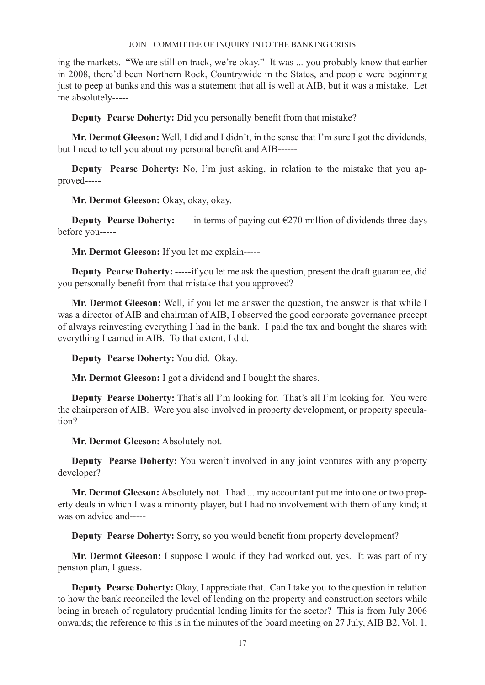ing the markets. "We are still on track, we're okay." It was ... you probably know that earlier in 2008, there'd been Northern Rock, Countrywide in the States, and people were beginning just to peep at banks and this was a statement that all is well at AIB, but it was a mistake. Let me absolutely-----

**Deputy Pearse Doherty:** Did you personally benefit from that mistake?

**Mr. Dermot Gleeson:** Well, I did and I didn't, in the sense that I'm sure I got the dividends, but I need to tell you about my personal benefit and AIB------

**Deputy Pearse Doherty:** No, I'm just asking, in relation to the mistake that you approved-----

**Mr. Dermot Gleeson:** Okay, okay, okay.

**Deputy Pearse Doherty:** -----in terms of paying out  $\epsilon$ 270 million of dividends three days before you-----

**Mr. Dermot Gleeson:** If you let me explain-----

**Deputy Pearse Doherty:** -----if you let me ask the question, present the draft guarantee, did you personally benefit from that mistake that you approved?

**Mr. Dermot Gleeson:** Well, if you let me answer the question, the answer is that while I was a director of AIB and chairman of AIB, I observed the good corporate governance precept of always reinvesting everything I had in the bank. I paid the tax and bought the shares with everything I earned in AIB. To that extent, I did.

**Deputy Pearse Doherty:** You did. Okay.

**Mr. Dermot Gleeson:** I got a dividend and I bought the shares.

**Deputy Pearse Doherty:** That's all I'm looking for. That's all I'm looking for. You were the chairperson of AIB. Were you also involved in property development, or property speculation?

**Mr. Dermot Gleeson:** Absolutely not.

**Deputy Pearse Doherty:** You weren't involved in any joint ventures with any property developer?

**Mr. Dermot Gleeson:** Absolutely not. I had ... my accountant put me into one or two property deals in which I was a minority player, but I had no involvement with them of any kind; it was on advice and-----

**Deputy Pearse Doherty:** Sorry, so you would benefit from property development?

**Mr. Dermot Gleeson:** I suppose I would if they had worked out, yes. It was part of my pension plan, I guess.

**Deputy Pearse Doherty:** Okay, I appreciate that. Can I take you to the question in relation to how the bank reconciled the level of lending on the property and construction sectors while being in breach of regulatory prudential lending limits for the sector? This is from July 2006 onwards; the reference to this is in the minutes of the board meeting on 27 July, AIB B2, Vol. 1,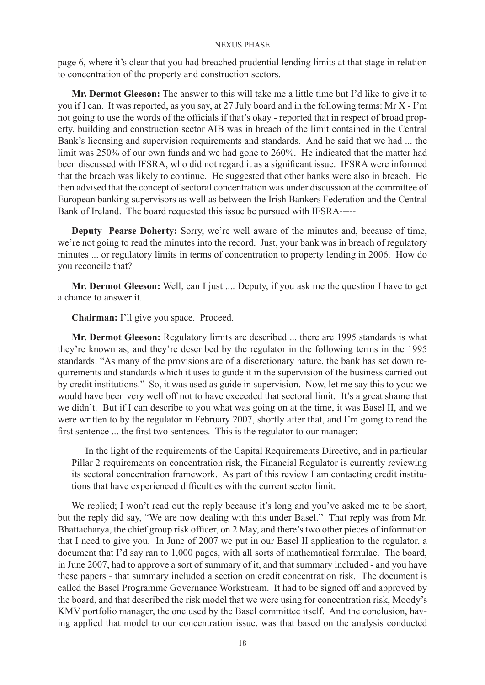page 6, where it's clear that you had breached prudential lending limits at that stage in relation to concentration of the property and construction sectors.

**Mr. Dermot Gleeson:** The answer to this will take me a little time but I'd like to give it to you if I can. It was reported, as you say, at 27 July board and in the following terms: Mr X - I'm not going to use the words of the officials if that's okay - reported that in respect of broad property, building and construction sector AIB was in breach of the limit contained in the Central Bank's licensing and supervision requirements and standards. And he said that we had ... the limit was 250% of our own funds and we had gone to 260%. He indicated that the matter had been discussed with IFSRA, who did not regard it as a significant issue. IFSRA were informed that the breach was likely to continue. He suggested that other banks were also in breach. He then advised that the concept of sectoral concentration was under discussion at the committee of European banking supervisors as well as between the Irish Bankers Federation and the Central Bank of Ireland. The board requested this issue be pursued with IFSRA-----

**Deputy Pearse Doherty:** Sorry, we're well aware of the minutes and, because of time, we're not going to read the minutes into the record. Just, your bank was in breach of regulatory minutes ... or regulatory limits in terms of concentration to property lending in 2006. How do you reconcile that?

**Mr. Dermot Gleeson:** Well, can I just .... Deputy, if you ask me the question I have to get a chance to answer it.

**Chairman:** I'll give you space. Proceed.

**Mr. Dermot Gleeson:** Regulatory limits are described ... there are 1995 standards is what they're known as, and they're described by the regulator in the following terms in the 1995 standards: "As many of the provisions are of a discretionary nature, the bank has set down requirements and standards which it uses to guide it in the supervision of the business carried out by credit institutions." So, it was used as guide in supervision. Now, let me say this to you: we would have been very well off not to have exceeded that sectoral limit. It's a great shame that we didn't. But if I can describe to you what was going on at the time, it was Basel II, and we were written to by the regulator in February 2007, shortly after that, and I'm going to read the first sentence ... the first two sentences. This is the regulator to our manager:

In the light of the requirements of the Capital Requirements Directive, and in particular Pillar 2 requirements on concentration risk, the Financial Regulator is currently reviewing its sectoral concentration framework. As part of this review I am contacting credit institutions that have experienced difficulties with the current sector limit.

We replied; I won't read out the reply because it's long and you've asked me to be short, but the reply did say, "We are now dealing with this under Basel." That reply was from Mr. Bhattacharya, the chief group risk officer, on 2 May, and there's two other pieces of information that I need to give you. In June of 2007 we put in our Basel II application to the regulator, a document that I'd say ran to 1,000 pages, with all sorts of mathematical formulae. The board, in June 2007, had to approve a sort of summary of it, and that summary included - and you have these papers - that summary included a section on credit concentration risk. The document is called the Basel Programme Governance Workstream. It had to be signed off and approved by the board, and that described the risk model that we were using for concentration risk, Moody's KMV portfolio manager, the one used by the Basel committee itself. And the conclusion, having applied that model to our concentration issue, was that based on the analysis conducted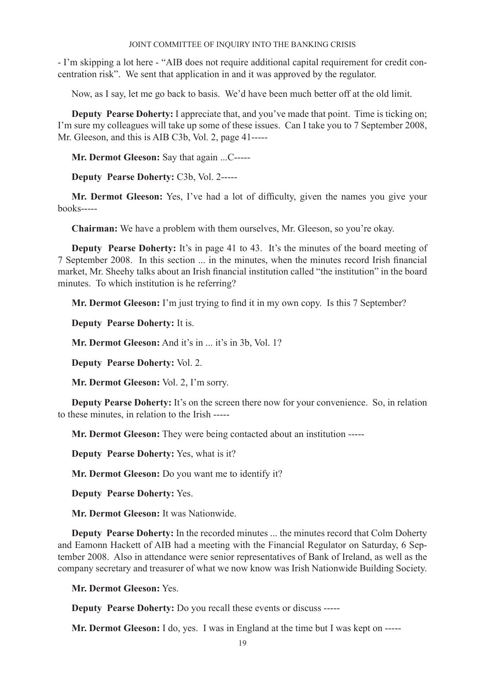- I'm skipping a lot here - "AIB does not require additional capital requirement for credit concentration risk". We sent that application in and it was approved by the regulator.

Now, as I say, let me go back to basis. We'd have been much better off at the old limit.

**Deputy Pearse Doherty:** I appreciate that, and you've made that point. Time is ticking on; I'm sure my colleagues will take up some of these issues. Can I take you to 7 September 2008, Mr. Gleeson, and this is AIB C3b, Vol. 2, page 41-----

**Mr. Dermot Gleeson:** Say that again ...C-----

**Deputy Pearse Doherty:** C3b, Vol. 2-----

**Mr. Dermot Gleeson:** Yes, I've had a lot of difficulty, given the names you give your books-----

**Chairman:** We have a problem with them ourselves, Mr. Gleeson, so you're okay.

**Deputy Pearse Doherty:** It's in page 41 to 43. It's the minutes of the board meeting of 7 September 2008. In this section ... in the minutes, when the minutes record Irish financial market, Mr. Sheehy talks about an Irish financial institution called "the institution" in the board minutes. To which institution is he referring?

**Mr. Dermot Gleeson:** I'm just trying to find it in my own copy. Is this 7 September?

**Deputy Pearse Doherty:** It is.

**Mr. Dermot Gleeson:** And it's in ... it's in 3b, Vol. 1?

**Deputy Pearse Doherty:** Vol. 2.

**Mr. Dermot Gleeson:** Vol. 2, I'm sorry.

**Deputy Pearse Doherty:** It's on the screen there now for your convenience. So, in relation to these minutes, in relation to the Irish -----

**Mr. Dermot Gleeson:** They were being contacted about an institution -----

**Deputy Pearse Doherty:** Yes, what is it?

**Mr. Dermot Gleeson:** Do you want me to identify it?

**Deputy Pearse Doherty:** Yes.

**Mr. Dermot Gleeson:** It was Nationwide.

**Deputy Pearse Doherty:** In the recorded minutes ... the minutes record that Colm Doherty and Eamonn Hackett of AIB had a meeting with the Financial Regulator on Saturday, 6 September 2008. Also in attendance were senior representatives of Bank of Ireland, as well as the company secretary and treasurer of what we now know was Irish Nationwide Building Society.

**Mr. Dermot Gleeson:** Yes.

**Deputy Pearse Doherty:** Do you recall these events or discuss -----

**Mr. Dermot Gleeson:** I do, yes. I was in England at the time but I was kept on -----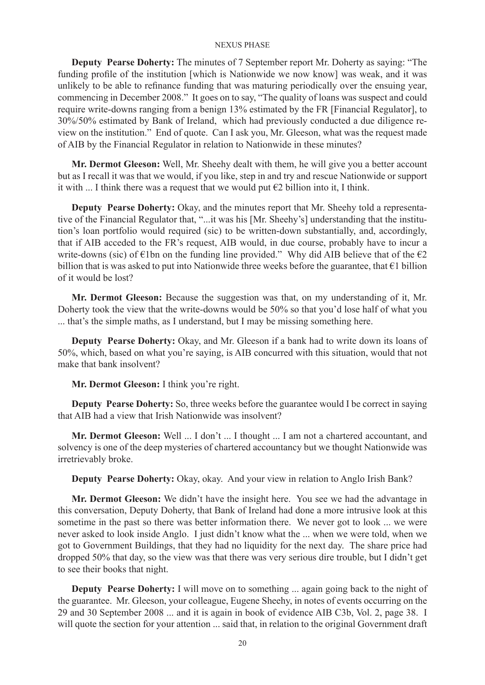**Deputy Pearse Doherty:** The minutes of 7 September report Mr. Doherty as saying: "The funding profile of the institution [which is Nationwide we now know] was weak, and it was unlikely to be able to refinance funding that was maturing periodically over the ensuing year, commencing in December 2008." It goes on to say, "The quality of loans was suspect and could require write-downs ranging from a benign 13% estimated by the FR [Financial Regulator], to 30%/50% estimated by Bank of Ireland, which had previously conducted a due diligence review on the institution." End of quote. Can I ask you, Mr. Gleeson, what was the request made of AIB by the Financial Regulator in relation to Nationwide in these minutes?

**Mr. Dermot Gleeson:** Well, Mr. Sheehy dealt with them, he will give you a better account but as I recall it was that we would, if you like, step in and try and rescue Nationwide or support it with ... I think there was a request that we would put  $\epsilon$ 2 billion into it, I think.

**Deputy Pearse Doherty:** Okay, and the minutes report that Mr. Sheehy told a representative of the Financial Regulator that, "...it was his [Mr. Sheehy's] understanding that the institution's loan portfolio would required (sic) to be written-down substantially, and, accordingly, that if AIB acceded to the FR's request, AIB would, in due course, probably have to incur a write-downs (sic) of  $\epsilon$ 1bn on the funding line provided." Why did AIB believe that of the  $\epsilon$ 2 billion that is was asked to put into Nationwide three weeks before the guarantee, that  $\epsilon_1$  billion of it would be lost?

**Mr. Dermot Gleeson:** Because the suggestion was that, on my understanding of it, Mr. Doherty took the view that the write-downs would be 50% so that you'd lose half of what you ... that's the simple maths, as I understand, but I may be missing something here.

**Deputy Pearse Doherty:** Okay, and Mr. Gleeson if a bank had to write down its loans of 50%, which, based on what you're saying, is AIB concurred with this situation, would that not make that bank insolvent?

**Mr. Dermot Gleeson:** I think you're right.

**Deputy Pearse Doherty:** So, three weeks before the guarantee would I be correct in saying that AIB had a view that Irish Nationwide was insolvent?

**Mr. Dermot Gleeson:** Well ... I don't ... I thought ... I am not a chartered accountant, and solvency is one of the deep mysteries of chartered accountancy but we thought Nationwide was irretrievably broke.

**Deputy Pearse Doherty:** Okay, okay. And your view in relation to Anglo Irish Bank?

**Mr. Dermot Gleeson:** We didn't have the insight here. You see we had the advantage in this conversation, Deputy Doherty, that Bank of Ireland had done a more intrusive look at this sometime in the past so there was better information there. We never got to look ... we were never asked to look inside Anglo. I just didn't know what the ... when we were told, when we got to Government Buildings, that they had no liquidity for the next day. The share price had dropped 50% that day, so the view was that there was very serious dire trouble, but I didn't get to see their books that night.

**Deputy Pearse Doherty:** I will move on to something ... again going back to the night of the guarantee. Mr. Gleeson, your colleague, Eugene Sheehy, in notes of events occurring on the 29 and 30 September 2008 ... and it is again in book of evidence AIB C3b, Vol. 2, page 38. I will quote the section for your attention ... said that, in relation to the original Government draft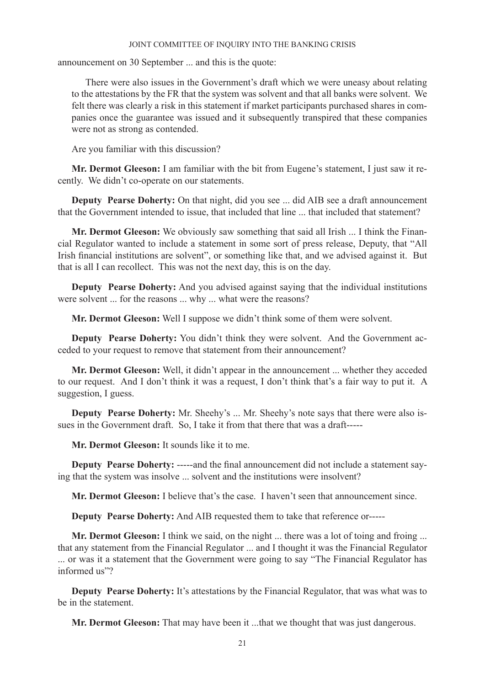announcement on 30 September ... and this is the quote:

There were also issues in the Government's draft which we were uneasy about relating to the attestations by the FR that the system was solvent and that all banks were solvent. We felt there was clearly a risk in this statement if market participants purchased shares in companies once the guarantee was issued and it subsequently transpired that these companies were not as strong as contended.

Are you familiar with this discussion?

**Mr. Dermot Gleeson:** I am familiar with the bit from Eugene's statement, I just saw it recently. We didn't co-operate on our statements.

**Deputy Pearse Doherty:** On that night, did you see ... did AIB see a draft announcement that the Government intended to issue, that included that line ... that included that statement?

**Mr. Dermot Gleeson:** We obviously saw something that said all Irish ... I think the Financial Regulator wanted to include a statement in some sort of press release, Deputy, that "All Irish financial institutions are solvent", or something like that, and we advised against it. But that is all I can recollect. This was not the next day, this is on the day.

**Deputy Pearse Doherty:** And you advised against saying that the individual institutions were solvent ... for the reasons ... why ... what were the reasons?

**Mr. Dermot Gleeson:** Well I suppose we didn't think some of them were solvent.

**Deputy Pearse Doherty:** You didn't think they were solvent. And the Government acceded to your request to remove that statement from their announcement?

**Mr. Dermot Gleeson:** Well, it didn't appear in the announcement ... whether they acceded to our request. And I don't think it was a request, I don't think that's a fair way to put it. A suggestion, I guess.

**Deputy Pearse Doherty:** Mr. Sheehy's ... Mr. Sheehy's note says that there were also issues in the Government draft. So, I take it from that there that was a draft-----

**Mr. Dermot Gleeson:** It sounds like it to me.

**Deputy Pearse Doherty:** -----and the final announcement did not include a statement saying that the system was insolve ... solvent and the institutions were insolvent?

**Mr. Dermot Gleeson:** I believe that's the case. I haven't seen that announcement since.

**Deputy Pearse Doherty:** And AIB requested them to take that reference or-----

**Mr. Dermot Gleeson:** I think we said, on the night ... there was a lot of toing and froing ... that any statement from the Financial Regulator ... and I thought it was the Financial Regulator ... or was it a statement that the Government were going to say "The Financial Regulator has informed us"?

**Deputy Pearse Doherty:** It's attestations by the Financial Regulator, that was what was to be in the statement.

**Mr. Dermot Gleeson:** That may have been it ...that we thought that was just dangerous.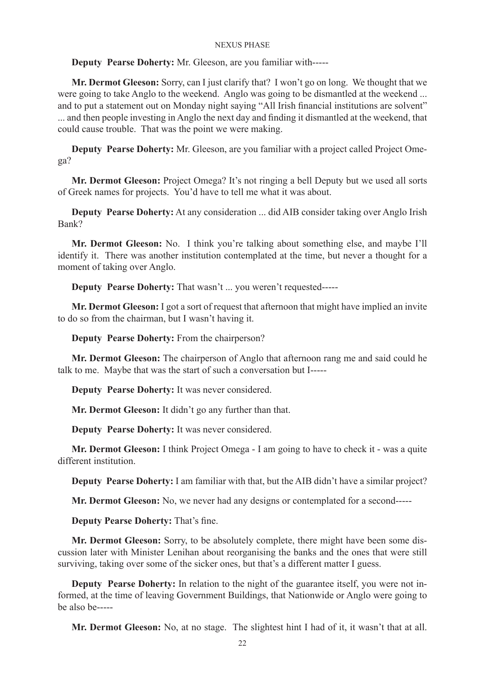**Deputy Pearse Doherty:** Mr. Gleeson, are you familiar with-----

**Mr. Dermot Gleeson:** Sorry, can I just clarify that? I won't go on long. We thought that we were going to take Anglo to the weekend. Anglo was going to be dismantled at the weekend ... and to put a statement out on Monday night saying "All Irish financial institutions are solvent" ... and then people investing in Anglo the next day and finding it dismantled at the weekend, that could cause trouble. That was the point we were making.

**Deputy Pearse Doherty:** Mr. Gleeson, are you familiar with a project called Project Omega?

**Mr. Dermot Gleeson:** Project Omega? It's not ringing a bell Deputy but we used all sorts of Greek names for projects. You'd have to tell me what it was about.

**Deputy Pearse Doherty:** At any consideration ... did AIB consider taking over Anglo Irish Bank?

**Mr. Dermot Gleeson:** No. I think you're talking about something else, and maybe I'll identify it. There was another institution contemplated at the time, but never a thought for a moment of taking over Anglo.

**Deputy Pearse Doherty:** That wasn't ... you weren't requested-----

**Mr. Dermot Gleeson:** I got a sort of request that afternoon that might have implied an invite to do so from the chairman, but I wasn't having it.

**Deputy Pearse Doherty:** From the chairperson?

**Mr. Dermot Gleeson:** The chairperson of Anglo that afternoon rang me and said could he talk to me. Maybe that was the start of such a conversation but I-----

**Deputy Pearse Doherty:** It was never considered.

**Mr. Dermot Gleeson:** It didn't go any further than that.

**Deputy Pearse Doherty:** It was never considered.

**Mr. Dermot Gleeson:** I think Project Omega - I am going to have to check it - was a quite different institution.

**Deputy Pearse Doherty:** I am familiar with that, but the AIB didn't have a similar project?

**Mr. Dermot Gleeson:** No, we never had any designs or contemplated for a second-----

**Deputy Pearse Doherty:** That's fine.

**Mr. Dermot Gleeson:** Sorry, to be absolutely complete, there might have been some discussion later with Minister Lenihan about reorganising the banks and the ones that were still surviving, taking over some of the sicker ones, but that's a different matter I guess.

**Deputy Pearse Doherty:** In relation to the night of the guarantee itself, you were not informed, at the time of leaving Government Buildings, that Nationwide or Anglo were going to be also be-----

**Mr. Dermot Gleeson:** No, at no stage. The slightest hint I had of it, it wasn't that at all.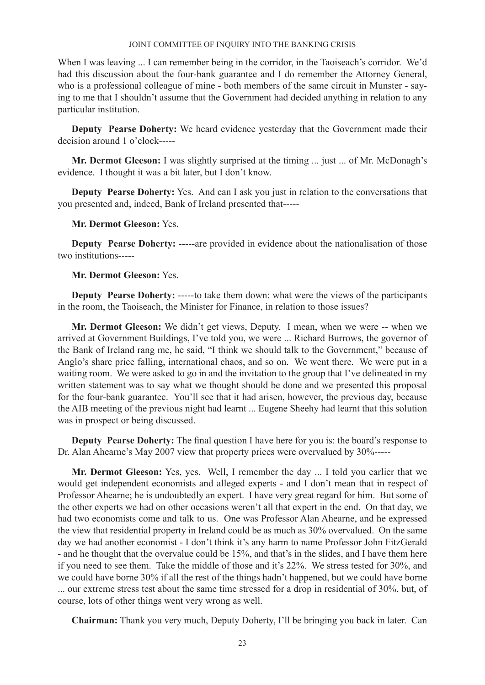When I was leaving ... I can remember being in the corridor, in the Taoiseach's corridor. We'd had this discussion about the four-bank guarantee and I do remember the Attorney General, who is a professional colleague of mine - both members of the same circuit in Munster - saying to me that I shouldn't assume that the Government had decided anything in relation to any particular institution.

**Deputy Pearse Doherty:** We heard evidence yesterday that the Government made their decision around 1 o'clock-----

**Mr. Dermot Gleeson:** I was slightly surprised at the timing ... just ... of Mr. McDonagh's evidence. I thought it was a bit later, but I don't know.

**Deputy Pearse Doherty:** Yes. And can I ask you just in relation to the conversations that you presented and, indeed, Bank of Ireland presented that-----

**Mr. Dermot Gleeson:** Yes.

**Deputy Pearse Doherty:** -----are provided in evidence about the nationalisation of those two institutions-----

## **Mr. Dermot Gleeson:** Yes.

**Deputy Pearse Doherty:** -----to take them down: what were the views of the participants in the room, the Taoiseach, the Minister for Finance, in relation to those issues?

**Mr. Dermot Gleeson:** We didn't get views, Deputy. I mean, when we were -- when we arrived at Government Buildings, I've told you, we were ... Richard Burrows, the governor of the Bank of Ireland rang me, he said, "I think we should talk to the Government," because of Anglo's share price falling, international chaos, and so on. We went there. We were put in a waiting room. We were asked to go in and the invitation to the group that I've delineated in my written statement was to say what we thought should be done and we presented this proposal for the four-bank guarantee. You'll see that it had arisen, however, the previous day, because the AIB meeting of the previous night had learnt ... Eugene Sheehy had learnt that this solution was in prospect or being discussed.

**Deputy Pearse Doherty:** The final question I have here for you is: the board's response to Dr. Alan Ahearne's May 2007 view that property prices were overvalued by 30%-----

**Mr. Dermot Gleeson:** Yes, yes. Well, I remember the day ... I told you earlier that we would get independent economists and alleged experts - and I don't mean that in respect of Professor Ahearne; he is undoubtedly an expert. I have very great regard for him. But some of the other experts we had on other occasions weren't all that expert in the end. On that day, we had two economists come and talk to us. One was Professor Alan Ahearne, and he expressed the view that residential property in Ireland could be as much as 30% overvalued. On the same day we had another economist - I don't think it's any harm to name Professor John FitzGerald - and he thought that the overvalue could be 15%, and that's in the slides, and I have them here if you need to see them. Take the middle of those and it's 22%. We stress tested for 30%, and we could have borne 30% if all the rest of the things hadn't happened, but we could have borne ... our extreme stress test about the same time stressed for a drop in residential of 30%, but, of course, lots of other things went very wrong as well.

**Chairman:** Thank you very much, Deputy Doherty, I'll be bringing you back in later. Can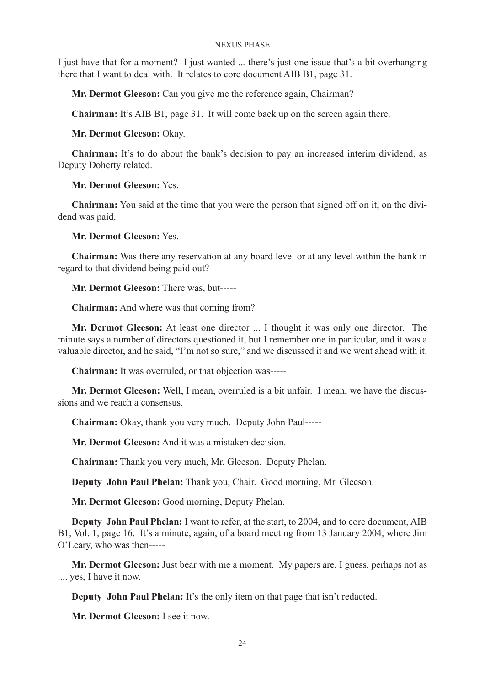I just have that for a moment? I just wanted ... there's just one issue that's a bit overhanging there that I want to deal with. It relates to core document AIB B1, page 31.

**Mr. Dermot Gleeson:** Can you give me the reference again, Chairman?

**Chairman:** It's AIB B1, page 31. It will come back up on the screen again there.

**Mr. Dermot Gleeson:** Okay.

**Chairman:** It's to do about the bank's decision to pay an increased interim dividend, as Deputy Doherty related.

**Mr. Dermot Gleeson:** Yes.

**Chairman:** You said at the time that you were the person that signed off on it, on the dividend was paid.

**Mr. Dermot Gleeson:** Yes.

**Chairman:** Was there any reservation at any board level or at any level within the bank in regard to that dividend being paid out?

**Mr. Dermot Gleeson:** There was, but-----

**Chairman:** And where was that coming from?

**Mr. Dermot Gleeson:** At least one director ... I thought it was only one director. The minute says a number of directors questioned it, but I remember one in particular, and it was a valuable director, and he said, "I'm not so sure," and we discussed it and we went ahead with it.

**Chairman:** It was overruled, or that objection was-----

**Mr. Dermot Gleeson:** Well, I mean, overruled is a bit unfair. I mean, we have the discussions and we reach a consensus.

**Chairman:** Okay, thank you very much. Deputy John Paul-----

**Mr. Dermot Gleeson:** And it was a mistaken decision.

**Chairman:** Thank you very much, Mr. Gleeson. Deputy Phelan.

**Deputy John Paul Phelan:** Thank you, Chair. Good morning, Mr. Gleeson.

**Mr. Dermot Gleeson:** Good morning, Deputy Phelan.

**Deputy John Paul Phelan:** I want to refer, at the start, to 2004, and to core document, AIB B1, Vol. 1, page 16. It's a minute, again, of a board meeting from 13 January 2004, where Jim O'Leary, who was then-----

**Mr. Dermot Gleeson:** Just bear with me a moment. My papers are, I guess, perhaps not as .... yes, I have it now.

**Deputy John Paul Phelan:** It's the only item on that page that isn't redacted.

**Mr. Dermot Gleeson:** I see it now.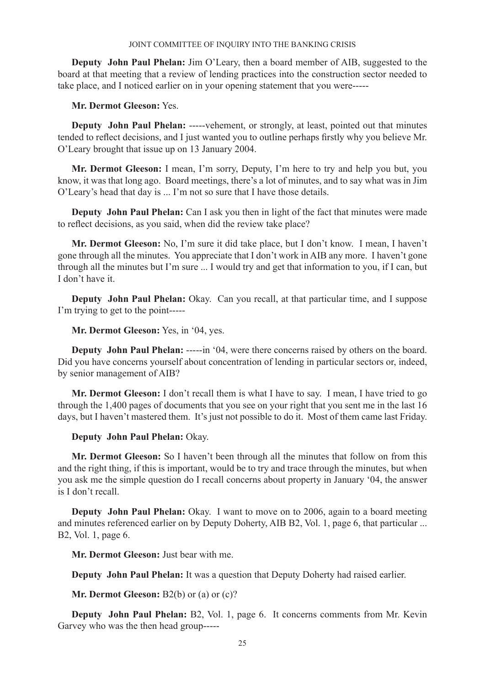**Deputy John Paul Phelan:** Jim O'Leary, then a board member of AIB, suggested to the board at that meeting that a review of lending practices into the construction sector needed to take place, and I noticed earlier on in your opening statement that you were-----

## **Mr. Dermot Gleeson:** Yes.

**Deputy John Paul Phelan:** -----vehement, or strongly, at least, pointed out that minutes tended to reflect decisions, and I just wanted you to outline perhaps firstly why you believe Mr. O'Leary brought that issue up on 13 January 2004.

**Mr. Dermot Gleeson:** I mean, I'm sorry, Deputy, I'm here to try and help you but, you know, it was that long ago. Board meetings, there's a lot of minutes, and to say what was in Jim O'Leary's head that day is ... I'm not so sure that I have those details.

**Deputy John Paul Phelan:** Can I ask you then in light of the fact that minutes were made to reflect decisions, as you said, when did the review take place?

**Mr. Dermot Gleeson:** No, I'm sure it did take place, but I don't know. I mean, I haven't gone through all the minutes. You appreciate that I don't work in AIB any more. I haven't gone through all the minutes but I'm sure ... I would try and get that information to you, if I can, but I don't have it.

**Deputy John Paul Phelan:** Okay. Can you recall, at that particular time, and I suppose I'm trying to get to the point-----

## **Mr. Dermot Gleeson:** Yes, in '04, yes.

**Deputy John Paul Phelan:** -----in '04, were there concerns raised by others on the board. Did you have concerns yourself about concentration of lending in particular sectors or, indeed, by senior management of AIB?

**Mr. Dermot Gleeson:** I don't recall them is what I have to say. I mean, I have tried to go through the 1,400 pages of documents that you see on your right that you sent me in the last 16 days, but I haven't mastered them. It's just not possible to do it. Most of them came last Friday.

## **Deputy John Paul Phelan:** Okay.

**Mr. Dermot Gleeson:** So I haven't been through all the minutes that follow on from this and the right thing, if this is important, would be to try and trace through the minutes, but when you ask me the simple question do I recall concerns about property in January '04, the answer is I don't recall.

**Deputy John Paul Phelan:** Okay. I want to move on to 2006, again to a board meeting and minutes referenced earlier on by Deputy Doherty, AIB B2, Vol. 1, page 6, that particular ... B2, Vol. 1, page 6.

**Mr. Dermot Gleeson:** Just bear with me.

**Deputy John Paul Phelan:** It was a question that Deputy Doherty had raised earlier.

**Mr. Dermot Gleeson:** B2(b) or (a) or (c)?

**Deputy John Paul Phelan:** B2, Vol. 1, page 6. It concerns comments from Mr. Kevin Garvey who was the then head group-----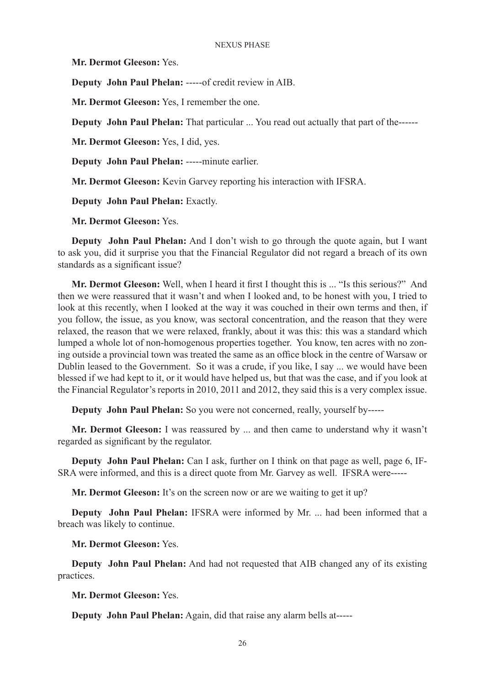**Mr. Dermot Gleeson:** Yes.

**Deputy John Paul Phelan: -----**of credit review in AIB.

**Mr. Dermot Gleeson:** Yes, I remember the one.

**Deputy John Paul Phelan:** That particular ... You read out actually that part of the------

**Mr. Dermot Gleeson:** Yes, I did, yes.

**Deputy John Paul Phelan:** -----minute earlier.

**Mr. Dermot Gleeson:** Kevin Garvey reporting his interaction with IFSRA.

**Deputy John Paul Phelan:** Exactly.

**Mr. Dermot Gleeson:** Yes.

**Deputy** John Paul Phelan: And I don't wish to go through the quote again, but I want to ask you, did it surprise you that the Financial Regulator did not regard a breach of its own standards as a significant issue?

**Mr. Dermot Gleeson:** Well, when I heard it first I thought this is ... "Is this serious?" And then we were reassured that it wasn't and when I looked and, to be honest with you, I tried to look at this recently, when I looked at the way it was couched in their own terms and then, if you follow, the issue, as you know, was sectoral concentration, and the reason that they were relaxed, the reason that we were relaxed, frankly, about it was this: this was a standard which lumped a whole lot of non-homogenous properties together. You know, ten acres with no zoning outside a provincial town was treated the same as an office block in the centre of Warsaw or Dublin leased to the Government. So it was a crude, if you like, I say ... we would have been blessed if we had kept to it, or it would have helped us, but that was the case, and if you look at the Financial Regulator's reports in 2010, 2011 and 2012, they said this is a very complex issue.

**Deputy John Paul Phelan:** So you were not concerned, really, yourself by-----

**Mr. Dermot Gleeson:** I was reassured by ... and then came to understand why it wasn't regarded as significant by the regulator.

**Deputy John Paul Phelan:** Can I ask, further on I think on that page as well, page 6, IF-SRA were informed, and this is a direct quote from Mr. Garvey as well. IFSRA were-----

**Mr. Dermot Gleeson:** It's on the screen now or are we waiting to get it up?

**Deputy John Paul Phelan:** IFSRA were informed by Mr. ... had been informed that a breach was likely to continue.

**Mr. Dermot Gleeson:** Yes.

**Deputy John Paul Phelan:** And had not requested that AIB changed any of its existing practices.

**Mr. Dermot Gleeson:** Yes.

**Deputy John Paul Phelan:** Again, did that raise any alarm bells at-----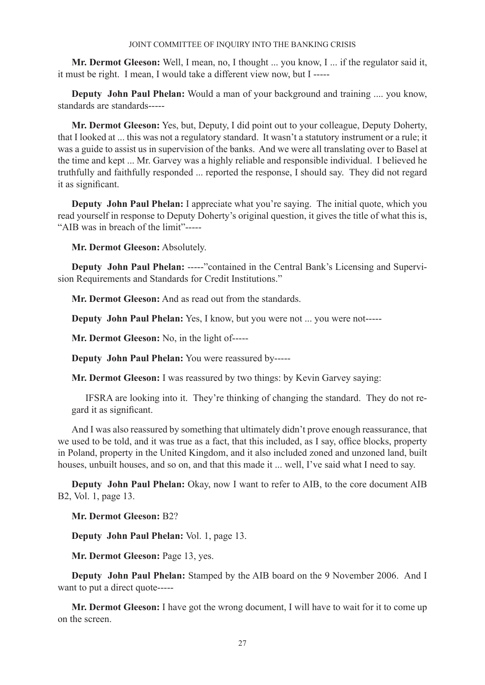**Mr. Dermot Gleeson:** Well, I mean, no, I thought ... you know, I ... if the regulator said it, it must be right. I mean, I would take a different view now, but I -----

**Deputy John Paul Phelan:** Would a man of your background and training .... you know, standards are standards-----

**Mr. Dermot Gleeson:** Yes, but, Deputy, I did point out to your colleague, Deputy Doherty, that I looked at ... this was not a regulatory standard. It wasn't a statutory instrument or a rule; it was a guide to assist us in supervision of the banks. And we were all translating over to Basel at the time and kept ... Mr. Garvey was a highly reliable and responsible individual. I believed he truthfully and faithfully responded ... reported the response, I should say. They did not regard it as significant.

**Deputy John Paul Phelan:** I appreciate what you're saying. The initial quote, which you read yourself in response to Deputy Doherty's original question, it gives the title of what this is, "AIB was in breach of the limit"-----

**Mr. Dermot Gleeson:** Absolutely.

**Deputy John Paul Phelan:** -----"contained in the Central Bank's Licensing and Supervision Requirements and Standards for Credit Institutions."

**Mr. Dermot Gleeson:** And as read out from the standards.

**Deputy John Paul Phelan:** Yes, I know, but you were not ... you were not-----

**Mr. Dermot Gleeson:** No, in the light of-----

**Deputy John Paul Phelan:** You were reassured by-----

**Mr. Dermot Gleeson:** I was reassured by two things: by Kevin Garvey saying:

IFSRA are looking into it. They're thinking of changing the standard. They do not regard it as significant.

And I was also reassured by something that ultimately didn't prove enough reassurance, that we used to be told, and it was true as a fact, that this included, as I say, office blocks, property in Poland, property in the United Kingdom, and it also included zoned and unzoned land, built houses, unbuilt houses, and so on, and that this made it ... well, I've said what I need to say.

**Deputy John Paul Phelan:** Okay, now I want to refer to AIB, to the core document AIB B2, Vol. 1, page 13.

**Mr. Dermot Gleeson:** B2?

**Deputy John Paul Phelan:** Vol. 1, page 13.

**Mr. Dermot Gleeson:** Page 13, yes.

**Deputy John Paul Phelan:** Stamped by the AIB board on the 9 November 2006. And I want to put a direct quote-----

**Mr. Dermot Gleeson:** I have got the wrong document, I will have to wait for it to come up on the screen.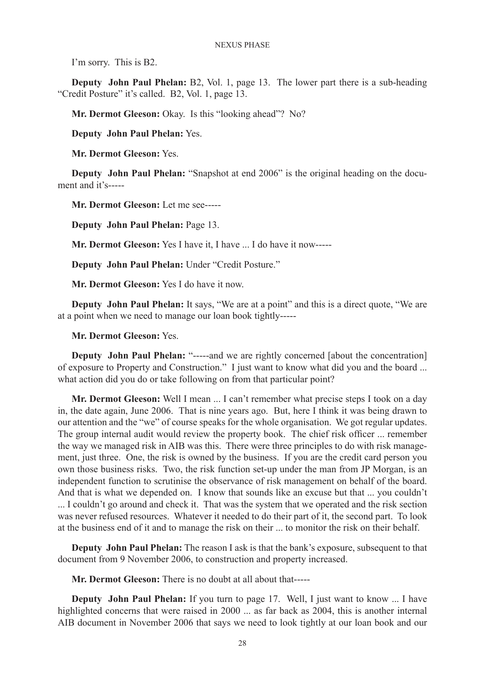I'm sorry. This is B2.

**Deputy John Paul Phelan:** B2, Vol. 1, page 13. The lower part there is a sub-heading "Credit Posture" it's called. B2, Vol. 1, page 13.

**Mr. Dermot Gleeson:** Okay. Is this "looking ahead"? No?

**Deputy John Paul Phelan:** Yes.

**Mr. Dermot Gleeson:** Yes.

**Deputy John Paul Phelan:** "Snapshot at end 2006" is the original heading on the document and it's-----

**Mr. Dermot Gleeson:** Let me see-----

**Deputy John Paul Phelan:** Page 13.

**Mr. Dermot Gleeson:** Yes I have it, I have ... I do have it now-----

**Deputy John Paul Phelan:** Under "Credit Posture."

**Mr. Dermot Gleeson:** Yes I do have it now.

**Deputy John Paul Phelan:** It says, "We are at a point" and this is a direct quote, "We are at a point when we need to manage our loan book tightly-----

**Mr. Dermot Gleeson:** Yes.

**Deputy John Paul Phelan:** "-----and we are rightly concerned [about the concentration] of exposure to Property and Construction." I just want to know what did you and the board ... what action did you do or take following on from that particular point?

**Mr. Dermot Gleeson:** Well I mean ... I can't remember what precise steps I took on a day in, the date again, June 2006. That is nine years ago. But, here I think it was being drawn to our attention and the "we" of course speaks for the whole organisation. We got regular updates. The group internal audit would review the property book. The chief risk officer ... remember the way we managed risk in AIB was this. There were three principles to do with risk management, just three. One, the risk is owned by the business. If you are the credit card person you own those business risks. Two, the risk function set-up under the man from JP Morgan, is an independent function to scrutinise the observance of risk management on behalf of the board. And that is what we depended on. I know that sounds like an excuse but that ... you couldn't ... I couldn't go around and check it. That was the system that we operated and the risk section was never refused resources. Whatever it needed to do their part of it, the second part. To look at the business end of it and to manage the risk on their ... to monitor the risk on their behalf.

**Deputy John Paul Phelan:** The reason I ask is that the bank's exposure, subsequent to that document from 9 November 2006, to construction and property increased.

**Mr. Dermot Gleeson:** There is no doubt at all about that-----

**Deputy John Paul Phelan:** If you turn to page 17. Well, I just want to know ... I have highlighted concerns that were raised in 2000 ... as far back as 2004, this is another internal AIB document in November 2006 that says we need to look tightly at our loan book and our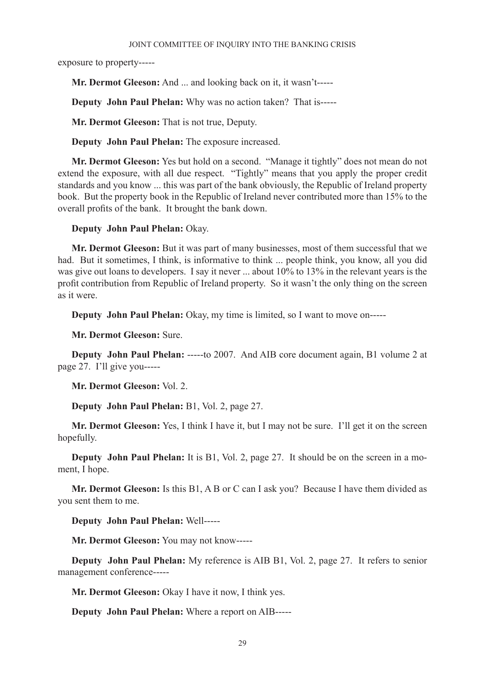exposure to property-----

**Mr. Dermot Gleeson:** And ... and looking back on it, it wasn't-----

**Deputy John Paul Phelan:** Why was no action taken? That is-----

**Mr. Dermot Gleeson:** That is not true, Deputy.

**Deputy John Paul Phelan:** The exposure increased.

**Mr. Dermot Gleeson:** Yes but hold on a second. "Manage it tightly" does not mean do not extend the exposure, with all due respect. "Tightly" means that you apply the proper credit standards and you know ... this was part of the bank obviously, the Republic of Ireland property book. But the property book in the Republic of Ireland never contributed more than 15% to the overall profits of the bank. It brought the bank down.

## **Deputy John Paul Phelan:** Okay.

**Mr. Dermot Gleeson:** But it was part of many businesses, most of them successful that we had. But it sometimes, I think, is informative to think ... people think, you know, all you did was give out loans to developers. I say it never ... about 10% to 13% in the relevant years is the profit contribution from Republic of Ireland property. So it wasn't the only thing on the screen as it were.

**Deputy John Paul Phelan:** Okay, my time is limited, so I want to move on-----

**Mr. Dermot Gleeson:** Sure.

**Deputy John Paul Phelan:** -----to 2007. And AIB core document again, B1 volume 2 at page 27. I'll give you-----

**Mr. Dermot Gleeson:** Vol. 2.

**Deputy John Paul Phelan:** B1, Vol. 2, page 27.

**Mr. Dermot Gleeson:** Yes, I think I have it, but I may not be sure. I'll get it on the screen hopefully.

**Deputy John Paul Phelan:** It is B1, Vol. 2, page 27. It should be on the screen in a moment, I hope.

**Mr. Dermot Gleeson:** Is this B1, A B or C can I ask you? Because I have them divided as you sent them to me.

**Deputy John Paul Phelan:** Well-----

**Mr. Dermot Gleeson:** You may not know-----

**Deputy John Paul Phelan:** My reference is AIB B1, Vol. 2, page 27. It refers to senior management conference-----

**Mr. Dermot Gleeson:** Okay I have it now, I think yes.

**Deputy John Paul Phelan:** Where a report on AIB-----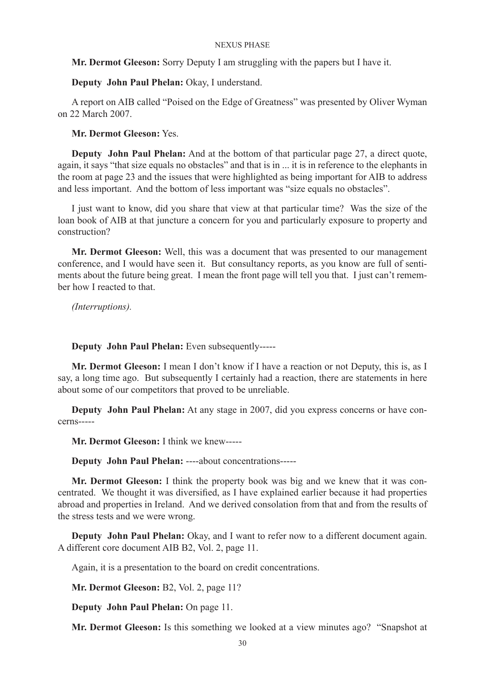## **Mr. Dermot Gleeson:** Sorry Deputy I am struggling with the papers but I have it.

**Deputy John Paul Phelan:** Okay, I understand.

A report on AIB called "Poised on the Edge of Greatness" was presented by Oliver Wyman on 22 March 2007.

## **Mr. Dermot Gleeson:** Yes.

**Deputy John Paul Phelan:** And at the bottom of that particular page 27, a direct quote, again, it says "that size equals no obstacles" and that is in ... it is in reference to the elephants in the room at page 23 and the issues that were highlighted as being important for AIB to address and less important. And the bottom of less important was "size equals no obstacles".

I just want to know, did you share that view at that particular time? Was the size of the loan book of AIB at that juncture a concern for you and particularly exposure to property and construction?

**Mr. Dermot Gleeson:** Well, this was a document that was presented to our management conference, and I would have seen it. But consultancy reports, as you know are full of sentiments about the future being great. I mean the front page will tell you that. I just can't remember how I reacted to that.

*(Interruptions).*

**Deputy John Paul Phelan:** Even subsequently-----

**Mr. Dermot Gleeson:** I mean I don't know if I have a reaction or not Deputy, this is, as I say, a long time ago. But subsequently I certainly had a reaction, there are statements in here about some of our competitors that proved to be unreliable.

**Deputy John Paul Phelan:** At any stage in 2007, did you express concerns or have concerns-----

**Mr. Dermot Gleeson:** I think we knew-----

**Deputy John Paul Phelan:** ----about concentrations-----

**Mr. Dermot Gleeson:** I think the property book was big and we knew that it was concentrated. We thought it was diversified, as I have explained earlier because it had properties abroad and properties in Ireland. And we derived consolation from that and from the results of the stress tests and we were wrong.

**Deputy John Paul Phelan:** Okay, and I want to refer now to a different document again. A different core document AIB B2, Vol. 2, page 11.

Again, it is a presentation to the board on credit concentrations.

**Mr. Dermot Gleeson:** B2, Vol. 2, page 11?

**Deputy John Paul Phelan:** On page 11.

**Mr. Dermot Gleeson:** Is this something we looked at a view minutes ago? "Snapshot at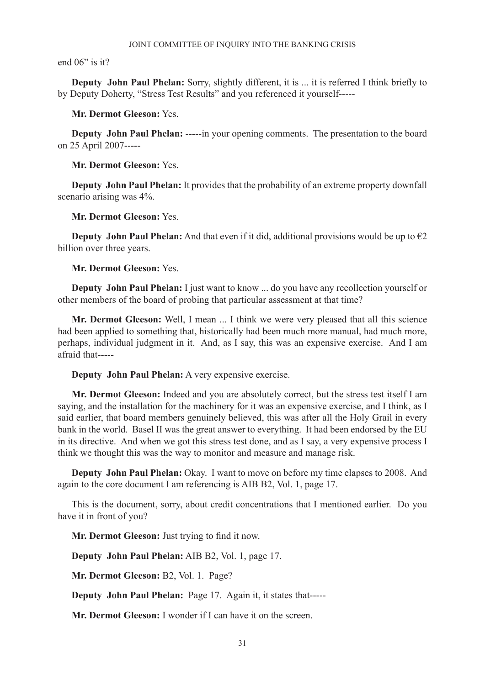end  $06"$  is it?

**Deputy John Paul Phelan:** Sorry, slightly different, it is ... it is referred I think briefly to by Deputy Doherty, "Stress Test Results" and you referenced it yourself-----

**Mr. Dermot Gleeson:** Yes.

**Deputy John Paul Phelan:** -----in your opening comments. The presentation to the board on 25 April 2007-----

**Mr. Dermot Gleeson:** Yes.

**Deputy John Paul Phelan:** It provides that the probability of an extreme property downfall scenario arising was 4%.

**Mr. Dermot Gleeson:** Yes.

**Deputy John Paul Phelan:** And that even if it did, additional provisions would be up to  $\epsilon$ 2 billion over three years.

**Mr. Dermot Gleeson:** Yes.

**Deputy John Paul Phelan:** I just want to know ... do you have any recollection yourself or other members of the board of probing that particular assessment at that time?

**Mr. Dermot Gleeson:** Well, I mean ... I think we were very pleased that all this science had been applied to something that, historically had been much more manual, had much more, perhaps, individual judgment in it. And, as I say, this was an expensive exercise. And I am afraid that-----

**Deputy John Paul Phelan:** A very expensive exercise.

**Mr. Dermot Gleeson:** Indeed and you are absolutely correct, but the stress test itself I am saying, and the installation for the machinery for it was an expensive exercise, and I think, as I said earlier, that board members genuinely believed, this was after all the Holy Grail in every bank in the world. Basel II was the great answer to everything. It had been endorsed by the EU in its directive. And when we got this stress test done, and as I say, a very expensive process I think we thought this was the way to monitor and measure and manage risk.

**Deputy John Paul Phelan:** Okay. I want to move on before my time elapses to 2008. And again to the core document I am referencing is AIB B2, Vol. 1, page 17.

This is the document, sorry, about credit concentrations that I mentioned earlier. Do you have it in front of you?

**Mr. Dermot Gleeson:** Just trying to find it now.

**Deputy John Paul Phelan:** AIB B2, Vol. 1, page 17.

**Mr. Dermot Gleeson:** B2, Vol. 1. Page?

**Deputy John Paul Phelan:** Page 17. Again it, it states that-----

**Mr. Dermot Gleeson:** I wonder if I can have it on the screen.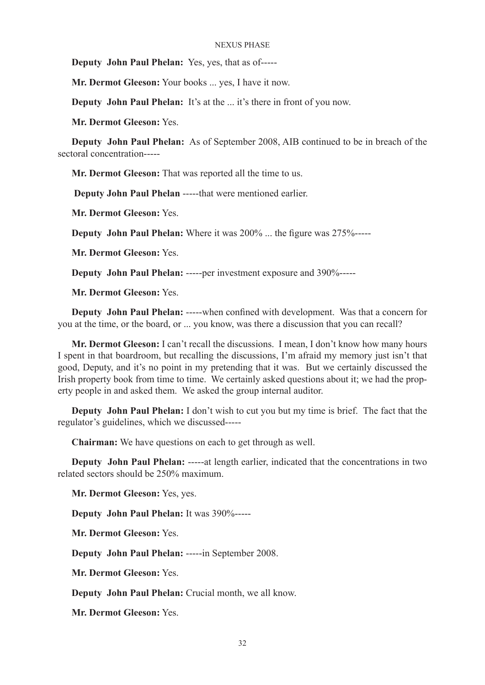**Deputy John Paul Phelan:** Yes, yes, that as of-----

**Mr. Dermot Gleeson:** Your books ... yes, I have it now.

**Deputy John Paul Phelan:** It's at the ... it's there in front of you now.

**Mr. Dermot Gleeson:** Yes.

**Deputy John Paul Phelan:** As of September 2008, AIB continued to be in breach of the sectoral concentration-----

**Mr. Dermot Gleeson:** That was reported all the time to us.

**Deputy John Paul Phelan** -----that were mentioned earlier.

**Mr. Dermot Gleeson:** Yes.

**Deputy John Paul Phelan:** Where it was 200% ... the figure was 275%-----

**Mr. Dermot Gleeson:** Yes.

**Deputy John Paul Phelan:** -----per investment exposure and 390%-----

**Mr. Dermot Gleeson:** Yes.

**Deputy John Paul Phelan:** -----when confined with development. Was that a concern for you at the time, or the board, or ... you know, was there a discussion that you can recall?

**Mr. Dermot Gleeson:** I can't recall the discussions. I mean, I don't know how many hours I spent in that boardroom, but recalling the discussions, I'm afraid my memory just isn't that good, Deputy, and it's no point in my pretending that it was. But we certainly discussed the Irish property book from time to time. We certainly asked questions about it; we had the property people in and asked them. We asked the group internal auditor.

**Deputy John Paul Phelan:** I don't wish to cut you but my time is brief. The fact that the regulator's guidelines, which we discussed-----

**Chairman:** We have questions on each to get through as well.

**Deputy John Paul Phelan:** -----at length earlier, indicated that the concentrations in two related sectors should be 250% maximum.

**Mr. Dermot Gleeson:** Yes, yes.

**Deputy John Paul Phelan:** It was 390%-----

**Mr. Dermot Gleeson:** Yes.

**Deputy John Paul Phelan:** -----in September 2008.

**Mr. Dermot Gleeson:** Yes.

**Deputy John Paul Phelan:** Crucial month, we all know.

**Mr. Dermot Gleeson:** Yes.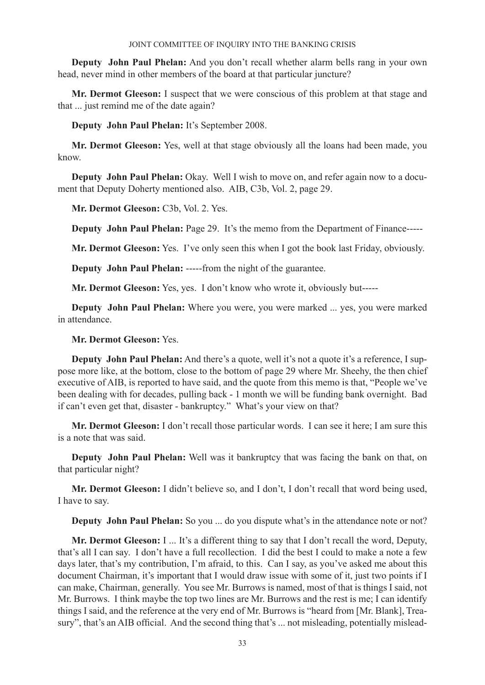**Deputy John Paul Phelan:** And you don't recall whether alarm bells rang in your own head, never mind in other members of the board at that particular juncture?

**Mr. Dermot Gleeson:** I suspect that we were conscious of this problem at that stage and that ... just remind me of the date again?

**Deputy John Paul Phelan:** It's September 2008.

**Mr. Dermot Gleeson:** Yes, well at that stage obviously all the loans had been made, you know.

**Deputy John Paul Phelan:** Okay. Well I wish to move on, and refer again now to a document that Deputy Doherty mentioned also. AIB, C3b, Vol. 2, page 29.

**Mr. Dermot Gleeson:** C3b, Vol. 2. Yes.

**Deputy John Paul Phelan:** Page 29. It's the memo from the Department of Finance-----

**Mr. Dermot Gleeson:** Yes. I've only seen this when I got the book last Friday, obviously.

**Deputy John Paul Phelan:** -----from the night of the guarantee.

**Mr. Dermot Gleeson:** Yes, yes. I don't know who wrote it, obviously but-----

**Deputy John Paul Phelan:** Where you were, you were marked ... yes, you were marked in attendance.

**Mr. Dermot Gleeson:** Yes.

**Deputy John Paul Phelan:** And there's a quote, well it's not a quote it's a reference, I suppose more like, at the bottom, close to the bottom of page 29 where Mr. Sheehy, the then chief executive of AIB, is reported to have said, and the quote from this memo is that, "People we've been dealing with for decades, pulling back - 1 month we will be funding bank overnight. Bad if can't even get that, disaster - bankruptcy." What's your view on that?

**Mr. Dermot Gleeson:** I don't recall those particular words. I can see it here; I am sure this is a note that was said.

**Deputy John Paul Phelan:** Well was it bankruptcy that was facing the bank on that, on that particular night?

**Mr. Dermot Gleeson:** I didn't believe so, and I don't, I don't recall that word being used, I have to say.

**Deputy John Paul Phelan:** So you ... do you dispute what's in the attendance note or not?

**Mr. Dermot Gleeson:** I ... It's a different thing to say that I don't recall the word, Deputy, that's all I can say. I don't have a full recollection. I did the best I could to make a note a few days later, that's my contribution, I'm afraid, to this. Can I say, as you've asked me about this document Chairman, it's important that I would draw issue with some of it, just two points if I can make, Chairman, generally. You see Mr. Burrows is named, most of that is things I said, not Mr. Burrows. I think maybe the top two lines are Mr. Burrows and the rest is me; I can identify things I said, and the reference at the very end of Mr. Burrows is "heard from [Mr. Blank], Treasury", that's an AIB official. And the second thing that's ... not misleading, potentially mislead-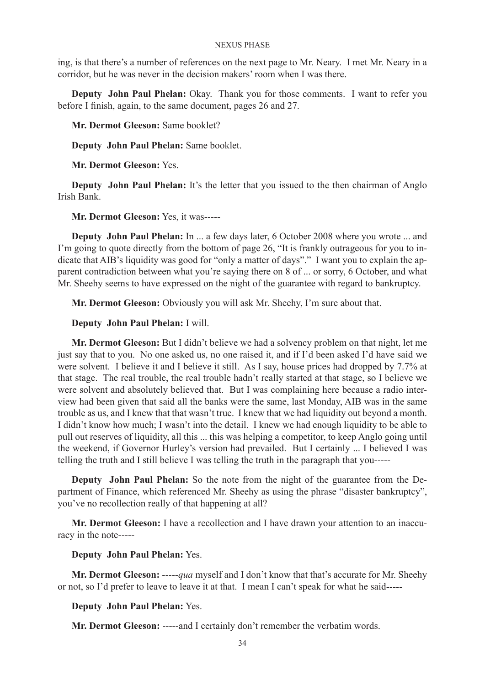ing, is that there's a number of references on the next page to Mr. Neary. I met Mr. Neary in a corridor, but he was never in the decision makers' room when I was there.

**Deputy John Paul Phelan:** Okay. Thank you for those comments. I want to refer you before I finish, again, to the same document, pages 26 and 27.

**Mr. Dermot Gleeson:** Same booklet?

**Deputy John Paul Phelan:** Same booklet.

**Mr. Dermot Gleeson:** Yes.

**Deputy John Paul Phelan:** It's the letter that you issued to the then chairman of Anglo Irish Bank.

**Mr. Dermot Gleeson:** Yes, it was-----

**Deputy John Paul Phelan:** In ... a few days later, 6 October 2008 where you wrote ... and I'm going to quote directly from the bottom of page 26, "It is frankly outrageous for you to indicate that AIB's liquidity was good for "only a matter of days"." I want you to explain the apparent contradiction between what you're saying there on 8 of ... or sorry, 6 October, and what Mr. Sheehy seems to have expressed on the night of the guarantee with regard to bankruptcy.

**Mr. Dermot Gleeson:** Obviously you will ask Mr. Sheehy, I'm sure about that.

**Deputy John Paul Phelan:** I will.

**Mr. Dermot Gleeson:** But I didn't believe we had a solvency problem on that night, let me just say that to you. No one asked us, no one raised it, and if I'd been asked I'd have said we were solvent. I believe it and I believe it still. As I say, house prices had dropped by 7.7% at that stage. The real trouble, the real trouble hadn't really started at that stage, so I believe we were solvent and absolutely believed that. But I was complaining here because a radio interview had been given that said all the banks were the same, last Monday, AIB was in the same trouble as us, and I knew that that wasn't true. I knew that we had liquidity out beyond a month. I didn't know how much; I wasn't into the detail. I knew we had enough liquidity to be able to pull out reserves of liquidity, all this ... this was helping a competitor, to keep Anglo going until the weekend, if Governor Hurley's version had prevailed. But I certainly ... I believed I was telling the truth and I still believe I was telling the truth in the paragraph that you-----

**Deputy John Paul Phelan:** So the note from the night of the guarantee from the Department of Finance, which referenced Mr. Sheehy as using the phrase "disaster bankruptcy", you've no recollection really of that happening at all?

**Mr. Dermot Gleeson:** I have a recollection and I have drawn your attention to an inaccuracy in the note-----

**Deputy John Paul Phelan:** Yes.

**Mr. Dermot Gleeson:** -----*qua* myself and I don't know that that's accurate for Mr. Sheehy or not, so I'd prefer to leave to leave it at that. I mean I can't speak for what he said-----

**Deputy John Paul Phelan:** Yes.

**Mr. Dermot Gleeson:** -----and I certainly don't remember the verbatim words.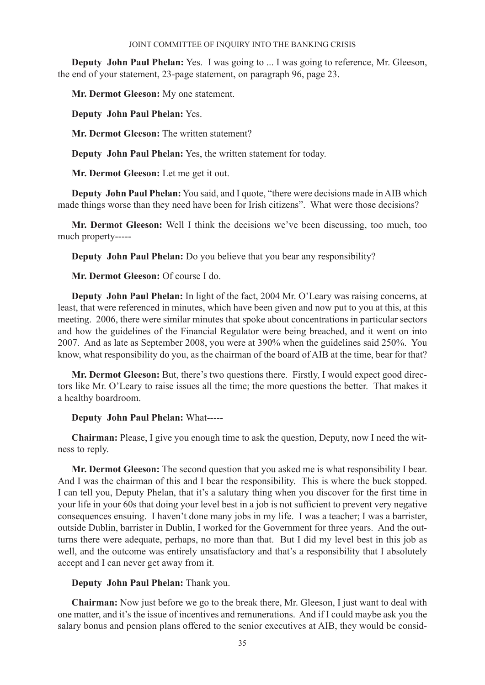**Deputy John Paul Phelan:** Yes. I was going to ... I was going to reference, Mr. Gleeson, the end of your statement, 23-page statement, on paragraph 96, page 23.

**Mr. Dermot Gleeson:** My one statement.

**Deputy John Paul Phelan:** Yes.

**Mr. Dermot Gleeson:** The written statement?

**Deputy John Paul Phelan:** Yes, the written statement for today.

**Mr. Dermot Gleeson:** Let me get it out.

**Deputy John Paul Phelan:** You said, and I quote, "there were decisions made in AIB which made things worse than they need have been for Irish citizens". What were those decisions?

**Mr. Dermot Gleeson:** Well I think the decisions we've been discussing, too much, too much property-----

**Deputy John Paul Phelan:** Do you believe that you bear any responsibility?

**Mr. Dermot Gleeson:** Of course I do.

**Deputy John Paul Phelan:** In light of the fact, 2004 Mr. O'Leary was raising concerns, at least, that were referenced in minutes, which have been given and now put to you at this, at this meeting. 2006, there were similar minutes that spoke about concentrations in particular sectors and how the guidelines of the Financial Regulator were being breached, and it went on into 2007. And as late as September 2008, you were at 390% when the guidelines said 250%. You know, what responsibility do you, as the chairman of the board of AIB at the time, bear for that?

**Mr. Dermot Gleeson:** But, there's two questions there. Firstly, I would expect good directors like Mr. O'Leary to raise issues all the time; the more questions the better. That makes it a healthy boardroom.

**Deputy John Paul Phelan:** What-----

**Chairman:** Please, I give you enough time to ask the question, Deputy, now I need the witness to reply.

**Mr. Dermot Gleeson:** The second question that you asked me is what responsibility I bear. And I was the chairman of this and I bear the responsibility. This is where the buck stopped. I can tell you, Deputy Phelan, that it's a salutary thing when you discover for the first time in your life in your 60s that doing your level best in a job is not sufficient to prevent very negative consequences ensuing. I haven't done many jobs in my life. I was a teacher; I was a barrister, outside Dublin, barrister in Dublin, I worked for the Government for three years. And the outturns there were adequate, perhaps, no more than that. But I did my level best in this job as well, and the outcome was entirely unsatisfactory and that's a responsibility that I absolutely accept and I can never get away from it.

## **Deputy John Paul Phelan:** Thank you.

**Chairman:** Now just before we go to the break there, Mr. Gleeson, I just want to deal with one matter, and it's the issue of incentives and remunerations. And if I could maybe ask you the salary bonus and pension plans offered to the senior executives at AIB, they would be consid-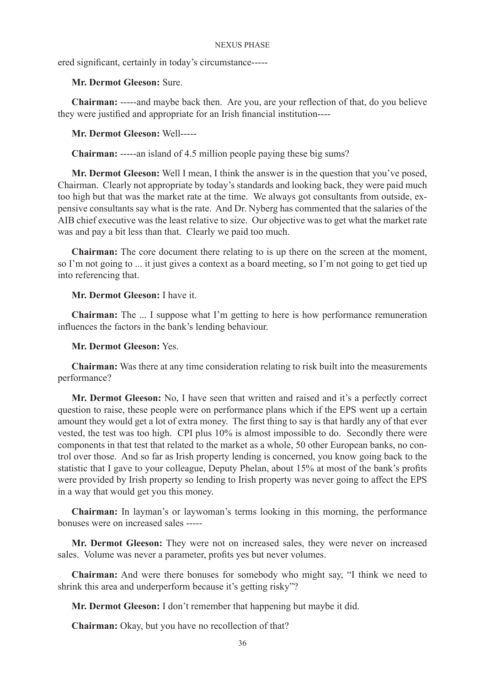ered significant, certainly in today's circumstance-----

### **Mr. Dermot Gleeson:** Sure.

**Chairman:** -----and maybe back then. Are you, are your reflection of that, do you believe they were justified and appropriate for an Irish financial institution----

## **Mr. Dermot Gleeson:** Well-----

**Chairman:** -----an island of 4.5 million people paying these big sums?

**Mr. Dermot Gleeson:** Well I mean, I think the answer is in the question that you've posed, Chairman. Clearly not appropriate by today's standards and looking back, they were paid much too high but that was the market rate at the time. We always got consultants from outside, expensive consultants say what is the rate. And Dr. Nyberg has commented that the salaries of the AIB chief executive was the least relative to size. Our objective was to get what the market rate was and pay a bit less than that. Clearly we paid too much.

**Chairman:** The core document there relating to is up there on the screen at the moment, so I'm not going to ... it just gives a context as a board meeting, so I'm not going to get tied up into referencing that.

## **Mr. Dermot Gleeson:** I have it.

**Chairman:** The ... I suppose what I'm getting to here is how performance remuneration influences the factors in the bank's lending behaviour.

## **Mr. Dermot Gleeson:** Yes.

**Chairman:** Was there at any time consideration relating to risk built into the measurements performance?

**Mr. Dermot Gleeson:** No, I have seen that written and raised and it's a perfectly correct question to raise, these people were on performance plans which if the EPS went up a certain amount they would get a lot of extra money. The first thing to say is that hardly any of that ever vested, the test was too high. CPI plus 10% is almost impossible to do. Secondly there were components in that test that related to the market as a whole, 50 other European banks, no control over those. And so far as Irish property lending is concerned, you know going back to the statistic that I gave to your colleague, Deputy Phelan, about 15% at most of the bank's profits were provided by Irish property so lending to Irish property was never going to affect the EPS in a way that would get you this money.

**Chairman:** In layman's or laywoman's terms looking in this morning, the performance bonuses were on increased sales -----

**Mr. Dermot Gleeson:** They were not on increased sales, they were never on increased sales. Volume was never a parameter, profits yes but never volumes.

**Chairman:** And were there bonuses for somebody who might say, "I think we need to shrink this area and underperform because it's getting risky"?

**Mr. Dermot Gleeson:** I don't remember that happening but maybe it did.

**Chairman:** Okay, but you have no recollection of that?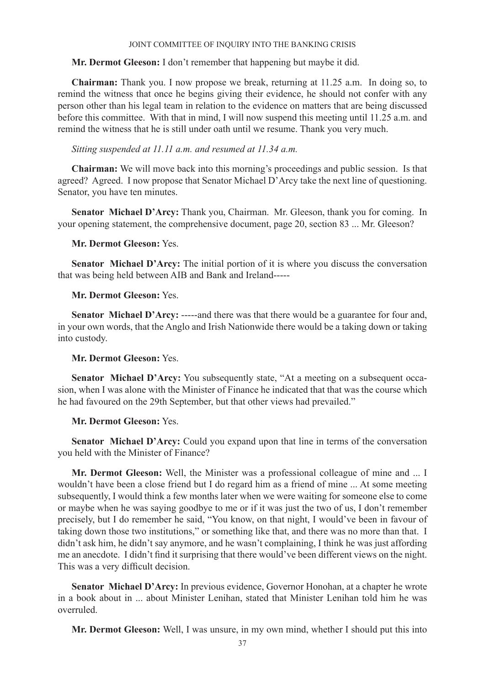## **Mr. Dermot Gleeson:** I don't remember that happening but maybe it did.

**Chairman:** Thank you. I now propose we break, returning at 11.25 a.m. In doing so, to remind the witness that once he begins giving their evidence, he should not confer with any person other than his legal team in relation to the evidence on matters that are being discussed before this committee. With that in mind, I will now suspend this meeting until 11.25 a.m. and remind the witness that he is still under oath until we resume. Thank you very much.

## *Sitting suspended at 11.11 a.m. and resumed at 11.34 a.m.*

**Chairman:** We will move back into this morning's proceedings and public session. Is that agreed? Agreed. I now propose that Senator Michael D'Arcy take the next line of questioning. Senator, you have ten minutes.

**Senator Michael D'Arcy:** Thank you, Chairman. Mr. Gleeson, thank you for coming. In your opening statement, the comprehensive document, page 20, section 83 ... Mr. Gleeson?

## **Mr. Dermot Gleeson:** Yes.

**Senator Michael D'Arcy:** The initial portion of it is where you discuss the conversation that was being held between AIB and Bank and Ireland-----

## **Mr. Dermot Gleeson:** Yes.

**Senator Michael D'Arcy:** -----and there was that there would be a guarantee for four and, in your own words, that the Anglo and Irish Nationwide there would be a taking down or taking into custody.

# **Mr. Dermot Gleeson:** Yes.

**Senator Michael D'Arcy:** You subsequently state, "At a meeting on a subsequent occasion, when I was alone with the Minister of Finance he indicated that that was the course which he had favoured on the 29th September, but that other views had prevailed."

# **Mr. Dermot Gleeson:** Yes.

**Senator Michael D'Arcy:** Could you expand upon that line in terms of the conversation you held with the Minister of Finance?

**Mr. Dermot Gleeson:** Well, the Minister was a professional colleague of mine and ... I wouldn't have been a close friend but I do regard him as a friend of mine ... At some meeting subsequently, I would think a few months later when we were waiting for someone else to come or maybe when he was saying goodbye to me or if it was just the two of us, I don't remember precisely, but I do remember he said, "You know, on that night, I would've been in favour of taking down those two institutions," or something like that, and there was no more than that. I didn't ask him, he didn't say anymore, and he wasn't complaining, I think he was just affording me an anecdote. I didn't find it surprising that there would've been different views on the night. This was a very difficult decision.

**Senator Michael D'Arcy:** In previous evidence, Governor Honohan, at a chapter he wrote in a book about in ... about Minister Lenihan, stated that Minister Lenihan told him he was overruled.

**Mr. Dermot Gleeson:** Well, I was unsure, in my own mind, whether I should put this into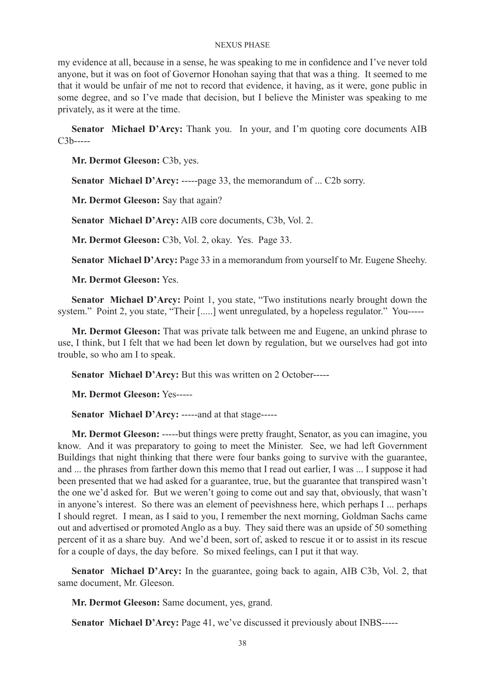my evidence at all, because in a sense, he was speaking to me in confidence and I've never told anyone, but it was on foot of Governor Honohan saying that that was a thing. It seemed to me that it would be unfair of me not to record that evidence, it having, as it were, gone public in some degree, and so I've made that decision, but I believe the Minister was speaking to me privately, as it were at the time.

**Senator Michael D'Arcy:** Thank you. In your, and I'm quoting core documents AIB C3b-----

**Mr. Dermot Gleeson:** C3b, yes.

**Senator Michael D'Arcy:** -----page 33, the memorandum of ... C2b sorry.

**Mr. Dermot Gleeson:** Say that again?

**Senator Michael D'Arcy:** AIB core documents, C3b, Vol. 2.

**Mr. Dermot Gleeson:** C3b, Vol. 2, okay. Yes. Page 33.

**Senator Michael D'Arcy:** Page 33 in a memorandum from yourself to Mr. Eugene Sheehy.

**Mr. Dermot Gleeson:** Yes.

**Senator Michael D'Arcy:** Point 1, you state, "Two institutions nearly brought down the system." Point 2, you state, "Their [.....] went unregulated, by a hopeless regulator." You-----

**Mr. Dermot Gleeson:** That was private talk between me and Eugene, an unkind phrase to use, I think, but I felt that we had been let down by regulation, but we ourselves had got into trouble, so who am I to speak.

**Senator Michael D'Arcy:** But this was written on 2 October-----

**Mr. Dermot Gleeson:** Yes-----

**Senator Michael D'Arcy: -----and at that stage-----**

**Mr. Dermot Gleeson:** -----but things were pretty fraught, Senator, as you can imagine, you know. And it was preparatory to going to meet the Minister. See, we had left Government Buildings that night thinking that there were four banks going to survive with the guarantee, and ... the phrases from farther down this memo that I read out earlier, I was ... I suppose it had been presented that we had asked for a guarantee, true, but the guarantee that transpired wasn't the one we'd asked for. But we weren't going to come out and say that, obviously, that wasn't in anyone's interest. So there was an element of peevishness here, which perhaps I ... perhaps I should regret. I mean, as I said to you, I remember the next morning, Goldman Sachs came out and advertised or promoted Anglo as a buy. They said there was an upside of 50 something percent of it as a share buy. And we'd been, sort of, asked to rescue it or to assist in its rescue for a couple of days, the day before. So mixed feelings, can I put it that way.

**Senator Michael D'Arcy:** In the guarantee, going back to again, AIB C3b, Vol. 2, that same document, Mr. Gleeson.

**Mr. Dermot Gleeson:** Same document, yes, grand.

**Senator Michael D'Arcy:** Page 41, we've discussed it previously about INBS-----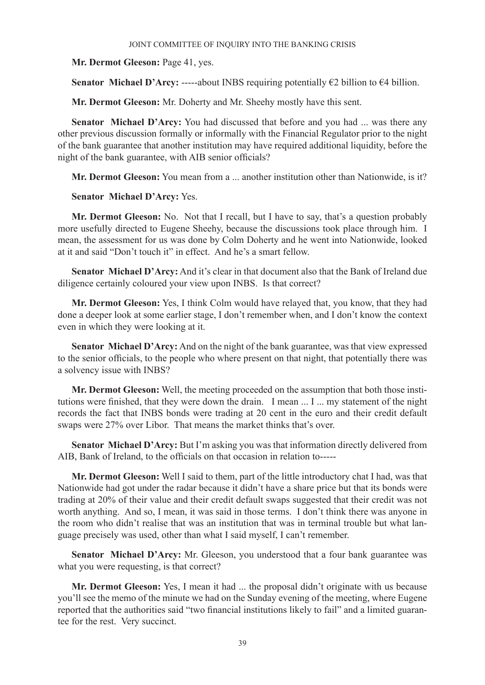**Mr. Dermot Gleeson:** Page 41, yes.

**Senator Michael D'Arcy:** -----about INBS requiring potentially  $\epsilon$ 2 billion to  $\epsilon$ 4 billion.

**Mr. Dermot Gleeson:** Mr. Doherty and Mr. Sheehy mostly have this sent.

**Senator Michael D'Arcy:** You had discussed that before and you had ... was there any other previous discussion formally or informally with the Financial Regulator prior to the night of the bank guarantee that another institution may have required additional liquidity, before the night of the bank guarantee, with AIB senior officials?

**Mr. Dermot Gleeson:** You mean from a ... another institution other than Nationwide, is it?

**Senator Michael D'Arcy:** Yes.

**Mr. Dermot Gleeson:** No. Not that I recall, but I have to say, that's a question probably more usefully directed to Eugene Sheehy, because the discussions took place through him. I mean, the assessment for us was done by Colm Doherty and he went into Nationwide, looked at it and said "Don't touch it" in effect. And he's a smart fellow.

**Senator Michael D'Arcy:** And it's clear in that document also that the Bank of Ireland due diligence certainly coloured your view upon INBS. Is that correct?

**Mr. Dermot Gleeson:** Yes, I think Colm would have relayed that, you know, that they had done a deeper look at some earlier stage, I don't remember when, and I don't know the context even in which they were looking at it.

**Senator Michael D'Arcy:** And on the night of the bank guarantee, was that view expressed to the senior officials, to the people who where present on that night, that potentially there was a solvency issue with INBS?

**Mr. Dermot Gleeson:** Well, the meeting proceeded on the assumption that both those institutions were finished, that they were down the drain. I mean ... I ... my statement of the night records the fact that INBS bonds were trading at 20 cent in the euro and their credit default swaps were 27% over Libor. That means the market thinks that's over.

**Senator Michael D'Arcy:** But I'm asking you was that information directly delivered from AIB, Bank of Ireland, to the officials on that occasion in relation to-----

**Mr. Dermot Gleeson:** Well I said to them, part of the little introductory chat I had, was that Nationwide had got under the radar because it didn't have a share price but that its bonds were trading at 20% of their value and their credit default swaps suggested that their credit was not worth anything. And so, I mean, it was said in those terms. I don't think there was anyone in the room who didn't realise that was an institution that was in terminal trouble but what language precisely was used, other than what I said myself, I can't remember.

**Senator Michael D'Arcy:** Mr. Gleeson, you understood that a four bank guarantee was what you were requesting, is that correct?

**Mr. Dermot Gleeson:** Yes, I mean it had ... the proposal didn't originate with us because you'll see the memo of the minute we had on the Sunday evening of the meeting, where Eugene reported that the authorities said "two financial institutions likely to fail" and a limited guarantee for the rest. Very succinct.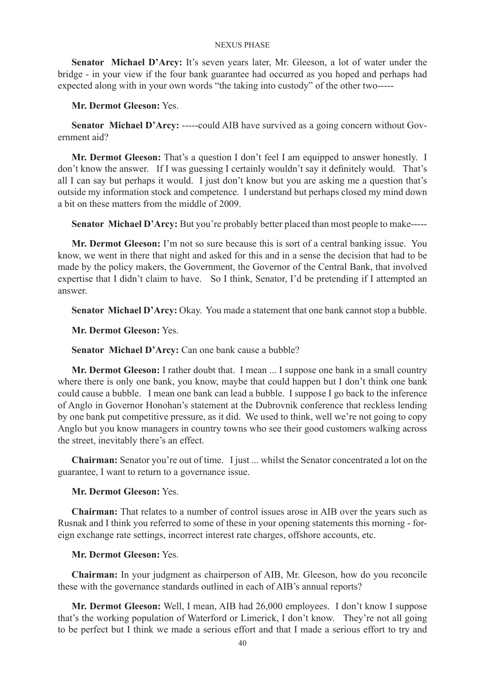Senator Michael D'Arcy: It's seven years later, Mr. Gleeson, a lot of water under the bridge - in your view if the four bank guarantee had occurred as you hoped and perhaps had expected along with in your own words "the taking into custody" of the other two-----

# **Mr. Dermot Gleeson:** Yes.

**Senator Michael D'Arcy:** -----could AIB have survived as a going concern without Government aid?

**Mr. Dermot Gleeson:** That's a question I don't feel I am equipped to answer honestly. I don't know the answer. If I was guessing I certainly wouldn't say it definitely would. That's all I can say but perhaps it would. I just don't know but you are asking me a question that's outside my information stock and competence. I understand but perhaps closed my mind down a bit on these matters from the middle of 2009.

Senator Michael D'Arcy: But you're probably better placed than most people to make-----

**Mr. Dermot Gleeson:** I'm not so sure because this is sort of a central banking issue. You know, we went in there that night and asked for this and in a sense the decision that had to be made by the policy makers, the Government, the Governor of the Central Bank, that involved expertise that I didn't claim to have. So I think, Senator, I'd be pretending if I attempted an answer.

**Senator Michael D'Arcy:** Okay. You made a statement that one bank cannot stop a bubble.

**Mr. Dermot Gleeson:** Yes.

**Senator Michael D'Arcy:** Can one bank cause a bubble?

**Mr. Dermot Gleeson:** I rather doubt that. I mean ... I suppose one bank in a small country where there is only one bank, you know, maybe that could happen but I don't think one bank could cause a bubble. I mean one bank can lead a bubble. I suppose I go back to the inference of Anglo in Governor Honohan's statement at the Dubrovnik conference that reckless lending by one bank put competitive pressure, as it did. We used to think, well we're not going to copy Anglo but you know managers in country towns who see their good customers walking across the street, inevitably there's an effect.

**Chairman:** Senator you're out of time. I just ... whilst the Senator concentrated a lot on the guarantee, I want to return to a governance issue.

## **Mr. Dermot Gleeson:** Yes.

**Chairman:** That relates to a number of control issues arose in AIB over the years such as Rusnak and I think you referred to some of these in your opening statements this morning - foreign exchange rate settings, incorrect interest rate charges, offshore accounts, etc.

## **Mr. Dermot Gleeson:** Yes.

**Chairman:** In your judgment as chairperson of AIB, Mr. Gleeson, how do you reconcile these with the governance standards outlined in each of AIB's annual reports?

**Mr. Dermot Gleeson:** Well, I mean, AIB had 26,000 employees. I don't know I suppose that's the working population of Waterford or Limerick, I don't know. They're not all going to be perfect but I think we made a serious effort and that I made a serious effort to try and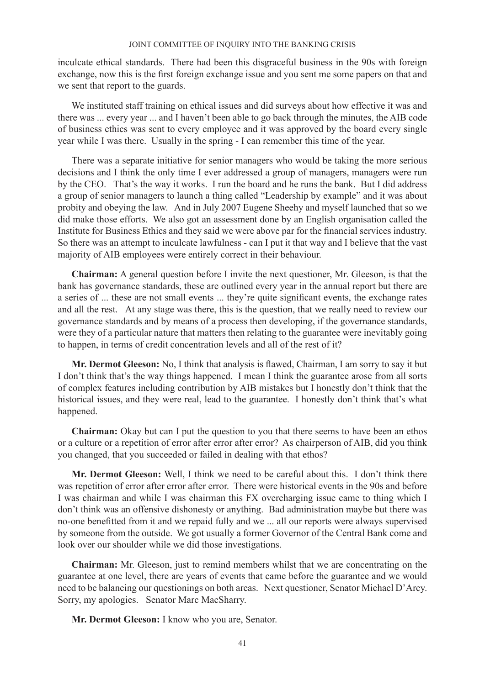inculcate ethical standards. There had been this disgraceful business in the 90s with foreign exchange, now this is the first foreign exchange issue and you sent me some papers on that and we sent that report to the guards.

We instituted staff training on ethical issues and did surveys about how effective it was and there was ... every year ... and I haven't been able to go back through the minutes, the AIB code of business ethics was sent to every employee and it was approved by the board every single year while I was there. Usually in the spring - I can remember this time of the year.

There was a separate initiative for senior managers who would be taking the more serious decisions and I think the only time I ever addressed a group of managers, managers were run by the CEO. That's the way it works. I run the board and he runs the bank. But I did address a group of senior managers to launch a thing called "Leadership by example" and it was about probity and obeying the law. And in July 2007 Eugene Sheehy and myself launched that so we did make those efforts. We also got an assessment done by an English organisation called the Institute for Business Ethics and they said we were above par for the financial services industry. So there was an attempt to inculcate lawfulness - can I put it that way and I believe that the vast majority of AIB employees were entirely correct in their behaviour.

**Chairman:** A general question before I invite the next questioner, Mr. Gleeson, is that the bank has governance standards, these are outlined every year in the annual report but there are a series of ... these are not small events ... they're quite significant events, the exchange rates and all the rest. At any stage was there, this is the question, that we really need to review our governance standards and by means of a process then developing, if the governance standards, were they of a particular nature that matters then relating to the guarantee were inevitably going to happen, in terms of credit concentration levels and all of the rest of it?

**Mr. Dermot Gleeson:** No, I think that analysis is flawed, Chairman, I am sorry to say it but I don't think that's the way things happened. I mean I think the guarantee arose from all sorts of complex features including contribution by AIB mistakes but I honestly don't think that the historical issues, and they were real, lead to the guarantee. I honestly don't think that's what happened.

**Chairman:** Okay but can I put the question to you that there seems to have been an ethos or a culture or a repetition of error after error after error? As chairperson of AIB, did you think you changed, that you succeeded or failed in dealing with that ethos?

**Mr. Dermot Gleeson:** Well, I think we need to be careful about this. I don't think there was repetition of error after error after error. There were historical events in the 90s and before I was chairman and while I was chairman this FX overcharging issue came to thing which I don't think was an offensive dishonesty or anything. Bad administration maybe but there was no-one benefitted from it and we repaid fully and we ... all our reports were always supervised by someone from the outside. We got usually a former Governor of the Central Bank come and look over our shoulder while we did those investigations.

**Chairman:** Mr. Gleeson, just to remind members whilst that we are concentrating on the guarantee at one level, there are years of events that came before the guarantee and we would need to be balancing our questionings on both areas. Next questioner, Senator Michael D'Arcy. Sorry, my apologies. Senator Marc MacSharry.

**Mr. Dermot Gleeson:** I know who you are, Senator.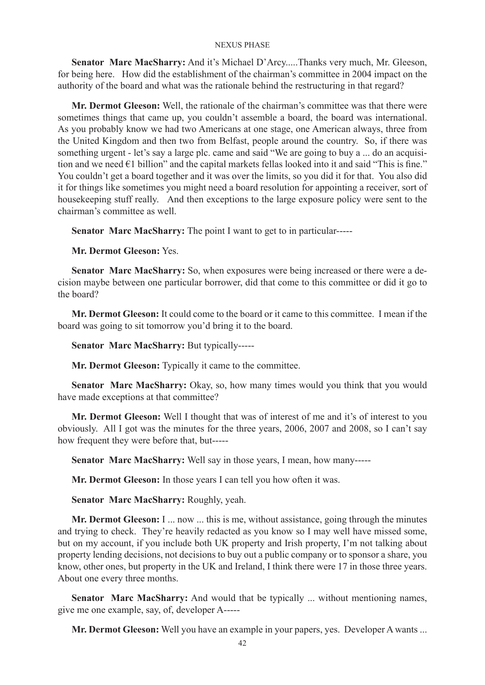**Senator Marc MacSharry:** And it's Michael D'Arcy.....Thanks very much, Mr. Gleeson, for being here. How did the establishment of the chairman's committee in 2004 impact on the authority of the board and what was the rationale behind the restructuring in that regard?

**Mr. Dermot Gleeson:** Well, the rationale of the chairman's committee was that there were sometimes things that came up, you couldn't assemble a board, the board was international. As you probably know we had two Americans at one stage, one American always, three from the United Kingdom and then two from Belfast, people around the country. So, if there was something urgent - let's say a large plc. came and said "We are going to buy a ... do an acquisition and we need €1 billion" and the capital markets fellas looked into it and said "This is fine." You couldn't get a board together and it was over the limits, so you did it for that. You also did it for things like sometimes you might need a board resolution for appointing a receiver, sort of housekeeping stuff really. And then exceptions to the large exposure policy were sent to the chairman's committee as well.

**Senator Marc MacSharry:** The point I want to get to in particular-----

**Mr. Dermot Gleeson:** Yes.

**Senator Marc MacSharry:** So, when exposures were being increased or there were a decision maybe between one particular borrower, did that come to this committee or did it go to the board?

**Mr. Dermot Gleeson:** It could come to the board or it came to this committee. I mean if the board was going to sit tomorrow you'd bring it to the board.

**Senator Marc MacSharry:** But typically-----

**Mr. Dermot Gleeson:** Typically it came to the committee.

**Senator Marc MacSharry:** Okay, so, how many times would you think that you would have made exceptions at that committee?

**Mr. Dermot Gleeson:** Well I thought that was of interest of me and it's of interest to you obviously. All I got was the minutes for the three years, 2006, 2007 and 2008, so I can't say how frequent they were before that, but-----

**Senator Marc MacSharry:** Well say in those years, I mean, how many-----

**Mr. Dermot Gleeson:** In those years I can tell you how often it was.

**Senator Marc MacSharry:** Roughly, yeah.

**Mr. Dermot Gleeson:** I ... now ... this is me, without assistance, going through the minutes and trying to check. They're heavily redacted as you know so I may well have missed some, but on my account, if you include both UK property and Irish property, I'm not talking about property lending decisions, not decisions to buy out a public company or to sponsor a share, you know, other ones, but property in the UK and Ireland, I think there were 17 in those three years. About one every three months.

**Senator Marc MacSharry:** And would that be typically ... without mentioning names, give me one example, say, of, developer A-----

**Mr. Dermot Gleeson:** Well you have an example in your papers, yes. Developer A wants ...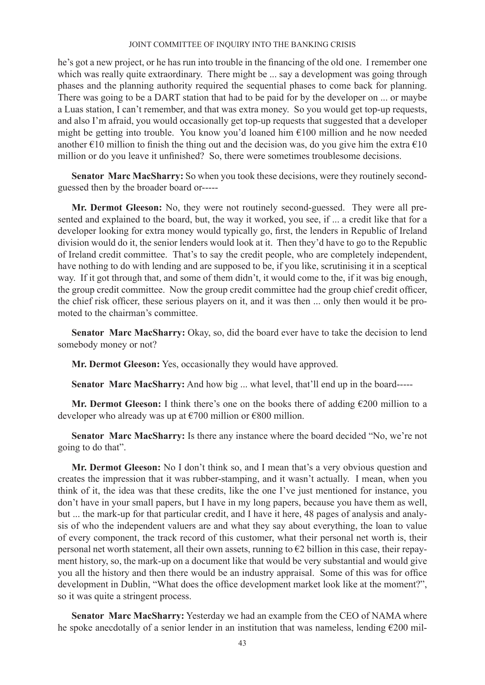he's got a new project, or he has run into trouble in the financing of the old one. I remember one which was really quite extraordinary. There might be ... say a development was going through phases and the planning authority required the sequential phases to come back for planning. There was going to be a DART station that had to be paid for by the developer on ... or maybe a Luas station, I can't remember, and that was extra money. So you would get top-up requests, and also I'm afraid, you would occasionally get top-up requests that suggested that a developer might be getting into trouble. You know you'd loaned him  $E100$  million and he now needed another  $\epsilon$ 10 million to finish the thing out and the decision was, do you give him the extra  $\epsilon$ 10 million or do you leave it unfinished? So, there were sometimes troublesome decisions.

**Senator Marc MacSharry:** So when you took these decisions, were they routinely secondguessed then by the broader board or-----

**Mr. Dermot Gleeson:** No, they were not routinely second-guessed. They were all presented and explained to the board, but, the way it worked, you see, if ... a credit like that for a developer looking for extra money would typically go, first, the lenders in Republic of Ireland division would do it, the senior lenders would look at it. Then they'd have to go to the Republic of Ireland credit committee. That's to say the credit people, who are completely independent, have nothing to do with lending and are supposed to be, if you like, scrutinising it in a sceptical way. If it got through that, and some of them didn't, it would come to the, if it was big enough, the group credit committee. Now the group credit committee had the group chief credit officer, the chief risk officer, these serious players on it, and it was then ... only then would it be promoted to the chairman's committee.

**Senator Marc MacSharry:** Okay, so, did the board ever have to take the decision to lend somebody money or not?

**Mr. Dermot Gleeson:** Yes, occasionally they would have approved.

**Senator Marc MacSharry:** And how big ... what level, that'll end up in the board-----

**Mr. Dermot Gleeson:** I think there's one on the books there of adding €200 million to a developer who already was up at  $\epsilon$ 700 million or  $\epsilon$ 800 million.

**Senator Marc MacSharry:** Is there any instance where the board decided "No, we're not going to do that".

**Mr. Dermot Gleeson:** No I don't think so, and I mean that's a very obvious question and creates the impression that it was rubber-stamping, and it wasn't actually. I mean, when you think of it, the idea was that these credits, like the one I've just mentioned for instance, you don't have in your small papers, but I have in my long papers, because you have them as well, but ... the mark-up for that particular credit, and I have it here, 48 pages of analysis and analysis of who the independent valuers are and what they say about everything, the loan to value of every component, the track record of this customer, what their personal net worth is, their personal net worth statement, all their own assets, running to €2 billion in this case, their repayment history, so, the mark-up on a document like that would be very substantial and would give you all the history and then there would be an industry appraisal. Some of this was for office development in Dublin, "What does the office development market look like at the moment?", so it was quite a stringent process.

**Senator Marc MacSharry:** Yesterday we had an example from the CEO of NAMA where he spoke anecdotally of a senior lender in an institution that was nameless, lending €200 mil-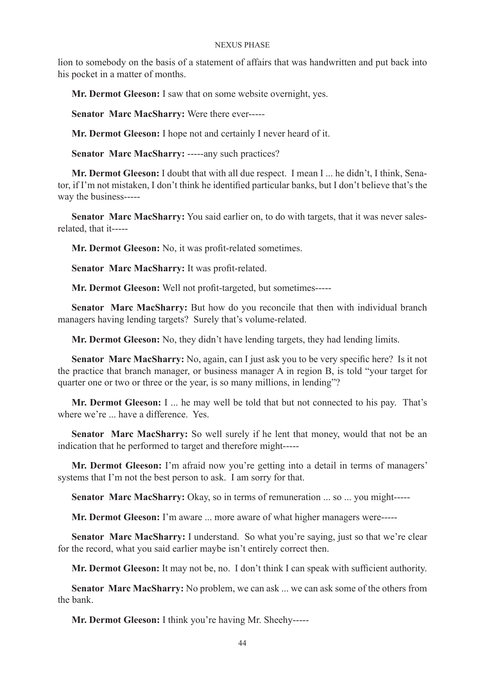lion to somebody on the basis of a statement of affairs that was handwritten and put back into his pocket in a matter of months.

**Mr. Dermot Gleeson:** I saw that on some website overnight, yes.

**Senator Marc MacSharry:** Were there ever-----

**Mr. Dermot Gleeson:** I hope not and certainly I never heard of it.

**Senator Marc MacSharry:** -----any such practices?

**Mr. Dermot Gleeson:** I doubt that with all due respect. I mean I ... he didn't, I think, Senator, if I'm not mistaken, I don't think he identified particular banks, but I don't believe that's the way the business-----

**Senator Marc MacSharry:** You said earlier on, to do with targets, that it was never salesrelated, that it-----

**Mr. Dermot Gleeson:** No, it was profit-related sometimes.

**Senator Marc MacSharry:** It was profit-related.

**Mr. Dermot Gleeson:** Well not profit-targeted, but sometimes-----

**Senator Marc MacSharry:** But how do you reconcile that then with individual branch managers having lending targets? Surely that's volume-related.

**Mr. Dermot Gleeson:** No, they didn't have lending targets, they had lending limits.

**Senator Marc MacSharry:** No, again, can I just ask you to be very specific here? Is it not the practice that branch manager, or business manager A in region B, is told "your target for quarter one or two or three or the year, is so many millions, in lending"?

**Mr. Dermot Gleeson:** I ... he may well be told that but not connected to his pay. That's where we're ... have a difference. Yes.

**Senator Marc MacSharry:** So well surely if he lent that money, would that not be an indication that he performed to target and therefore might-----

**Mr. Dermot Gleeson:** I'm afraid now you're getting into a detail in terms of managers' systems that I'm not the best person to ask. I am sorry for that.

**Senator Marc MacSharry:** Okay, so in terms of remuneration ... so ... you might-----

**Mr. Dermot Gleeson:** I'm aware ... more aware of what higher managers were-----

Senator Marc MacSharry: I understand. So what you're saying, just so that we're clear for the record, what you said earlier maybe isn't entirely correct then.

**Mr. Dermot Gleeson:** It may not be, no. I don't think I can speak with sufficient authority.

**Senator Marc MacSharry:** No problem, we can ask ... we can ask some of the others from the bank.

**Mr. Dermot Gleeson:** I think you're having Mr. Sheehy-----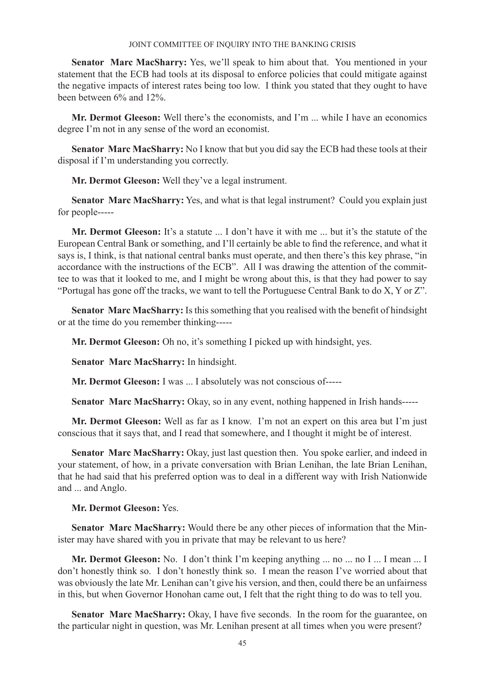**Senator Marc MacSharry:** Yes, we'll speak to him about that. You mentioned in your statement that the ECB had tools at its disposal to enforce policies that could mitigate against the negative impacts of interest rates being too low. I think you stated that they ought to have been between 6% and 12%.

**Mr. Dermot Gleeson:** Well there's the economists, and I'm ... while I have an economics degree I'm not in any sense of the word an economist.

**Senator Marc MacSharry:** No I know that but you did say the ECB had these tools at their disposal if I'm understanding you correctly.

**Mr. Dermot Gleeson:** Well they've a legal instrument.

**Senator Marc MacSharry:** Yes, and what is that legal instrument? Could you explain just for people-----

**Mr. Dermot Gleeson:** It's a statute ... I don't have it with me ... but it's the statute of the European Central Bank or something, and I'll certainly be able to find the reference, and what it says is, I think, is that national central banks must operate, and then there's this key phrase, "in accordance with the instructions of the ECB". All I was drawing the attention of the committee to was that it looked to me, and I might be wrong about this, is that they had power to say "Portugal has gone off the tracks, we want to tell the Portuguese Central Bank to do X, Y or Z".

**Senator Marc MacSharry:** Is this something that you realised with the benefit of hindsight or at the time do you remember thinking-----

**Mr. Dermot Gleeson:** Oh no, it's something I picked up with hindsight, yes.

**Senator Marc MacSharry:** In hindsight.

**Mr. Dermot Gleeson:** I was ... I absolutely was not conscious of-----

**Senator Marc MacSharry:** Okay, so in any event, nothing happened in Irish hands-----

**Mr. Dermot Gleeson:** Well as far as I know. I'm not an expert on this area but I'm just conscious that it says that, and I read that somewhere, and I thought it might be of interest.

**Senator Marc MacSharry:** Okay, just last question then. You spoke earlier, and indeed in your statement, of how, in a private conversation with Brian Lenihan, the late Brian Lenihan, that he had said that his preferred option was to deal in a different way with Irish Nationwide and ... and Anglo.

## **Mr. Dermot Gleeson:** Yes.

**Senator Marc MacSharry:** Would there be any other pieces of information that the Minister may have shared with you in private that may be relevant to us here?

**Mr. Dermot Gleeson:** No. I don't think I'm keeping anything ... no ... no I ... I mean ... I don't honestly think so. I don't honestly think so. I mean the reason I've worried about that was obviously the late Mr. Lenihan can't give his version, and then, could there be an unfairness in this, but when Governor Honohan came out, I felt that the right thing to do was to tell you.

Senator Marc MacSharry: Okay, I have five seconds. In the room for the guarantee, on the particular night in question, was Mr. Lenihan present at all times when you were present?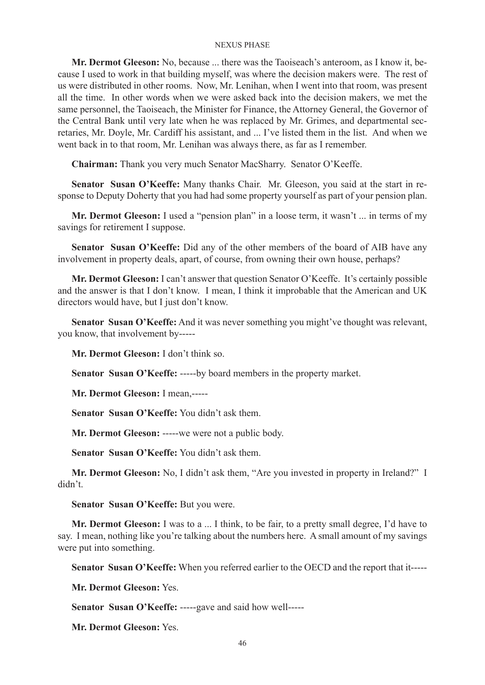**Mr. Dermot Gleeson:** No, because ... there was the Taoiseach's anteroom, as I know it, because I used to work in that building myself, was where the decision makers were. The rest of us were distributed in other rooms. Now, Mr. Lenihan, when I went into that room, was present all the time. In other words when we were asked back into the decision makers, we met the same personnel, the Taoiseach, the Minister for Finance, the Attorney General, the Governor of the Central Bank until very late when he was replaced by Mr. Grimes, and departmental secretaries, Mr. Doyle, Mr. Cardiff his assistant, and ... I've listed them in the list. And when we went back in to that room, Mr. Lenihan was always there, as far as I remember.

**Chairman:** Thank you very much Senator MacSharry. Senator O'Keeffe.

**Senator Susan O'Keeffe:** Many thanks Chair. Mr. Gleeson, you said at the start in response to Deputy Doherty that you had had some property yourself as part of your pension plan.

**Mr. Dermot Gleeson:** I used a "pension plan" in a loose term, it wasn't ... in terms of my savings for retirement I suppose.

**Senator Susan O'Keeffe:** Did any of the other members of the board of AIB have any involvement in property deals, apart, of course, from owning their own house, perhaps?

**Mr. Dermot Gleeson:** I can't answer that question Senator O'Keeffe. It's certainly possible and the answer is that I don't know. I mean, I think it improbable that the American and UK directors would have, but I just don't know.

Senator Susan O'Keeffe: And it was never something you might've thought was relevant, you know, that involvement by-----

**Mr. Dermot Gleeson:** I don't think so.

**Senator Susan O'Keeffe:** -----by board members in the property market.

**Mr. Dermot Gleeson:** I mean,-----

**Senator Susan O'Keeffe:** You didn't ask them.

**Mr. Dermot Gleeson:** -----we were not a public body.

**Senator Susan O'Keeffe:** You didn't ask them.

**Mr. Dermot Gleeson:** No, I didn't ask them, "Are you invested in property in Ireland?" I didn't.

**Senator Susan O'Keeffe:** But you were.

**Mr. Dermot Gleeson:** I was to a ... I think, to be fair, to a pretty small degree, I'd have to say. I mean, nothing like you're talking about the numbers here. A small amount of my savings were put into something.

**Senator Susan O'Keeffe:** When you referred earlier to the OECD and the report that it-----

**Mr. Dermot Gleeson:** Yes.

**Senator Susan O'Keeffe:** -----gave and said how well-----

**Mr. Dermot Gleeson:** Yes.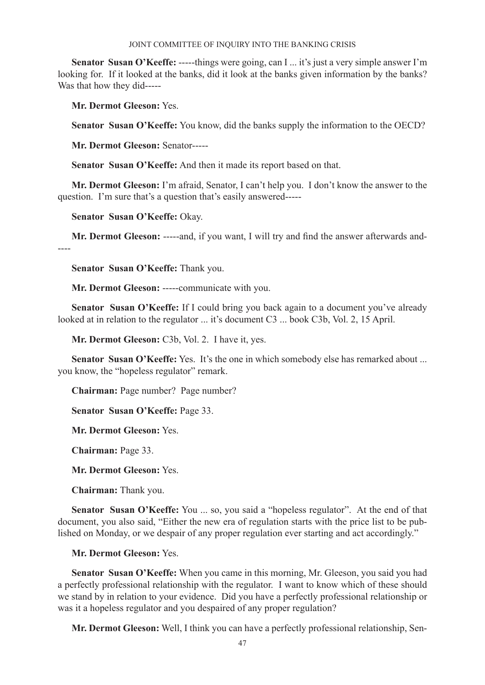**Senator Susan O'Keeffe:** -----things were going, can I ... it's just a very simple answer I'm looking for. If it looked at the banks, did it look at the banks given information by the banks? Was that how they did-----

**Mr. Dermot Gleeson:** Yes.

**Senator Susan O'Keeffe:** You know, did the banks supply the information to the OECD?

**Mr. Dermot Gleeson:** Senator-----

**Senator Susan O'Keeffe:** And then it made its report based on that.

**Mr. Dermot Gleeson:** I'm afraid, Senator, I can't help you. I don't know the answer to the question. I'm sure that's a question that's easily answered-----

**Senator Susan O'Keeffe:** Okay.

**Mr. Dermot Gleeson:** -----and, if you want, I will try and find the answer afterwards and-

----

**Senator Susan O'Keeffe:** Thank you.

**Mr. Dermot Gleeson:** -----communicate with you.

**Senator Susan O'Keeffe:** If I could bring you back again to a document you've already looked at in relation to the regulator ... it's document C3 ... book C3b, Vol. 2, 15 April.

**Mr. Dermot Gleeson:** C3b, Vol. 2. I have it, yes.

Senator Susan O'Keeffe: Yes. It's the one in which somebody else has remarked about ... you know, the "hopeless regulator" remark.

**Chairman:** Page number? Page number?

**Senator Susan O'Keeffe:** Page 33.

**Mr. Dermot Gleeson:** Yes.

**Chairman:** Page 33.

**Mr. Dermot Gleeson:** Yes.

**Chairman:** Thank you.

Senator Susan O'Keeffe: You ... so, you said a "hopeless regulator". At the end of that document, you also said, "Either the new era of regulation starts with the price list to be published on Monday, or we despair of any proper regulation ever starting and act accordingly."

# **Mr. Dermot Gleeson:** Yes.

**Senator Susan O'Keeffe:** When you came in this morning, Mr. Gleeson, you said you had a perfectly professional relationship with the regulator. I want to know which of these should we stand by in relation to your evidence. Did you have a perfectly professional relationship or we stand by in reduced to your contact the state of any proper regulation?

**Mr. Dermot Gleeson:** Well, I think you can have a perfectly professional relationship, Sen-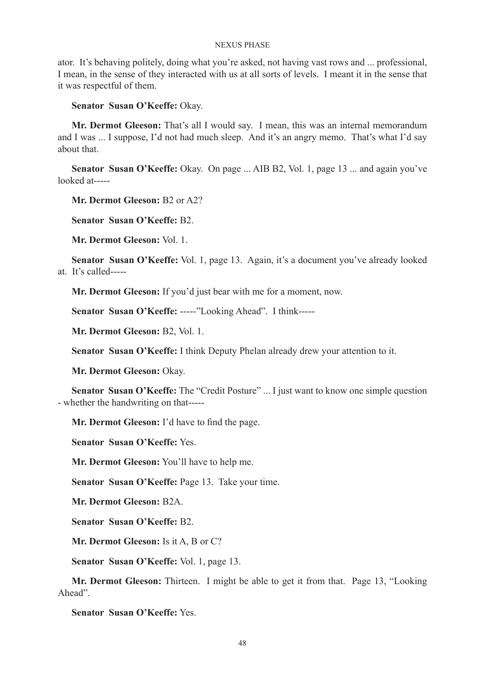ator. It's behaving politely, doing what you're asked, not having vast rows and ... professional, I mean, in the sense of they interacted with us at all sorts of levels. I meant it in the sense that it was respectful of them.

**Senator Susan O'Keeffe:** Okay.

**Mr. Dermot Gleeson:** That's all I would say. I mean, this was an internal memorandum and I was ... I suppose, I'd not had much sleep. And it's an angry memo. That's what I'd say about that.

**Senator Susan O'Keeffe:** Okay. On page ... AIB B2, Vol. 1, page 13 ... and again you've looked at-----

**Mr. Dermot Gleeson:** B2 or A2?

**Senator Susan O'Keeffe:** B2.

**Mr. Dermot Gleeson:** Vol. 1.

**Senator Susan O'Keeffe:** Vol. 1, page 13. Again, it's a document you've already looked at. It's called-----

**Mr. Dermot Gleeson:** If you'd just bear with me for a moment, now.

**Senator Susan O'Keeffe:** -----"Looking Ahead". I think-----

**Mr. Dermot Gleeson:** B2, Vol. 1.

**Senator Susan O'Keeffe:** I think Deputy Phelan already drew your attention to it.

**Mr. Dermot Gleeson:** Okay.

**Senator Susan O'Keeffe:** The "Credit Posture" ... I just want to know one simple question - whether the handwriting on that-----

**Mr. Dermot Gleeson:** I'd have to find the page.

**Senator Susan O'Keeffe:** Yes.

**Mr. Dermot Gleeson:** You'll have to help me.

**Senator Susan O'Keeffe:** Page 13. Take your time.

**Mr. Dermot Gleeson:** B2A.

**Senator Susan O'Keeffe:** B2.

**Mr. Dermot Gleeson:** Is it A, B or C?

**Senator Susan O'Keeffe:** Vol. 1, page 13.

**Mr. Dermot Gleeson:** Thirteen. I might be able to get it from that. Page 13, "Looking Ahead".

**Senator Susan O'Keeffe:** Yes.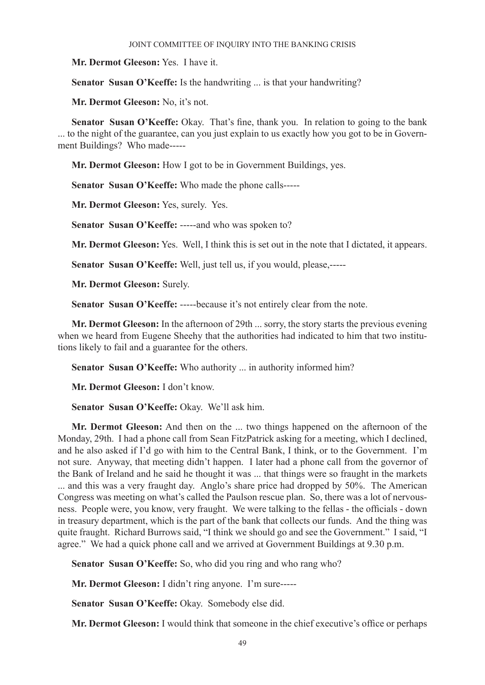**Mr. Dermot Gleeson:** Yes. I have it.

**Senator Susan O'Keeffe:** Is the handwriting ... is that your handwriting?

**Mr. Dermot Gleeson:** No, it's not.

**Senator Susan O'Keeffe:** Okay. That's fine, thank you. In relation to going to the bank ... to the night of the guarantee, can you just explain to us exactly how you got to be in Government Buildings? Who made-----

**Mr. Dermot Gleeson:** How I got to be in Government Buildings, yes.

**Senator Susan O'Keeffe:** Who made the phone calls-----

**Mr. Dermot Gleeson:** Yes, surely. Yes.

Senator Susan O'Keeffe: -----and who was spoken to?

**Mr. Dermot Gleeson:** Yes. Well, I think this is set out in the note that I dictated, it appears.

**Senator Susan O'Keeffe:** Well, just tell us, if you would, please,-----

**Mr. Dermot Gleeson:** Surely.

**Senator Susan O'Keeffe:** -----because it's not entirely clear from the note.

**Mr. Dermot Gleeson:** In the afternoon of 29th ... sorry, the story starts the previous evening when we heard from Eugene Sheehy that the authorities had indicated to him that two institutions likely to fail and a guarantee for the others.

**Senator Susan O'Keeffe:** Who authority ... in authority informed him?

**Mr. Dermot Gleeson:** I don't know.

**Senator Susan O'Keeffe:** Okay. We'll ask him.

**Mr. Dermot Gleeson:** And then on the ... two things happened on the afternoon of the Monday, 29th. I had a phone call from Sean FitzPatrick asking for a meeting, which I declined, and he also asked if I'd go with him to the Central Bank, I think, or to the Government. I'm not sure. Anyway, that meeting didn't happen. I later had a phone call from the governor of the Bank of Ireland and he said he thought it was ... that things were so fraught in the markets ... and this was a very fraught day. Anglo's share price had dropped by 50%. The American Congress was meeting on what's called the Paulson rescue plan. So, there was a lot of nervousness. People were, you know, very fraught. We were talking to the fellas - the officials - down in treasury department, which is the part of the bank that collects our funds. And the thing was quite fraught. Richard Burrows said, "I think we should go and see the Government." I said, "I agree." We had a quick phone call and we arrived at Government Buildings at 9.30 p.m.

**Senator Susan O'Keeffe:** So, who did you ring and who rang who?

**Mr. Dermot Gleeson:** I didn't ring anyone. I'm sure-----

**Senator Susan O'Keeffe:** Okay. Somebody else did.

**Mr. Dermot Gleeson:** I would think that someone in the chief executive's office or perhaps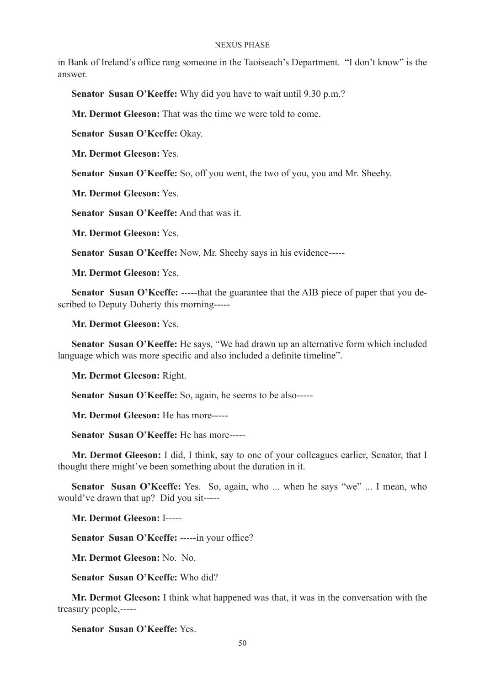in Bank of Ireland's office rang someone in the Taoiseach's Department. "I don't know" is the answer.

**Senator Susan O'Keeffe:** Why did you have to wait until 9.30 p.m.?

**Mr. Dermot Gleeson:** That was the time we were told to come.

**Senator Susan O'Keeffe:** Okay.

**Mr. Dermot Gleeson:** Yes.

**Senator Susan O'Keeffe:** So, off you went, the two of you, you and Mr. Sheehy.

**Mr. Dermot Gleeson:** Yes.

**Senator Susan O'Keeffe:** And that was it.

**Mr. Dermot Gleeson:** Yes.

**Senator Susan O'Keeffe:** Now, Mr. Sheehy says in his evidence-----

**Mr. Dermot Gleeson:** Yes.

**Senator Susan O'Keeffe:** ------that the guarantee that the AIB piece of paper that you described to Deputy Doherty this morning-----

**Mr. Dermot Gleeson:** Yes.

**Senator Susan O'Keeffe:** He says, "We had drawn up an alternative form which included language which was more specific and also included a definite timeline".

**Mr. Dermot Gleeson:** Right.

**Senator Susan O'Keeffe:** So, again, he seems to be also-----

**Mr. Dermot Gleeson:** He has more-----

**Senator Susan O'Keeffe:** He has more-----

**Mr. Dermot Gleeson:** I did, I think, say to one of your colleagues earlier, Senator, that I thought there might've been something about the duration in it.

**Senator Susan O'Keeffe:** Yes. So, again, who ... when he says "we" ... I mean, who would've drawn that up? Did you sit-----

**Mr. Dermot Gleeson:** I-----

Senator Susan O'Keeffe: -----in your office?

**Mr. Dermot Gleeson:** No. No.

**Senator Susan O'Keeffe:** Who did?

**Mr. Dermot Gleeson:** I think what happened was that, it was in the conversation with the treasury people,-----

**Senator Susan O'Keeffe:** Yes.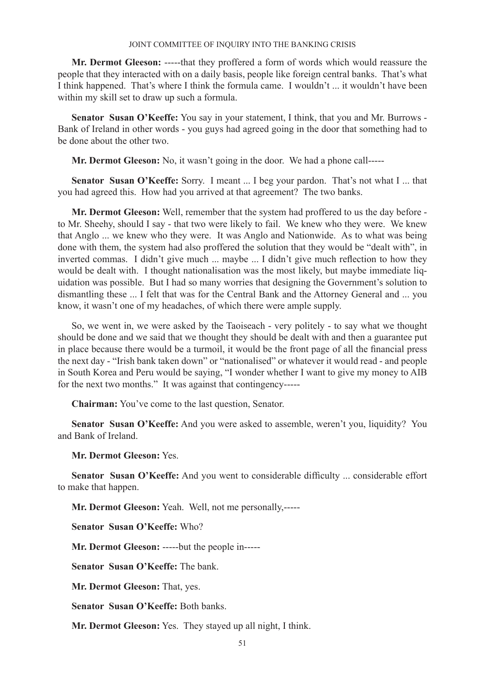**Mr. Dermot Gleeson:** -----that they proffered a form of words which would reassure the people that they interacted with on a daily basis, people like foreign central banks. That's what I think happened. That's where I think the formula came. I wouldn't ... it wouldn't have been within my skill set to draw up such a formula.

**Senator Susan O'Keeffe:** You say in your statement, I think, that you and Mr. Burrows - Bank of Ireland in other words - you guys had agreed going in the door that something had to be done about the other two.

**Mr. Dermot Gleeson:** No, it wasn't going in the door. We had a phone call-----

**Senator Susan O'Keeffe:** Sorry. I meant ... I beg your pardon. That's not what I ... that you had agreed this. How had you arrived at that agreement? The two banks.

**Mr. Dermot Gleeson:** Well, remember that the system had proffered to us the day before to Mr. Sheehy, should I say - that two were likely to fail. We knew who they were. We knew that Anglo ... we knew who they were. It was Anglo and Nationwide. As to what was being done with them, the system had also proffered the solution that they would be "dealt with", in inverted commas. I didn't give much ... maybe ... I didn't give much reflection to how they would be dealt with. I thought nationalisation was the most likely, but maybe immediate liquidation was possible. But I had so many worries that designing the Government's solution to dismantling these ... I felt that was for the Central Bank and the Attorney General and ... you know, it wasn't one of my headaches, of which there were ample supply.

So, we went in, we were asked by the Taoiseach - very politely - to say what we thought should be done and we said that we thought they should be dealt with and then a guarantee put in place because there would be a turmoil, it would be the front page of all the financial press the next day - "Irish bank taken down" or "nationalised" or whatever it would read - and people in South Korea and Peru would be saying, "I wonder whether I want to give my money to AIB for the next two months." It was against that contingency-----

**Chairman:** You've come to the last question, Senator.

**Senator Susan O'Keeffe:** And you were asked to assemble, weren't you, liquidity? You and Bank of Ireland.

**Mr. Dermot Gleeson:** Yes.

**Senator Susan O'Keeffe:** And you went to considerable difficulty ... considerable effort to make that happen.

**Mr. Dermot Gleeson:** Yeah. Well, not me personally,-----

**Senator Susan O'Keeffe:** Who?

**Mr. Dermot Gleeson:** -----but the people in-----

**Senator Susan O'Keeffe:** The bank.

**Mr. Dermot Gleeson:** That, yes.

**Senator Susan O'Keeffe:** Both banks.

**Mr. Dermot Gleeson:** Yes. They stayed up all night, I think.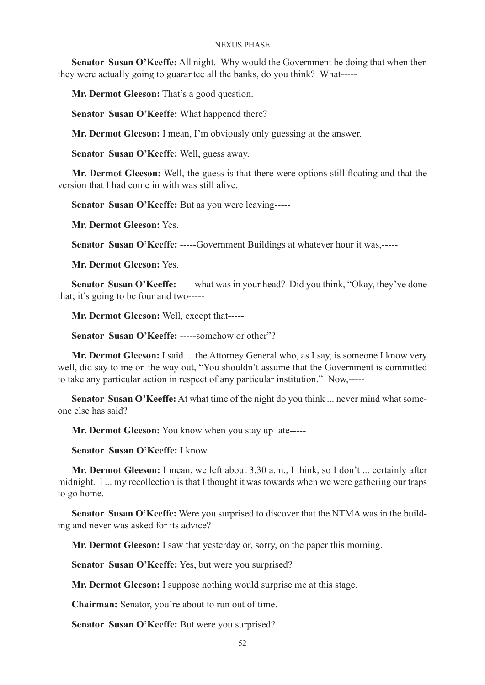**Senator Susan O'Keeffe:** All night. Why would the Government be doing that when then they were actually going to guarantee all the banks, do you think? What-----

**Mr. Dermot Gleeson:** That's a good question.

**Senator Susan O'Keeffe:** What happened there?

**Mr. Dermot Gleeson:** I mean, I'm obviously only guessing at the answer.

**Senator Susan O'Keeffe:** Well, guess away.

**Mr. Dermot Gleeson:** Well, the guess is that there were options still floating and that the version that I had come in with was still alive.

**Senator Susan O'Keeffe:** But as you were leaving-----

**Mr. Dermot Gleeson:** Yes.

**Senator Susan O'Keeffe:** -----Government Buildings at whatever hour it was,-----

**Mr. Dermot Gleeson:** Yes.

**Senator Susan O'Keeffe:** -----what was in your head? Did you think, "Okay, they've done that; it's going to be four and two-----

**Mr. Dermot Gleeson:** Well, except that-----

Senator Susan O'Keeffe: -----somehow or other"?

**Mr. Dermot Gleeson:** I said ... the Attorney General who, as I say, is someone I know very well, did say to me on the way out, "You shouldn't assume that the Government is committed to take any particular action in respect of any particular institution." Now,-----

**Senator Susan O'Keeffe:** At what time of the night do you think ... never mind what someone else has said?

**Mr. Dermot Gleeson:** You know when you stay up late-----

**Senator Susan O'Keeffe:** I know.

**Mr. Dermot Gleeson:** I mean, we left about 3.30 a.m., I think, so I don't ... certainly after midnight. I ... my recollection is that I thought it was towards when we were gathering our traps to go home.

**Senator Susan O'Keeffe:** Were you surprised to discover that the NTMA was in the building and never was asked for its advice?

**Mr. Dermot Gleeson:** I saw that yesterday or, sorry, on the paper this morning.

**Senator Susan O'Keeffe:** Yes, but were you surprised?

**Mr. Dermot Gleeson:** I suppose nothing would surprise me at this stage.

**Chairman:** Senator, you're about to run out of time.

**Senator Susan O'Keeffe:** But were you surprised?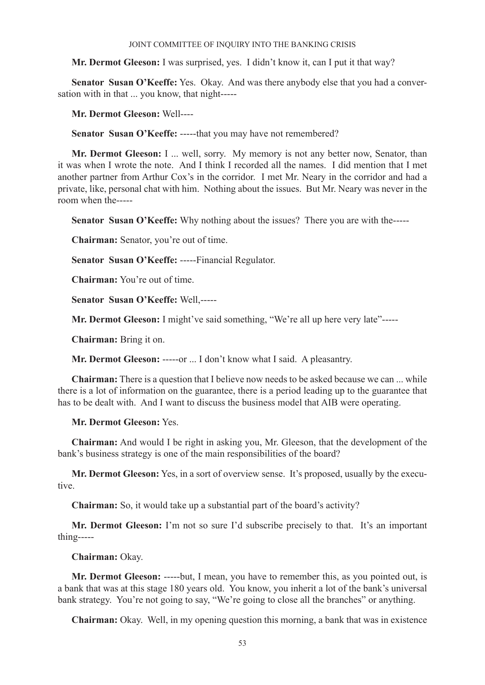**Mr. Dermot Gleeson:** I was surprised, yes. I didn't know it, can I put it that way?

**Senator Susan O'Keeffe:** Yes. Okay. And was there anybody else that you had a conversation with in that ... you know, that night-----

**Mr. Dermot Gleeson:** Well----

**Senator Susan O'Keeffe:** -----that you may have not remembered?

**Mr. Dermot Gleeson:** I ... well, sorry. My memory is not any better now, Senator, than it was when I wrote the note. And I think I recorded all the names. I did mention that I met another partner from Arthur Cox's in the corridor. I met Mr. Neary in the corridor and had a private, like, personal chat with him. Nothing about the issues. But Mr. Neary was never in the room when the-----

**Senator Susan O'Keeffe:** Why nothing about the issues? There you are with the-----

**Chairman:** Senator, you're out of time.

**Senator Susan O'Keeffe:** -----Financial Regulator.

**Chairman:** You're out of time.

**Senator Susan O'Keeffe:** Well,-----

**Mr. Dermot Gleeson:** I might've said something, "We're all up here very late"-----

**Chairman:** Bring it on.

**Mr. Dermot Gleeson:** -----or ... I don't know what I said. A pleasantry.

**Chairman:** There is a question that I believe now needs to be asked because we can ... while there is a lot of information on the guarantee, there is a period leading up to the guarantee that has to be dealt with. And I want to discuss the business model that AIB were operating.

## **Mr. Dermot Gleeson:** Yes.

**Chairman:** And would I be right in asking you, Mr. Gleeson, that the development of the bank's business strategy is one of the main responsibilities of the board?

**Mr. Dermot Gleeson:** Yes, in a sort of overview sense. It's proposed, usually by the executive.

**Chairman:** So, it would take up a substantial part of the board's activity?

**Mr. Dermot Gleeson:** I'm not so sure I'd subscribe precisely to that. It's an important thing-----

# **Chairman:** Okay.

**Mr. Dermot Gleeson:** -----but, I mean, you have to remember this, as you pointed out, is a bank that was at this stage 180 years old. You know, you inherit a lot of the bank's universal bank strategy. You're not going to say, "We're going to close all the branches" or anything.

**Chairman:** Okay. Well, in my opening question this morning, a bank that was in existence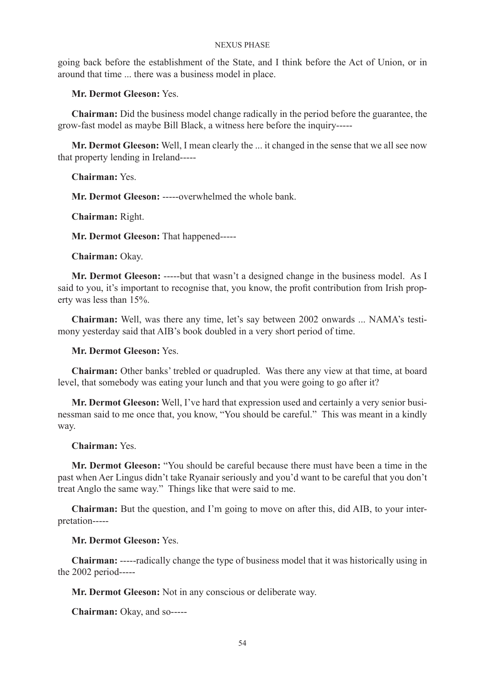going back before the establishment of the State, and I think before the Act of Union, or in around that time ... there was a business model in place.

# **Mr. Dermot Gleeson:** Yes.

**Chairman:** Did the business model change radically in the period before the guarantee, the grow-fast model as maybe Bill Black, a witness here before the inquiry-----

**Mr. Dermot Gleeson:** Well, I mean clearly the ... it changed in the sense that we all see now that property lending in Ireland-----

**Chairman:** Yes.

**Mr. Dermot Gleeson:** -----overwhelmed the whole bank.

**Chairman:** Right.

**Mr. Dermot Gleeson:** That happened-----

**Chairman:** Okay.

**Mr. Dermot Gleeson:** -----but that wasn't a designed change in the business model. As I said to you, it's important to recognise that, you know, the profit contribution from Irish property was less than 15%.

**Chairman:** Well, was there any time, let's say between 2002 onwards ... NAMA's testimony yesterday said that AIB's book doubled in a very short period of time.

**Mr. Dermot Gleeson:** Yes.

**Chairman:** Other banks' trebled or quadrupled. Was there any view at that time, at board level, that somebody was eating your lunch and that you were going to go after it?

**Mr. Dermot Gleeson:** Well, I've hard that expression used and certainly a very senior businessman said to me once that, you know, "You should be careful." This was meant in a kindly way.

# **Chairman:** Yes.

**Mr. Dermot Gleeson:** "You should be careful because there must have been a time in the past when Aer Lingus didn't take Ryanair seriously and you'd want to be careful that you don't treat Anglo the same way." Things like that were said to me.

**Chairman:** But the question, and I'm going to move on after this, did AIB, to your interpretation-----

# **Mr. Dermot Gleeson:** Yes.

**Chairman:** -----radically change the type of business model that it was historically using in the 2002 period-----

**Mr. Dermot Gleeson:** Not in any conscious or deliberate way.

**Chairman:** Okay, and so-----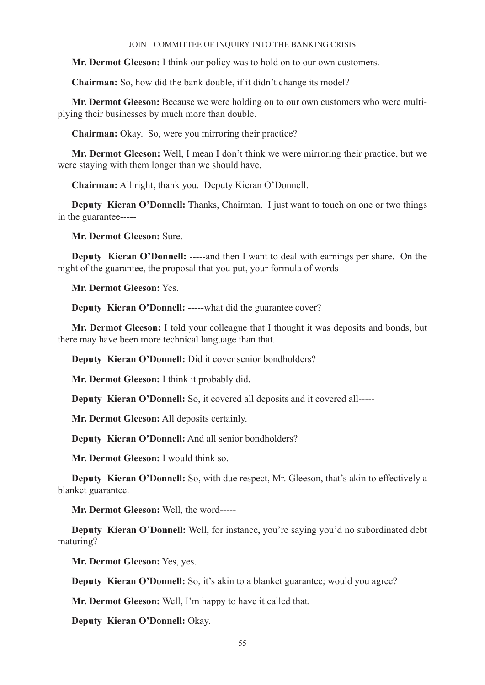**Mr. Dermot Gleeson:** I think our policy was to hold on to our own customers.

**Chairman:** So, how did the bank double, if it didn't change its model?

**Mr. Dermot Gleeson:** Because we were holding on to our own customers who were multiplying their businesses by much more than double.

**Chairman:** Okay. So, were you mirroring their practice?

**Mr. Dermot Gleeson:** Well, I mean I don't think we were mirroring their practice, but we were staying with them longer than we should have.

**Chairman:** All right, thank you. Deputy Kieran O'Donnell.

**Deputy Kieran O'Donnell:** Thanks, Chairman. I just want to touch on one or two things in the guarantee-----

**Mr. Dermot Gleeson:** Sure.

**Deputy Kieran O'Donnell:** -----and then I want to deal with earnings per share. On the night of the guarantee, the proposal that you put, your formula of words-----

**Mr. Dermot Gleeson:** Yes.

**Deputy Kieran O'Donnell:** -----what did the guarantee cover?

**Mr. Dermot Gleeson:** I told your colleague that I thought it was deposits and bonds, but there may have been more technical language than that.

**Deputy Kieran O'Donnell:** Did it cover senior bondholders?

**Mr. Dermot Gleeson:** I think it probably did.

**Deputy Kieran O'Donnell:** So, it covered all deposits and it covered all-----

**Mr. Dermot Gleeson:** All deposits certainly.

**Deputy Kieran O'Donnell:** And all senior bondholders?

**Mr. Dermot Gleeson:** I would think so.

**Deputy Kieran O'Donnell:** So, with due respect, Mr. Gleeson, that's akin to effectively a blanket guarantee.

**Mr. Dermot Gleeson:** Well, the word-----

**Deputy Kieran O'Donnell:** Well, for instance, you're saying you'd no subordinated debt maturing?

**Mr. Dermot Gleeson:** Yes, yes.

**Deputy Kieran O'Donnell:** So, it's akin to a blanket guarantee; would you agree?

**Mr. Dermot Gleeson:** Well, I'm happy to have it called that.

**Deputy Kieran O'Donnell:** Okay.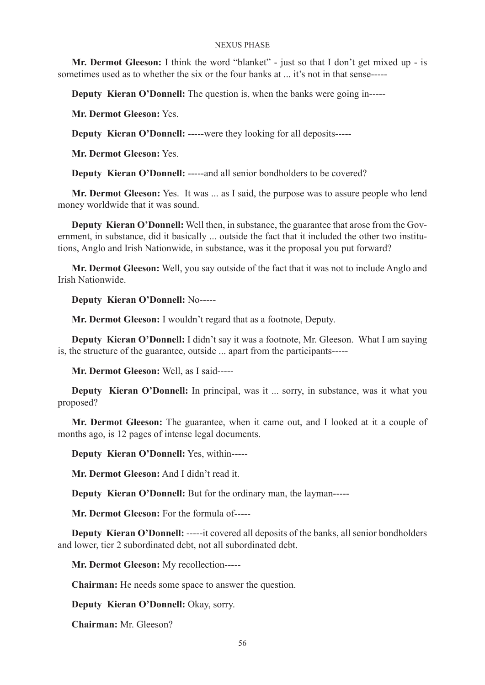**Mr. Dermot Gleeson:** I think the word "blanket" - just so that I don't get mixed up - is sometimes used as to whether the six or the four banks at ... it's not in that sense-----

**Deputy Kieran O'Donnell:** The question is, when the banks were going in-----

**Mr. Dermot Gleeson:** Yes.

**Deputy Kieran O'Donnell:** -----were they looking for all deposits-----

**Mr. Dermot Gleeson:** Yes.

**Deputy Kieran O'Donnell:** -----and all senior bondholders to be covered?

**Mr. Dermot Gleeson:** Yes. It was ... as I said, the purpose was to assure people who lend money worldwide that it was sound.

**Deputy Kieran O'Donnell:** Well then, in substance, the guarantee that arose from the Government, in substance, did it basically ... outside the fact that it included the other two institutions, Anglo and Irish Nationwide, in substance, was it the proposal you put forward?

**Mr. Dermot Gleeson:** Well, you say outside of the fact that it was not to include Anglo and Irish Nationwide.

**Deputy Kieran O'Donnell:** No-----

**Mr. Dermot Gleeson:** I wouldn't regard that as a footnote, Deputy.

**Deputy Kieran O'Donnell:** I didn't say it was a footnote, Mr. Gleeson. What I am saying is, the structure of the guarantee, outside ... apart from the participants-----

**Mr. Dermot Gleeson:** Well, as I said-----

**Deputy Kieran O'Donnell:** In principal, was it ... sorry, in substance, was it what you proposed?

**Mr. Dermot Gleeson:** The guarantee, when it came out, and I looked at it a couple of months ago, is 12 pages of intense legal documents.

**Deputy Kieran O'Donnell:** Yes, within-----

**Mr. Dermot Gleeson:** And I didn't read it.

**Deputy Kieran O'Donnell:** But for the ordinary man, the layman-----

**Mr. Dermot Gleeson:** For the formula of-----

**Deputy Kieran O'Donnell:** -----it covered all deposits of the banks, all senior bondholders and lower, tier 2 subordinated debt, not all subordinated debt.

**Mr. Dermot Gleeson:** My recollection-----

**Chairman:** He needs some space to answer the question.

**Deputy Kieran O'Donnell:** Okay, sorry.

**Chairman:** Mr. Gleeson?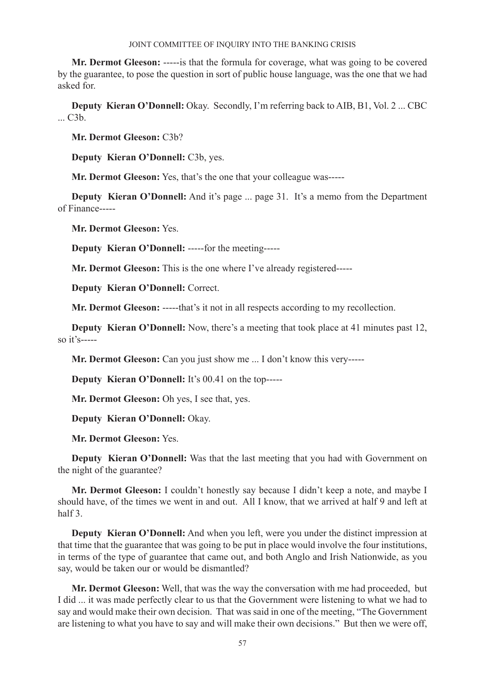**Mr. Dermot Gleeson:** -----is that the formula for coverage, what was going to be covered by the guarantee, to pose the question in sort of public house language, was the one that we had asked for.

**Deputy Kieran O'Donnell:** Okay. Secondly, I'm referring back to AIB, B1, Vol. 2 ... CBC ... C3b.

**Mr. Dermot Gleeson:** C3b?

**Deputy Kieran O'Donnell:** C3b, yes.

**Mr. Dermot Gleeson:** Yes, that's the one that your colleague was-----

**Deputy Kieran O'Donnell:** And it's page ... page 31. It's a memo from the Department of Finance-----

**Mr. Dermot Gleeson:** Yes.

**Deputy Kieran O'Donnell:** -----for the meeting-----

**Mr. Dermot Gleeson:** This is the one where I've already registered-----

**Deputy Kieran O'Donnell:** Correct.

**Mr. Dermot Gleeson:** -----that's it not in all respects according to my recollection.

**Deputy Kieran O'Donnell:** Now, there's a meeting that took place at 41 minutes past 12, so it's-----

**Mr. Dermot Gleeson:** Can you just show me ... I don't know this very-----

**Deputy Kieran O'Donnell:** It's 00.41 on the top-----

**Mr. Dermot Gleeson:** Oh yes, I see that, yes.

**Deputy Kieran O'Donnell:** Okay.

**Mr. Dermot Gleeson:** Yes.

**Deputy Kieran O'Donnell:** Was that the last meeting that you had with Government on the night of the guarantee?

**Mr. Dermot Gleeson:** I couldn't honestly say because I didn't keep a note, and maybe I should have, of the times we went in and out. All I know, that we arrived at half 9 and left at half 3.

**Deputy Kieran O'Donnell:** And when you left, were you under the distinct impression at that time that the guarantee that was going to be put in place would involve the four institutions, in terms of the type of guarantee that came out, and both Anglo and Irish Nationwide, as you say, would be taken our or would be dismantled?

**Mr. Dermot Gleeson:** Well, that was the way the conversation with me had proceeded, but I did ... it was made perfectly clear to us that the Government were listening to what we had to say and would make their own decision. That was said in one of the meeting, "The Government are listening to what you have to say and will make their own decisions." But then we were off,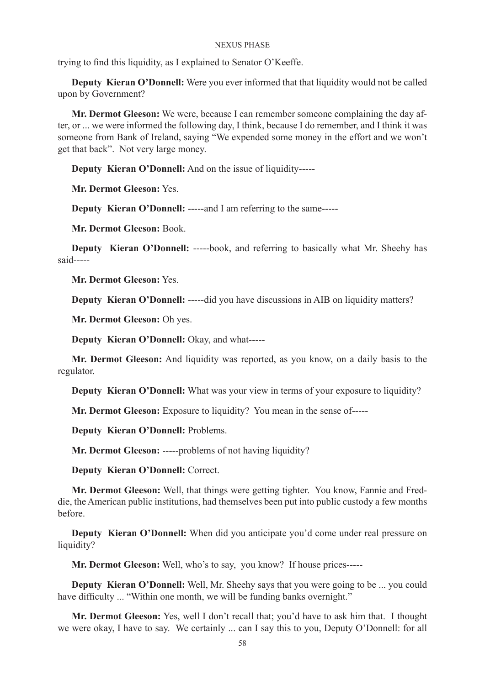trying to find this liquidity, as I explained to Senator O'Keeffe.

**Deputy Kieran O'Donnell:** Were you ever informed that that liquidity would not be called upon by Government?

**Mr. Dermot Gleeson:** We were, because I can remember someone complaining the day after, or ... we were informed the following day, I think, because I do remember, and I think it was someone from Bank of Ireland, saying "We expended some money in the effort and we won't get that back". Not very large money.

**Deputy Kieran O'Donnell:** And on the issue of liquidity-----

**Mr. Dermot Gleeson:** Yes.

**Deputy Kieran O'Donnell:** -----and I am referring to the same-----

**Mr. Dermot Gleeson:** Book.

**Deputy Kieran O'Donnell:** -----book, and referring to basically what Mr. Sheehy has said-----

**Mr. Dermot Gleeson:** Yes.

**Deputy Kieran O'Donnell:** -----did you have discussions in AIB on liquidity matters?

**Mr. Dermot Gleeson:** Oh yes.

**Deputy Kieran O'Donnell:** Okay, and what-----

**Mr. Dermot Gleeson:** And liquidity was reported, as you know, on a daily basis to the regulator.

**Deputy Kieran O'Donnell:** What was your view in terms of your exposure to liquidity?

**Mr. Dermot Gleeson:** Exposure to liquidity? You mean in the sense of-----

**Deputy Kieran O'Donnell:** Problems.

**Mr. Dermot Gleeson:** -----problems of not having liquidity?

**Deputy Kieran O'Donnell:** Correct.

**Mr. Dermot Gleeson:** Well, that things were getting tighter. You know, Fannie and Freddie, the American public institutions, had themselves been put into public custody a few months before.

**Deputy Kieran O'Donnell:** When did you anticipate you'd come under real pressure on liquidity?

**Mr. Dermot Gleeson:** Well, who's to say, you know? If house prices-----

**Deputy Kieran O'Donnell:** Well, Mr. Sheehy says that you were going to be ... you could have difficulty ... "Within one month, we will be funding banks overnight."

**Mr. Dermot Gleeson:** Yes, well I don't recall that; you'd have to ask him that. I thought we were okay, I have to say. We certainly ... can I say this to you, Deputy O'Donnell: for all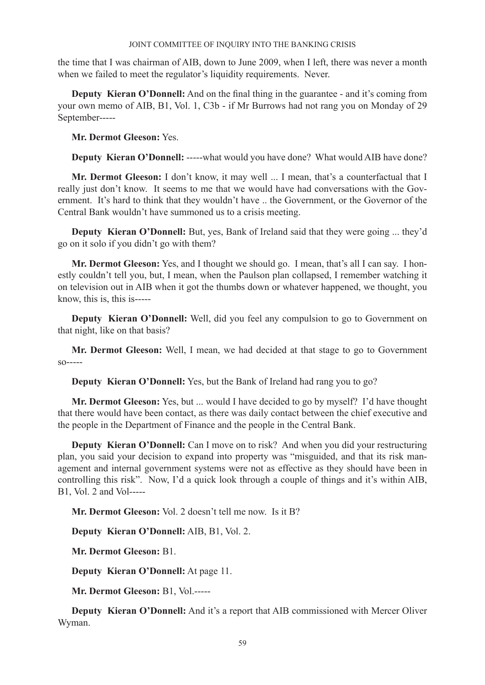the time that I was chairman of AIB, down to June 2009, when I left, there was never a month when we failed to meet the regulator's liquidity requirements. Never.

**Deputy Kieran O'Donnell:** And on the final thing in the guarantee - and it's coming from your own memo of AIB, B1, Vol. 1, C3b - if Mr Burrows had not rang you on Monday of 29 September-----

**Mr. Dermot Gleeson:** Yes.

**Deputy Kieran O'Donnell:** -----what would you have done? What would AIB have done?

**Mr. Dermot Gleeson:** I don't know, it may well ... I mean, that's a counterfactual that I really just don't know. It seems to me that we would have had conversations with the Government. It's hard to think that they wouldn't have .. the Government, or the Governor of the Central Bank wouldn't have summoned us to a crisis meeting.

**Deputy Kieran O'Donnell:** But, yes, Bank of Ireland said that they were going ... they'd go on it solo if you didn't go with them?

**Mr. Dermot Gleeson:** Yes, and I thought we should go. I mean, that's all I can say. I honestly couldn't tell you, but, I mean, when the Paulson plan collapsed, I remember watching it on television out in AIB when it got the thumbs down or whatever happened, we thought, you know, this is, this is-----

**Deputy Kieran O'Donnell:** Well, did you feel any compulsion to go to Government on that night, like on that basis?

**Mr. Dermot Gleeson:** Well, I mean, we had decided at that stage to go to Government  $SO----2$ 

**Deputy Kieran O'Donnell:** Yes, but the Bank of Ireland had rang you to go?

**Mr. Dermot Gleeson:** Yes, but ... would I have decided to go by myself? I'd have thought that there would have been contact, as there was daily contact between the chief executive and the people in the Department of Finance and the people in the Central Bank.

**Deputy Kieran O'Donnell:** Can I move on to risk? And when you did your restructuring plan, you said your decision to expand into property was "misguided, and that its risk management and internal government systems were not as effective as they should have been in controlling this risk". Now, I'd a quick look through a couple of things and it's within AIB, B1, Vol. 2 and Vol-----

**Mr. Dermot Gleeson:** Vol. 2 doesn't tell me now. Is it B?

**Deputy Kieran O'Donnell:** AIB, B1, Vol. 2.

**Mr. Dermot Gleeson:** B1.

**Deputy Kieran O'Donnell:** At page 11.

**Mr. Dermot Gleeson:** B1, Vol.-----

**Deputy Kieran O'Donnell:** And it's a report that AIB commissioned with Mercer Oliver Wyman.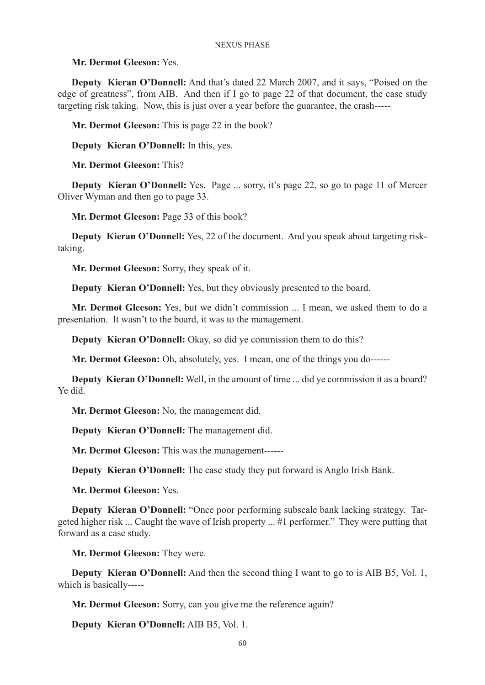## **Mr. Dermot Gleeson:** Yes.

**Deputy Kieran O'Donnell:** And that's dated 22 March 2007, and it says, "Poised on the edge of greatness", from AIB. And then if I go to page 22 of that document, the case study targeting risk taking. Now, this is just over a year before the guarantee, the crash-----

**Mr. Dermot Gleeson:** This is page 22 in the book?

**Deputy Kieran O'Donnell:** In this, yes.

**Mr. Dermot Gleeson:** This?

**Deputy Kieran O'Donnell:** Yes. Page ... sorry, it's page 22, so go to page 11 of Mercer Oliver Wyman and then go to page 33.

**Mr. Dermot Gleeson:** Page 33 of this book?

**Deputy Kieran O'Donnell:** Yes, 22 of the document. And you speak about targeting risktaking.

**Mr. Dermot Gleeson:** Sorry, they speak of it.

**Deputy Kieran O'Donnell:** Yes, but they obviously presented to the board.

**Mr. Dermot Gleeson:** Yes, but we didn't commission ... I mean, we asked them to do a presentation. It wasn't to the board, it was to the management.

**Deputy Kieran O'Donnell:** Okay, so did ye commission them to do this?

**Mr. Dermot Gleeson:** Oh, absolutely, yes. I mean, one of the things you do------

**Deputy Kieran O'Donnell:** Well, in the amount of time ... did ye commission it as a board? Ye did.

**Mr. Dermot Gleeson:** No, the management did.

**Deputy Kieran O'Donnell:** The management did.

**Mr. Dermot Gleeson:** This was the management------

**Deputy Kieran O'Donnell:** The case study they put forward is Anglo Irish Bank.

**Mr. Dermot Gleeson:** Yes.

**Deputy Kieran O'Donnell:** "Once poor performing subscale bank lacking strategy. Targeted higher risk ... Caught the wave of Irish property ... #1 performer." They were putting that forward as a case study.

**Mr. Dermot Gleeson:** They were.

**Deputy Kieran O'Donnell:** And then the second thing I want to go to is AIB B5, Vol. 1, which is basically-----

**Mr. Dermot Gleeson:** Sorry, can you give me the reference again?

**Deputy Kieran O'Donnell:** AIB B5, Vol. 1.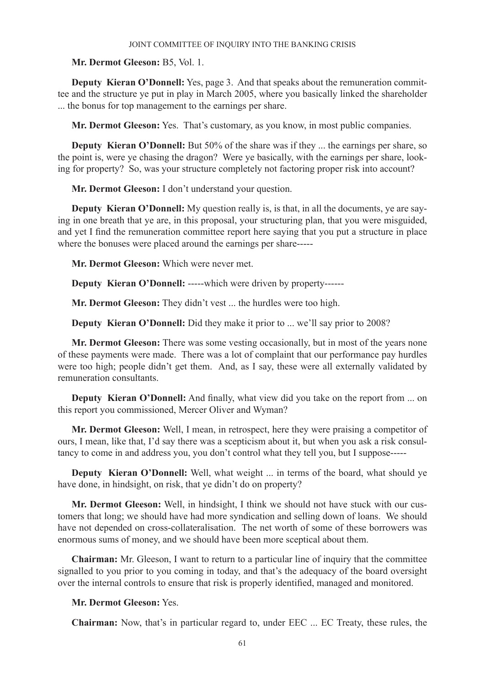## **Mr. Dermot Gleeson:** B5, Vol. 1.

**Deputy Kieran O'Donnell:** Yes, page 3. And that speaks about the remuneration committee and the structure ye put in play in March 2005, where you basically linked the shareholder ... the bonus for top management to the earnings per share.

**Mr. Dermot Gleeson:** Yes. That's customary, as you know, in most public companies.

**Deputy Kieran O'Donnell:** But 50% of the share was if they ... the earnings per share, so the point is, were ye chasing the dragon? Were ye basically, with the earnings per share, looking for property? So, was your structure completely not factoring proper risk into account?

**Mr. Dermot Gleeson:** I don't understand your question.

**Deputy Kieran O'Donnell:** My question really is, is that, in all the documents, ye are saying in one breath that ye are, in this proposal, your structuring plan, that you were misguided, and yet I find the remuneration committee report here saying that you put a structure in place where the bonuses were placed around the earnings per share-----

**Mr. Dermot Gleeson:** Which were never met.

**Deputy Kieran O'Donnell:** -----which were driven by property------

**Mr. Dermot Gleeson:** They didn't vest ... the hurdles were too high.

**Deputy Kieran O'Donnell:** Did they make it prior to ... we'll say prior to 2008?

**Mr. Dermot Gleeson:** There was some vesting occasionally, but in most of the years none of these payments were made. There was a lot of complaint that our performance pay hurdles were too high; people didn't get them. And, as I say, these were all externally validated by remuneration consultants.

**Deputy Kieran O'Donnell:** And finally, what view did you take on the report from ... on this report you commissioned, Mercer Oliver and Wyman?

**Mr. Dermot Gleeson:** Well, I mean, in retrospect, here they were praising a competitor of ours, I mean, like that, I'd say there was a scepticism about it, but when you ask a risk consultancy to come in and address you, you don't control what they tell you, but I suppose-----

**Deputy Kieran O'Donnell:** Well, what weight ... in terms of the board, what should ye have done, in hindsight, on risk, that ye didn't do on property?

**Mr. Dermot Gleeson:** Well, in hindsight, I think we should not have stuck with our customers that long; we should have had more syndication and selling down of loans. We should have not depended on cross-collateralisation. The net worth of some of these borrowers was enormous sums of money, and we should have been more sceptical about them.

**Chairman:** Mr. Gleeson, I want to return to a particular line of inquiry that the committee signalled to you prior to you coming in today, and that's the adequacy of the board oversight over the internal controls to ensure that risk is properly identified, managed and monitored.

# **Mr. Dermot Gleeson:** Yes.

**Chairman:** Now, that's in particular regard to, under EEC ... EC Treaty, these rules, the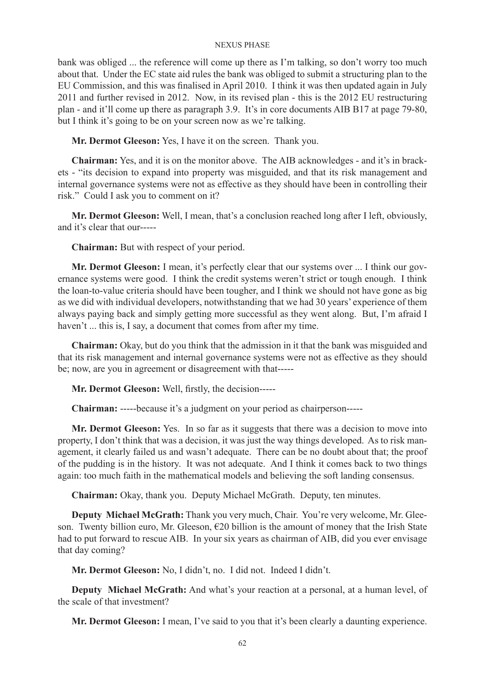bank was obliged ... the reference will come up there as I'm talking, so don't worry too much about that. Under the EC state aid rules the bank was obliged to submit a structuring plan to the EU Commission, and this was finalised in April 2010. I think it was then updated again in July 2011 and further revised in 2012. Now, in its revised plan - this is the 2012 EU restructuring plan - and it'll come up there as paragraph 3.9. It's in core documents AIB B17 at page 79-80, but I think it's going to be on your screen now as we're talking.

**Mr. Dermot Gleeson:** Yes, I have it on the screen. Thank you.

**Chairman:** Yes, and it is on the monitor above. The AIB acknowledges - and it's in brackets - "its decision to expand into property was misguided, and that its risk management and internal governance systems were not as effective as they should have been in controlling their risk." Could I ask you to comment on it?

**Mr. Dermot Gleeson:** Well, I mean, that's a conclusion reached long after I left, obviously, and it's clear that our-----

**Chairman:** But with respect of your period.

**Mr. Dermot Gleeson:** I mean, it's perfectly clear that our systems over ... I think our governance systems were good. I think the credit systems weren't strict or tough enough. I think the loan-to-value criteria should have been tougher, and I think we should not have gone as big as we did with individual developers, notwithstanding that we had 30 years' experience of them always paying back and simply getting more successful as they went along. But, I'm afraid I haven't ... this is, I say, a document that comes from after my time.

**Chairman:** Okay, but do you think that the admission in it that the bank was misguided and that its risk management and internal governance systems were not as effective as they should be; now, are you in agreement or disagreement with that-----

**Mr. Dermot Gleeson:** Well, firstly, the decision-----

**Chairman:** -----because it's a judgment on your period as chairperson-----

**Mr. Dermot Gleeson:** Yes. In so far as it suggests that there was a decision to move into property, I don't think that was a decision, it was just the way things developed. As to risk management, it clearly failed us and wasn't adequate. There can be no doubt about that; the proof of the pudding is in the history. It was not adequate. And I think it comes back to two things again: too much faith in the mathematical models and believing the soft landing consensus.

**Chairman:** Okay, thank you. Deputy Michael McGrath. Deputy, ten minutes.

**Deputy Michael McGrath:** Thank you very much, Chair. You're very welcome, Mr. Gleeson. Twenty billion euro, Mr. Gleeson,  $\epsilon$ 20 billion is the amount of money that the Irish State had to put forward to rescue AIB. In your six years as chairman of AIB, did you ever envisage that day coming?

**Mr. Dermot Gleeson:** No, I didn't, no. I did not. Indeed I didn't.

**Deputy Michael McGrath:** And what's your reaction at a personal, at a human level, of the scale of that investment?

**Mr. Dermot Gleeson:** I mean, I've said to you that it's been clearly a daunting experience.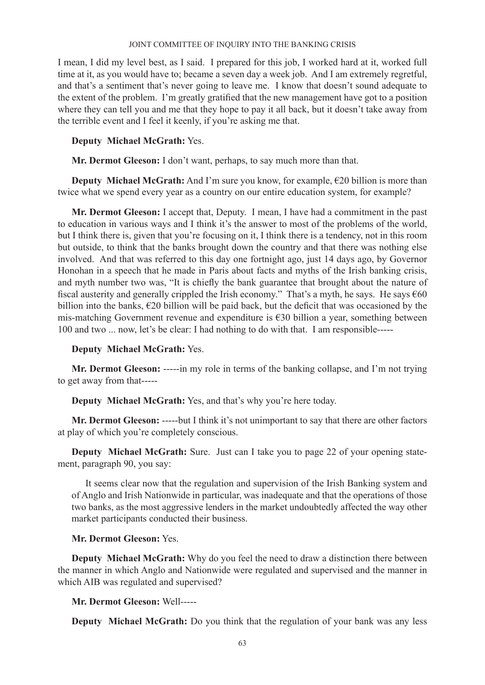I mean, I did my level best, as I said. I prepared for this job, I worked hard at it, worked full time at it, as you would have to; became a seven day a week job. And I am extremely regretful, and that's a sentiment that's never going to leave me. I know that doesn't sound adequate to the extent of the problem. I'm greatly gratified that the new management have got to a position where they can tell you and me that they hope to pay it all back, but it doesn't take away from the terrible event and I feel it keenly, if you're asking me that.

# **Deputy Michael McGrath:** Yes.

**Mr. Dermot Gleeson:** I don't want, perhaps, to say much more than that.

**Deputy Michael McGrath:** And I'm sure you know, for example, €20 billion is more than twice what we spend every year as a country on our entire education system, for example?

**Mr. Dermot Gleeson:** I accept that, Deputy. I mean, I have had a commitment in the past to education in various ways and I think it's the answer to most of the problems of the world, but I think there is, given that you're focusing on it, I think there is a tendency, not in this room but outside, to think that the banks brought down the country and that there was nothing else involved. And that was referred to this day one fortnight ago, just 14 days ago, by Governor Honohan in a speech that he made in Paris about facts and myths of the Irish banking crisis, and myth number two was, "It is chiefly the bank guarantee that brought about the nature of fiscal austerity and generally crippled the Irish economy." That's a myth, he says. He says  $\epsilon$ 60 billion into the banks, €20 billion will be paid back, but the deficit that was occasioned by the mis-matching Government revenue and expenditure is €30 billion a year, something between 100 and two ... now, let's be clear: I had nothing to do with that. I am responsible-----

# **Deputy Michael McGrath:** Yes.

**Mr. Dermot Gleeson:** -----in my role in terms of the banking collapse, and I'm not trying to get away from that-----

**Deputy Michael McGrath:** Yes, and that's why you're here today.

**Mr. Dermot Gleeson:** -----but I think it's not unimportant to say that there are other factors at play of which you're completely conscious.

**Deputy Michael McGrath:** Sure. Just can I take you to page 22 of your opening statement, paragraph 90, you say:

It seems clear now that the regulation and supervision of the Irish Banking system and of Anglo and Irish Nationwide in particular, was inadequate and that the operations of those two banks, as the most aggressive lenders in the market undoubtedly affected the way other market participants conducted their business.

# **Mr. Dermot Gleeson:** Yes.

**Deputy Michael McGrath:** Why do you feel the need to draw a distinction there between the manner in which Anglo and Nationwide were regulated and supervised and the manner in which AIB was regulated and supervised?

**Mr. Dermot Gleeson:** Well-----

**Deputy Michael McGrath:** Do you think that the regulation of your bank was any less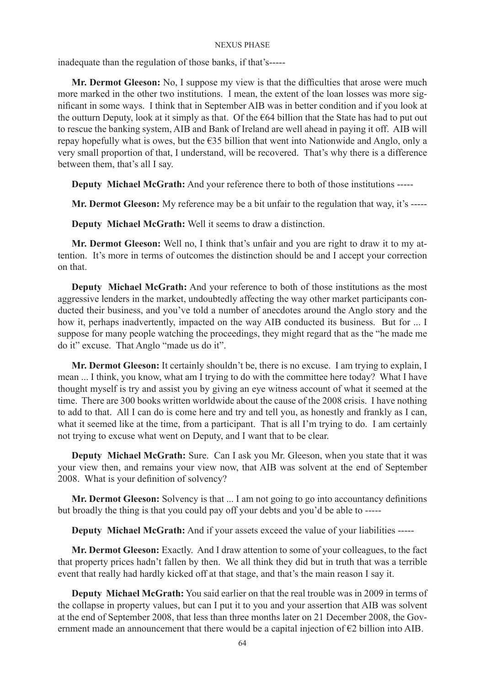inadequate than the regulation of those banks, if that's-----

**Mr. Dermot Gleeson:** No, I suppose my view is that the difficulties that arose were much more marked in the other two institutions. I mean, the extent of the loan losses was more significant in some ways. I think that in September AIB was in better condition and if you look at the outturn Deputy, look at it simply as that. Of the  $\epsilon$ 64 billion that the State has had to put out to rescue the banking system, AIB and Bank of Ireland are well ahead in paying it off. AIB will repay hopefully what is owes, but the €35 billion that went into Nationwide and Anglo, only a very small proportion of that, I understand, will be recovered. That's why there is a difference between them, that's all I say.

**Deputy Michael McGrath:** And your reference there to both of those institutions -----

**Mr. Dermot Gleeson:** My reference may be a bit unfair to the regulation that way, it's -----

**Deputy Michael McGrath:** Well it seems to draw a distinction.

**Mr. Dermot Gleeson:** Well no, I think that's unfair and you are right to draw it to my attention. It's more in terms of outcomes the distinction should be and I accept your correction on that.

**Deputy Michael McGrath:** And your reference to both of those institutions as the most aggressive lenders in the market, undoubtedly affecting the way other market participants conducted their business, and you've told a number of anecdotes around the Anglo story and the how it, perhaps inadvertently, impacted on the way AIB conducted its business. But for ... I suppose for many people watching the proceedings, they might regard that as the "he made me do it" excuse. That Anglo "made us do it".

**Mr. Dermot Gleeson:** It certainly shouldn't be, there is no excuse. I am trying to explain, I mean ... I think, you know, what am I trying to do with the committee here today? What I have thought myself is try and assist you by giving an eye witness account of what it seemed at the time. There are 300 books written worldwide about the cause of the 2008 crisis. I have nothing to add to that. All I can do is come here and try and tell you, as honestly and frankly as I can, what it seemed like at the time, from a participant. That is all I'm trying to do. I am certainly not trying to excuse what went on Deputy, and I want that to be clear.

**Deputy Michael McGrath:** Sure. Can I ask you Mr. Gleeson, when you state that it was your view then, and remains your view now, that AIB was solvent at the end of September 2008. What is your definition of solvency?

**Mr. Dermot Gleeson:** Solvency is that ... I am not going to go into accountancy definitions but broadly the thing is that you could pay off your debts and you'd be able to -----

**Deputy Michael McGrath:** And if your assets exceed the value of your liabilities -----

**Mr. Dermot Gleeson:** Exactly. And I draw attention to some of your colleagues, to the fact that property prices hadn't fallen by then. We all think they did but in truth that was a terrible event that really had hardly kicked off at that stage, and that's the main reason I say it.

**Deputy Michael McGrath:** You said earlier on that the real trouble was in 2009 in terms of the collapse in property values, but can I put it to you and your assertion that AIB was solvent at the end of September 2008, that less than three months later on 21 December 2008, the Government made an announcement that there would be a capital injection of  $\epsilon$ 2 billion into AIB.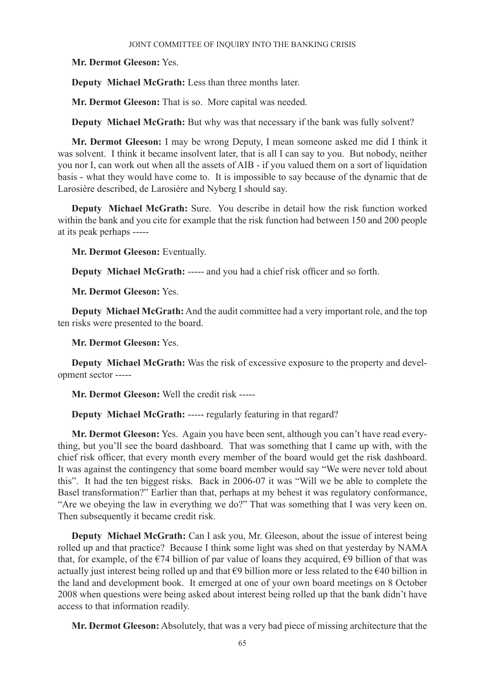**Mr. Dermot Gleeson:** Yes.

**Deputy Michael McGrath:** Less than three months later.

**Mr. Dermot Gleeson:** That is so. More capital was needed.

**Deputy Michael McGrath:** But why was that necessary if the bank was fully solvent?

**Mr. Dermot Gleeson:** I may be wrong Deputy, I mean someone asked me did I think it was solvent. I think it became insolvent later, that is all I can say to you. But nobody, neither you nor I, can work out when all the assets of AIB - if you valued them on a sort of liquidation basis - what they would have come to. It is impossible to say because of the dynamic that de Larosière described, de Larosière and Nyberg I should say.

**Deputy Michael McGrath:** Sure. You describe in detail how the risk function worked within the bank and you cite for example that the risk function had between 150 and 200 people at its peak perhaps -----

**Mr. Dermot Gleeson:** Eventually.

**Deputy Michael McGrath:** ----- and you had a chief risk officer and so forth.

**Mr. Dermot Gleeson:** Yes.

**Deputy Michael McGrath:** And the audit committee had a very important role, and the top ten risks were presented to the board.

**Mr. Dermot Gleeson:** Yes.

**Deputy Michael McGrath:** Was the risk of excessive exposure to the property and development sector -----

**Mr. Dermot Gleeson:** Well the credit risk -----

**Deputy Michael McGrath: -----** regularly featuring in that regard?

**Mr. Dermot Gleeson:** Yes. Again you have been sent, although you can't have read everything, but you'll see the board dashboard. That was something that I came up with, with the chief risk officer, that every month every member of the board would get the risk dashboard. It was against the contingency that some board member would say "We were never told about this". It had the ten biggest risks. Back in 2006-07 it was "Will we be able to complete the Basel transformation?" Earlier than that, perhaps at my behest it was regulatory conformance, "Are we obeying the law in everything we do?" That was something that I was very keen on. Then subsequently it became credit risk.

**Deputy Michael McGrath:** Can I ask you, Mr. Gleeson, about the issue of interest being rolled up and that practice? Because I think some light was shed on that yesterday by NAMA that, for example, of the  $\epsilon$ 74 billion of par value of loans they acquired,  $\epsilon$ 9 billion of that was actually just interest being rolled up and that €9 billion more or less related to the €40 billion in the land and development book. It emerged at one of your own board meetings on 8 October 2008 when questions were being asked about interest being rolled up that the bank didn't have access to that information readily.

**Mr. Dermot Gleeson:** Absolutely, that was a very bad piece of missing architecture that the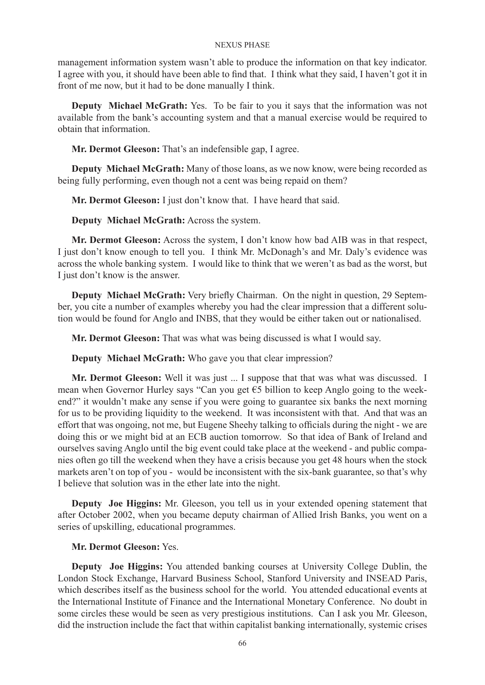management information system wasn't able to produce the information on that key indicator. I agree with you, it should have been able to find that. I think what they said, I haven't got it in front of me now, but it had to be done manually I think.

**Deputy Michael McGrath:** Yes. To be fair to you it says that the information was not available from the bank's accounting system and that a manual exercise would be required to obtain that information.

**Mr. Dermot Gleeson:** That's an indefensible gap, I agree.

**Deputy Michael McGrath:** Many of those loans, as we now know, were being recorded as being fully performing, even though not a cent was being repaid on them?

**Mr. Dermot Gleeson:** I just don't know that. I have heard that said.

**Deputy Michael McGrath:** Across the system.

**Mr. Dermot Gleeson:** Across the system, I don't know how bad AIB was in that respect, I just don't know enough to tell you. I think Mr. McDonagh's and Mr. Daly's evidence was across the whole banking system. I would like to think that we weren't as bad as the worst, but I just don't know is the answer.

**Deputy Michael McGrath:** Very briefly Chairman. On the night in question, 29 September, you cite a number of examples whereby you had the clear impression that a different solution would be found for Anglo and INBS, that they would be either taken out or nationalised.

**Mr. Dermot Gleeson:** That was what was being discussed is what I would say.

**Deputy Michael McGrath:** Who gave you that clear impression?

**Mr. Dermot Gleeson:** Well it was just ... I suppose that that was what was discussed. I mean when Governor Hurley says "Can you get €5 billion to keep Anglo going to the weekend?" it wouldn't make any sense if you were going to guarantee six banks the next morning for us to be providing liquidity to the weekend. It was inconsistent with that. And that was an effort that was ongoing, not me, but Eugene Sheehy talking to officials during the night - we are doing this or we might bid at an ECB auction tomorrow. So that idea of Bank of Ireland and ourselves saving Anglo until the big event could take place at the weekend - and public companies often go till the weekend when they have a crisis because you get 48 hours when the stock markets aren't on top of you - would be inconsistent with the six-bank guarantee, so that's why I believe that solution was in the ether late into the night.

**Deputy Joe Higgins:** Mr. Gleeson, you tell us in your extended opening statement that after October 2002, when you became deputy chairman of Allied Irish Banks, you went on a series of upskilling, educational programmes.

# **Mr. Dermot Gleeson:** Yes.

**Deputy Joe Higgins:** You attended banking courses at University College Dublin, the London Stock Exchange, Harvard Business School, Stanford University and INSEAD Paris, which describes itself as the business school for the world. You attended educational events at the International Institute of Finance and the International Monetary Conference. No doubt in some circles these would be seen as very prestigious institutions. Can I ask you Mr. Gleeson, did the instruction include the fact that within capitalist banking internationally, systemic crises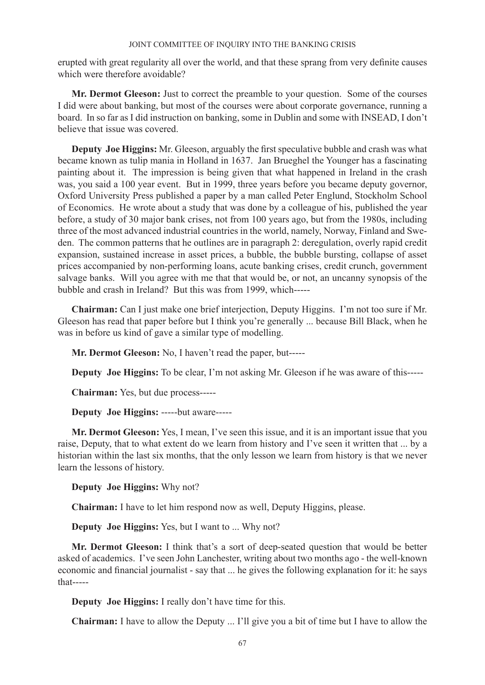erupted with great regularity all over the world, and that these sprang from very definite causes which were therefore avoidable?

**Mr. Dermot Gleeson:** Just to correct the preamble to your question. Some of the courses I did were about banking, but most of the courses were about corporate governance, running a board. In so far as I did instruction on banking, some in Dublin and some with INSEAD, I don't believe that issue was covered.

**Deputy Joe Higgins:** Mr. Gleeson, arguably the first speculative bubble and crash was what became known as tulip mania in Holland in 1637. Jan Brueghel the Younger has a fascinating painting about it. The impression is being given that what happened in Ireland in the crash was, you said a 100 year event. But in 1999, three years before you became deputy governor, Oxford University Press published a paper by a man called Peter Englund, Stockholm School of Economics. He wrote about a study that was done by a colleague of his, published the year before, a study of 30 major bank crises, not from 100 years ago, but from the 1980s, including three of the most advanced industrial countries in the world, namely, Norway, Finland and Sweden. The common patterns that he outlines are in paragraph 2: deregulation, overly rapid credit expansion, sustained increase in asset prices, a bubble, the bubble bursting, collapse of asset prices accompanied by non-performing loans, acute banking crises, credit crunch, government salvage banks. Will you agree with me that that would be, or not, an uncanny synopsis of the bubble and crash in Ireland? But this was from 1999, which-----

**Chairman:** Can I just make one brief interjection, Deputy Higgins. I'm not too sure if Mr. Gleeson has read that paper before but I think you're generally ... because Bill Black, when he was in before us kind of gave a similar type of modelling.

**Mr. Dermot Gleeson:** No, I haven't read the paper, but-----

**Deputy Joe Higgins:** To be clear, I'm not asking Mr. Gleeson if he was aware of this-----

**Chairman:** Yes, but due process-----

**Deputy Joe Higgins:** -----but aware-----

**Mr. Dermot Gleeson:** Yes, I mean, I've seen this issue, and it is an important issue that you raise, Deputy, that to what extent do we learn from history and I've seen it written that ... by a historian within the last six months, that the only lesson we learn from history is that we never learn the lessons of history.

**Deputy Joe Higgins:** Why not?

**Chairman:** I have to let him respond now as well, Deputy Higgins, please.

**Deputy Joe Higgins:** Yes, but I want to ... Why not?

**Mr. Dermot Gleeson:** I think that's a sort of deep-seated question that would be better asked of academics. I've seen John Lanchester, writing about two months ago - the well-known economic and financial journalist - say that ... he gives the following explanation for it: he says that-----

**Deputy Joe Higgins:** I really don't have time for this.

**Chairman:** I have to allow the Deputy ... I'll give you a bit of time but I have to allow the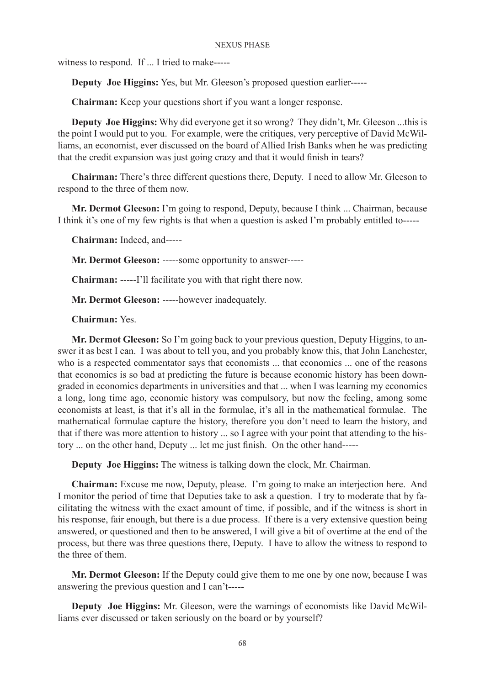witness to respond. If ... I tried to make-----

**Deputy Joe Higgins:** Yes, but Mr. Gleeson's proposed question earlier-----

**Chairman:** Keep your questions short if you want a longer response.

**Deputy Joe Higgins:** Why did everyone get it so wrong? They didn't, Mr. Gleeson ...this is the point I would put to you. For example, were the critiques, very perceptive of David McWilliams, an economist, ever discussed on the board of Allied Irish Banks when he was predicting that the credit expansion was just going crazy and that it would finish in tears?

**Chairman:** There's three different questions there, Deputy. I need to allow Mr. Gleeson to respond to the three of them now.

**Mr. Dermot Gleeson:** I'm going to respond, Deputy, because I think ... Chairman, because I think it's one of my few rights is that when a question is asked I'm probably entitled to-----

**Chairman:** Indeed, and-----

**Mr. Dermot Gleeson:** -----some opportunity to answer-----

**Chairman:** -----I'll facilitate you with that right there now.

**Mr. Dermot Gleeson:** -----however inadequately.

**Chairman:** Yes.

**Mr. Dermot Gleeson:** So I'm going back to your previous question, Deputy Higgins, to answer it as best I can. I was about to tell you, and you probably know this, that John Lanchester, who is a respected commentator says that economists ... that economics ... one of the reasons that economics is so bad at predicting the future is because economic history has been downgraded in economics departments in universities and that ... when I was learning my economics a long, long time ago, economic history was compulsory, but now the feeling, among some economists at least, is that it's all in the formulae, it's all in the mathematical formulae. The mathematical formulae capture the history, therefore you don't need to learn the history, and that if there was more attention to history ... so I agree with your point that attending to the history ... on the other hand, Deputy ... let me just finish. On the other hand-----

**Deputy Joe Higgins:** The witness is talking down the clock, Mr. Chairman.

**Chairman:** Excuse me now, Deputy, please. I'm going to make an interjection here. And I monitor the period of time that Deputies take to ask a question. I try to moderate that by facilitating the witness with the exact amount of time, if possible, and if the witness is short in his response, fair enough, but there is a due process. If there is a very extensive question being answered, or questioned and then to be answered, I will give a bit of overtime at the end of the process, but there was three questions there, Deputy. I have to allow the witness to respond to the three of them.

**Mr. Dermot Gleeson:** If the Deputy could give them to me one by one now, because I was answering the previous question and I can't-----

**Deputy Joe Higgins:** Mr. Gleeson, were the warnings of economists like David McWilliams ever discussed or taken seriously on the board or by yourself?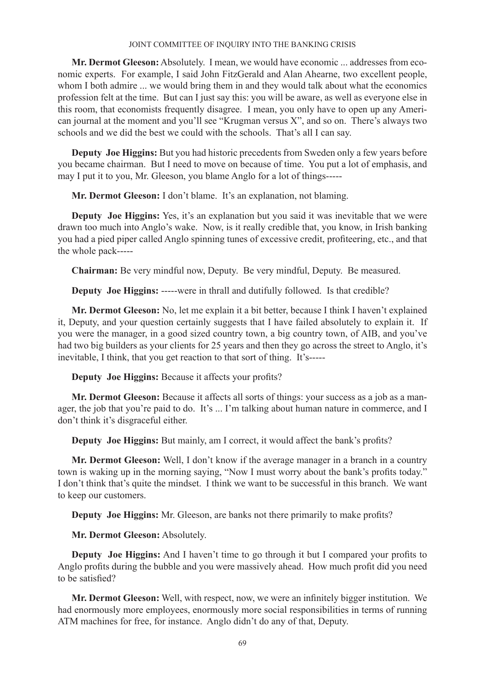**Mr. Dermot Gleeson:** Absolutely. I mean, we would have economic ... addresses from economic experts. For example, I said John FitzGerald and Alan Ahearne, two excellent people, whom I both admire ... we would bring them in and they would talk about what the economics profession felt at the time. But can I just say this: you will be aware, as well as everyone else in this room, that economists frequently disagree. I mean, you only have to open up any American journal at the moment and you'll see "Krugman versus X", and so on. There's always two schools and we did the best we could with the schools. That's all I can say.

**Deputy Joe Higgins:** But you had historic precedents from Sweden only a few years before you became chairman. But I need to move on because of time. You put a lot of emphasis, and may I put it to you, Mr. Gleeson, you blame Anglo for a lot of things-----

**Mr. Dermot Gleeson:** I don't blame. It's an explanation, not blaming.

**Deputy Joe Higgins:** Yes, it's an explanation but you said it was inevitable that we were drawn too much into Anglo's wake. Now, is it really credible that, you know, in Irish banking you had a pied piper called Anglo spinning tunes of excessive credit, profiteering, etc., and that the whole pack-----

**Chairman:** Be very mindful now, Deputy. Be very mindful, Deputy. Be measured.

**Deputy Joe Higgins:** -----were in thrall and dutifully followed. Is that credible?

**Mr. Dermot Gleeson:** No, let me explain it a bit better, because I think I haven't explained it, Deputy, and your question certainly suggests that I have failed absolutely to explain it. If you were the manager, in a good sized country town, a big country town, of AIB, and you've had two big builders as your clients for 25 years and then they go across the street to Anglo, it's inevitable, I think, that you get reaction to that sort of thing. It's-----

**Deputy Joe Higgins:** Because it affects your profits?

**Mr. Dermot Gleeson:** Because it affects all sorts of things: your success as a job as a manager, the job that you're paid to do. It's ... I'm talking about human nature in commerce, and I don't think it's disgraceful either.

**Deputy Joe Higgins:** But mainly, am I correct, it would affect the bank's profits?

**Mr. Dermot Gleeson:** Well, I don't know if the average manager in a branch in a country town is waking up in the morning saying, "Now I must worry about the bank's profits today." I don't think that's quite the mindset. I think we want to be successful in this branch. We want to keep our customers.

**Deputy Joe Higgins:** Mr. Gleeson, are banks not there primarily to make profits?

**Mr. Dermot Gleeson:** Absolutely.

**Deputy Joe Higgins:** And I haven't time to go through it but I compared your profits to Anglo profits during the bubble and you were massively ahead. How much profit did you need to be satisfied?

**Mr. Dermot Gleeson:** Well, with respect, now, we were an infinitely bigger institution. We had enormously more employees, enormously more social responsibilities in terms of running ATM machines for free, for instance. Anglo didn't do any of that, Deputy.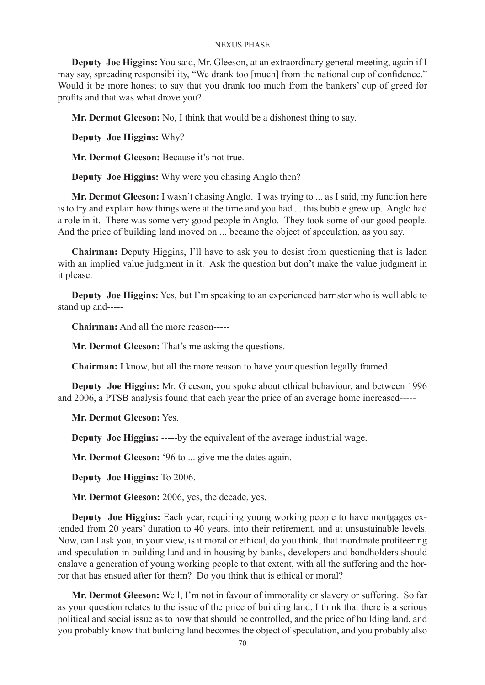**Deputy Joe Higgins:** You said, Mr. Gleeson, at an extraordinary general meeting, again if I may say, spreading responsibility, "We drank too [much] from the national cup of confidence." Would it be more honest to say that you drank too much from the bankers' cup of greed for profits and that was what drove you?

**Mr. Dermot Gleeson:** No, I think that would be a dishonest thing to say.

**Deputy Joe Higgins:** Why?

**Mr. Dermot Gleeson:** Because it's not true.

**Deputy Joe Higgins:** Why were you chasing Anglo then?

**Mr. Dermot Gleeson:** I wasn't chasing Anglo. I was trying to ... as I said, my function here is to try and explain how things were at the time and you had ... this bubble grew up. Anglo had a role in it. There was some very good people in Anglo. They took some of our good people. And the price of building land moved on ... became the object of speculation, as you say.

**Chairman:** Deputy Higgins, I'll have to ask you to desist from questioning that is laden with an implied value judgment in it. Ask the question but don't make the value judgment in it please.

**Deputy Joe Higgins:** Yes, but I'm speaking to an experienced barrister who is well able to stand up and-----

**Chairman:** And all the more reason-----

**Mr. Dermot Gleeson:** That's me asking the questions.

**Chairman:** I know, but all the more reason to have your question legally framed.

**Deputy Joe Higgins:** Mr. Gleeson, you spoke about ethical behaviour, and between 1996 and 2006, a PTSB analysis found that each year the price of an average home increased-----

**Mr. Dermot Gleeson:** Yes.

**Deputy Joe Higgins:** -----by the equivalent of the average industrial wage.

**Mr. Dermot Gleeson:** '96 to ... give me the dates again.

**Deputy Joe Higgins:** To 2006.

**Mr. Dermot Gleeson:** 2006, yes, the decade, yes.

**Deputy Joe Higgins:** Each year, requiring young working people to have mortgages extended from 20 years' duration to 40 years, into their retirement, and at unsustainable levels. Now, can I ask you, in your view, is it moral or ethical, do you think, that inordinate profiteering and speculation in building land and in housing by banks, developers and bondholders should enslave a generation of young working people to that extent, with all the suffering and the horror that has ensued after for them? Do you think that is ethical or moral?

**Mr. Dermot Gleeson:** Well, I'm not in favour of immorality or slavery or suffering. So far as your question relates to the issue of the price of building land, I think that there is a serious political and social issue as to how that should be controlled, and the price of building land, and you probably know that building land becomes the object of speculation, and you probably also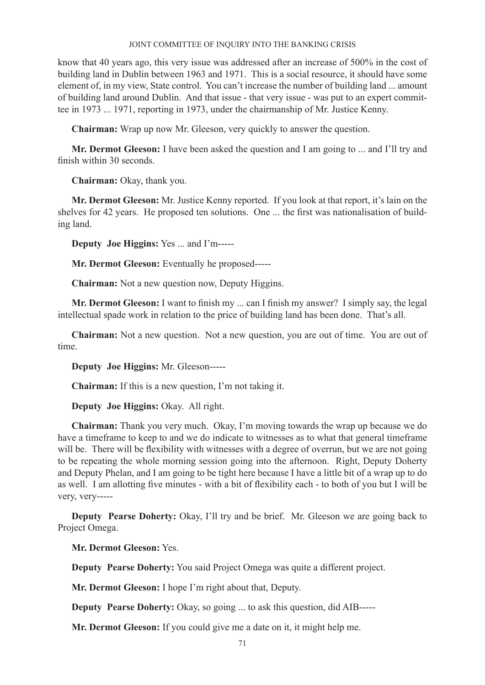know that 40 years ago, this very issue was addressed after an increase of 500% in the cost of building land in Dublin between 1963 and 1971. This is a social resource, it should have some element of, in my view, State control. You can't increase the number of building land ... amount of building land around Dublin. And that issue - that very issue - was put to an expert committee in 1973 ... 1971, reporting in 1973, under the chairmanship of Mr. Justice Kenny.

**Chairman:** Wrap up now Mr. Gleeson, very quickly to answer the question.

**Mr. Dermot Gleeson:** I have been asked the question and I am going to ... and I'll try and finish within 30 seconds.

**Chairman:** Okay, thank you.

**Mr. Dermot Gleeson:** Mr. Justice Kenny reported. If you look at that report, it's lain on the shelves for 42 years. He proposed ten solutions. One ... the first was nationalisation of building land.

**Deputy Joe Higgins:** Yes ... and I'm-----

**Mr. Dermot Gleeson:** Eventually he proposed-----

**Chairman:** Not a new question now, Deputy Higgins.

**Mr. Dermot Gleeson:** I want to finish my ... can I finish my answer? I simply say, the legal intellectual spade work in relation to the price of building land has been done. That's all.

**Chairman:** Not a new question. Not a new question, you are out of time. You are out of time.

**Deputy Joe Higgins:** Mr. Gleeson-----

**Chairman:** If this is a new question, I'm not taking it.

**Deputy Joe Higgins:** Okay. All right.

**Chairman:** Thank you very much. Okay, I'm moving towards the wrap up because we do have a timeframe to keep to and we do indicate to witnesses as to what that general timeframe will be. There will be flexibility with witnesses with a degree of overrun, but we are not going to be repeating the whole morning session going into the afternoon. Right, Deputy Doherty and Deputy Phelan, and I am going to be tight here because I have a little bit of a wrap up to do as well. I am allotting five minutes - with a bit of flexibility each - to both of you but I will be very, very-----

**Deputy Pearse Doherty:** Okay, I'll try and be brief. Mr. Gleeson we are going back to Project Omega.

**Mr. Dermot Gleeson:** Yes.

**Deputy Pearse Doherty:** You said Project Omega was quite a different project.

**Mr. Dermot Gleeson:** I hope I'm right about that, Deputy.

**Deputy Pearse Doherty:** Okay, so going ... to ask this question, did AIB-----

**Mr. Dermot Gleeson:** If you could give me a date on it, it might help me.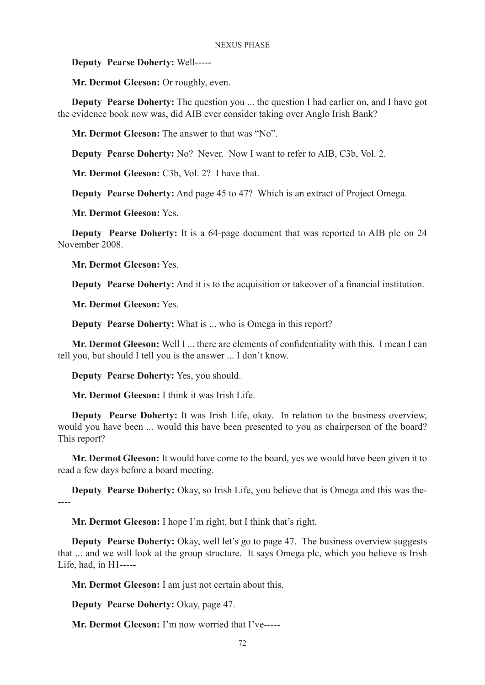**Deputy Pearse Doherty:** Well-----

**Mr. Dermot Gleeson:** Or roughly, even.

**Deputy Pearse Doherty:** The question you ... the question I had earlier on, and I have got the evidence book now was, did AIB ever consider taking over Anglo Irish Bank?

**Mr. Dermot Gleeson:** The answer to that was "No".

**Deputy Pearse Doherty:** No? Never. Now I want to refer to AIB, C3b, Vol. 2.

**Mr. Dermot Gleeson:** C3b, Vol. 2? I have that.

**Deputy Pearse Doherty:** And page 45 to 47? Which is an extract of Project Omega.

**Mr. Dermot Gleeson:** Yes.

**Deputy Pearse Doherty:** It is a 64-page document that was reported to AIB plc on 24 November 2008.

**Mr. Dermot Gleeson:** Yes.

**Deputy Pearse Doherty:** And it is to the acquisition or takeover of a financial institution.

**Mr. Dermot Gleeson:** Yes.

**Deputy Pearse Doherty:** What is ... who is Omega in this report?

**Mr. Dermot Gleeson:** Well I ... there are elements of confidentiality with this. I mean I can tell you, but should I tell you is the answer ... I don't know.

**Deputy Pearse Doherty:** Yes, you should.

**Mr. Dermot Gleeson:** I think it was Irish Life.

**Deputy Pearse Doherty:** It was Irish Life, okay. In relation to the business overview, would you have been ... would this have been presented to you as chairperson of the board? This report?

**Mr. Dermot Gleeson:** It would have come to the board, yes we would have been given it to read a few days before a board meeting.

**Deputy Pearse Doherty:** Okay, so Irish Life, you believe that is Omega and this was the- ----

**Mr. Dermot Gleeson:** I hope I'm right, but I think that's right.

**Deputy Pearse Doherty:** Okay, well let's go to page 47. The business overview suggests that ... and we will look at the group structure. It says Omega plc, which you believe is Irish Life, had, in H1-----

**Mr. Dermot Gleeson:** I am just not certain about this.

**Deputy Pearse Doherty:** Okay, page 47.

**Mr. Dermot Gleeson:** I'm now worried that I've-----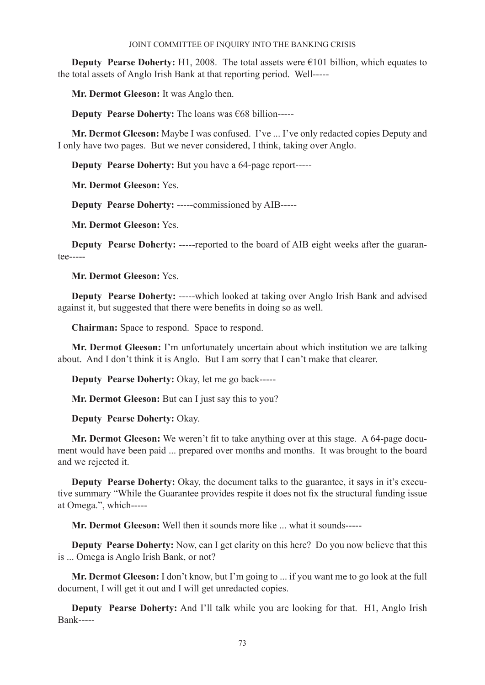## JOINT COMMITTEE OF INQUIRY INTO THE BANKING CRISIS

**Deputy Pearse Doherty:** H1, 2008. The total assets were €101 billion, which equates to the total assets of Anglo Irish Bank at that reporting period. Well-----

**Mr. Dermot Gleeson:** It was Anglo then.

**Deputy Pearse Doherty:** The loans was €68 billion-----

**Mr. Dermot Gleeson:** Maybe I was confused. I've ... I've only redacted copies Deputy and I only have two pages. But we never considered, I think, taking over Anglo.

**Deputy Pearse Doherty:** But you have a 64-page report-----

**Mr. Dermot Gleeson:** Yes.

**Deputy Pearse Doherty:** -----commissioned by AIB-----

**Mr. Dermot Gleeson:** Yes.

**Deputy Pearse Doherty:** -----reported to the board of AIB eight weeks after the guarantee-----

**Mr. Dermot Gleeson:** Yes.

**Deputy Pearse Doherty:** -----which looked at taking over Anglo Irish Bank and advised against it, but suggested that there were benefits in doing so as well.

**Chairman:** Space to respond. Space to respond.

**Mr. Dermot Gleeson:** I'm unfortunately uncertain about which institution we are talking about. And I don't think it is Anglo. But I am sorry that I can't make that clearer.

**Deputy Pearse Doherty:** Okay, let me go back-----

**Mr. Dermot Gleeson:** But can I just say this to you?

**Deputy Pearse Doherty:** Okay.

**Mr. Dermot Gleeson:** We weren't fit to take anything over at this stage. A 64-page document would have been paid ... prepared over months and months. It was brought to the board and we rejected it.

**Deputy Pearse Doherty:** Okay, the document talks to the guarantee, it says in it's executive summary "While the Guarantee provides respite it does not fix the structural funding issue at Omega.", which-----

**Mr. Dermot Gleeson:** Well then it sounds more like ... what it sounds-----

**Deputy Pearse Doherty:** Now, can I get clarity on this here? Do you now believe that this is ... Omega is Anglo Irish Bank, or not?

**Mr. Dermot Gleeson:** I don't know, but I'm going to ... if you want me to go look at the full document, I will get it out and I will get unredacted copies.

**Deputy Pearse Doherty:** And I'll talk while you are looking for that. H1, Anglo Irish Bank-----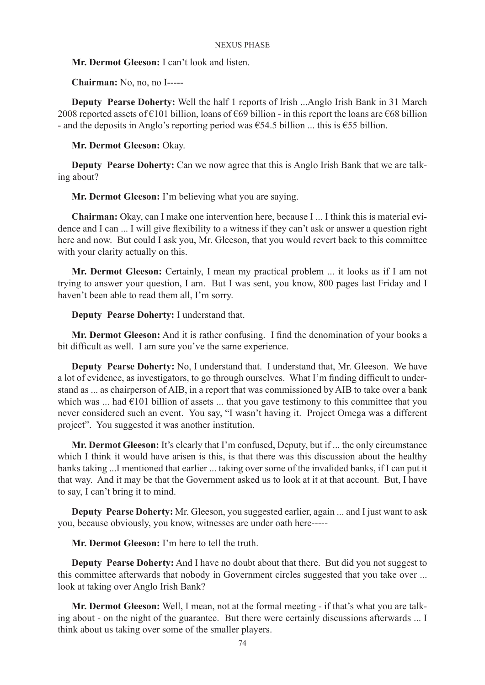**Mr. Dermot Gleeson:** I can't look and listen.

**Chairman:** No, no, no I-----

**Deputy Pearse Doherty:** Well the half 1 reports of Irish ...Anglo Irish Bank in 31 March 2008 reported assets of €101 billion, loans of €69 billion - in this report the loans are €68 billion - and the deposits in Anglo's reporting period was  $\epsilon$ 54.5 billion ... this is  $\epsilon$ 55 billion.

**Mr. Dermot Gleeson:** Okay.

**Deputy Pearse Doherty:** Can we now agree that this is Anglo Irish Bank that we are talking about?

**Mr. Dermot Gleeson:** I'm believing what you are saying.

**Chairman:** Okay, can I make one intervention here, because I ... I think this is material evidence and I can ... I will give flexibility to a witness if they can't ask or answer a question right here and now. But could I ask you, Mr. Gleeson, that you would revert back to this committee with your clarity actually on this.

**Mr. Dermot Gleeson:** Certainly, I mean my practical problem ... it looks as if I am not trying to answer your question, I am. But I was sent, you know, 800 pages last Friday and I haven't been able to read them all, I'm sorry.

**Deputy Pearse Doherty:** I understand that.

**Mr. Dermot Gleeson:** And it is rather confusing. I find the denomination of your books a bit difficult as well. I am sure you've the same experience.

**Deputy Pearse Doherty:** No, I understand that. I understand that, Mr. Gleeson. We have a lot of evidence, as investigators, to go through ourselves. What I'm finding difficult to understand as ... as chairperson of AIB, in a report that was commissioned by AIB to take over a bank which was ... had  $E101$  billion of assets ... that you gave testimony to this committee that you never considered such an event. You say, "I wasn't having it. Project Omega was a different project". You suggested it was another institution.

**Mr. Dermot Gleeson:** It's clearly that I'm confused, Deputy, but if ... the only circumstance which I think it would have arisen is this, is that there was this discussion about the healthy banks taking ...I mentioned that earlier ... taking over some of the invalided banks, if I can put it that way. And it may be that the Government asked us to look at it at that account. But, I have to say, I can't bring it to mind.

**Deputy Pearse Doherty:** Mr. Gleeson, you suggested earlier, again ... and I just want to ask you, because obviously, you know, witnesses are under oath here-----

**Mr. Dermot Gleeson:** I'm here to tell the truth.

**Deputy Pearse Doherty:** And I have no doubt about that there. But did you not suggest to this committee afterwards that nobody in Government circles suggested that you take over ... look at taking over Anglo Irish Bank?

**Mr. Dermot Gleeson:** Well, I mean, not at the formal meeting - if that's what you are talking about - on the night of the guarantee. But there were certainly discussions afterwards ... I think about us taking over some of the smaller players.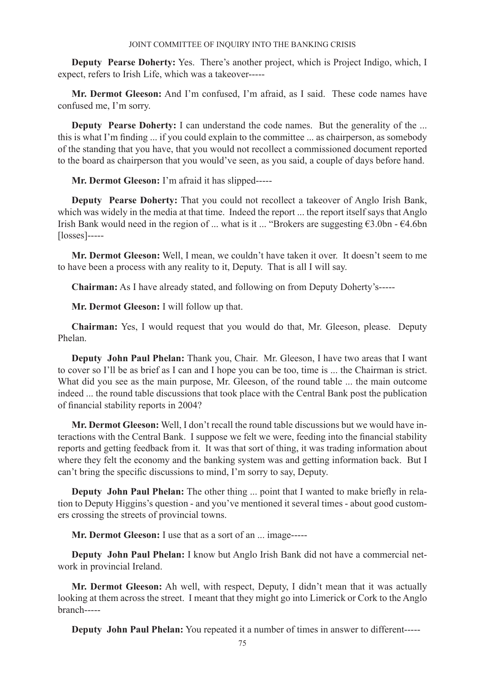**Deputy Pearse Doherty:** Yes. There's another project, which is Project Indigo, which, I expect, refers to Irish Life, which was a takeover-----

**Mr. Dermot Gleeson:** And I'm confused, I'm afraid, as I said. These code names have confused me, I'm sorry.

**Deputy Pearse Doherty:** I can understand the code names. But the generality of the ... this is what I'm finding ... if you could explain to the committee ... as chairperson, as somebody of the standing that you have, that you would not recollect a commissioned document reported to the board as chairperson that you would've seen, as you said, a couple of days before hand.

**Mr. Dermot Gleeson:** I'm afraid it has slipped-----

**Deputy Pearse Doherty:** That you could not recollect a takeover of Anglo Irish Bank, which was widely in the media at that time. Indeed the report ... the report itself says that Anglo Irish Bank would need in the region of ... what is it ... "Brokers are suggesting  $\epsilon$ 3.0bn -  $\epsilon$ 4.6bn [losses]-----

**Mr. Dermot Gleeson:** Well, I mean, we couldn't have taken it over. It doesn't seem to me to have been a process with any reality to it, Deputy. That is all I will say.

**Chairman:** As I have already stated, and following on from Deputy Doherty's-----

**Mr. Dermot Gleeson:** I will follow up that.

**Chairman:** Yes, I would request that you would do that, Mr. Gleeson, please. Deputy Phelan.

**Deputy John Paul Phelan:** Thank you, Chair. Mr. Gleeson, I have two areas that I want to cover so I'll be as brief as I can and I hope you can be too, time is ... the Chairman is strict. What did you see as the main purpose, Mr. Gleeson, of the round table ... the main outcome indeed ... the round table discussions that took place with the Central Bank post the publication of financial stability reports in 2004?

**Mr. Dermot Gleeson:** Well, I don't recall the round table discussions but we would have interactions with the Central Bank. I suppose we felt we were, feeding into the financial stability reports and getting feedback from it. It was that sort of thing, it was trading information about where they felt the economy and the banking system was and getting information back. But I can't bring the specific discussions to mind, I'm sorry to say, Deputy.

**Deputy John Paul Phelan:** The other thing ... point that I wanted to make briefly in relation to Deputy Higgins's question - and you've mentioned it several times - about good customers crossing the streets of provincial towns.

**Mr. Dermot Gleeson:** I use that as a sort of an ... image-----

**Deputy John Paul Phelan:** I know but Anglo Irish Bank did not have a commercial network in provincial Ireland.

**Mr. Dermot Gleeson:** Ah well, with respect, Deputy, I didn't mean that it was actually looking at them across the street. I meant that they might go into Limerick or Cork to the Anglo branch-----

**Deputy John Paul Phelan:** You repeated it a number of times in answer to different-----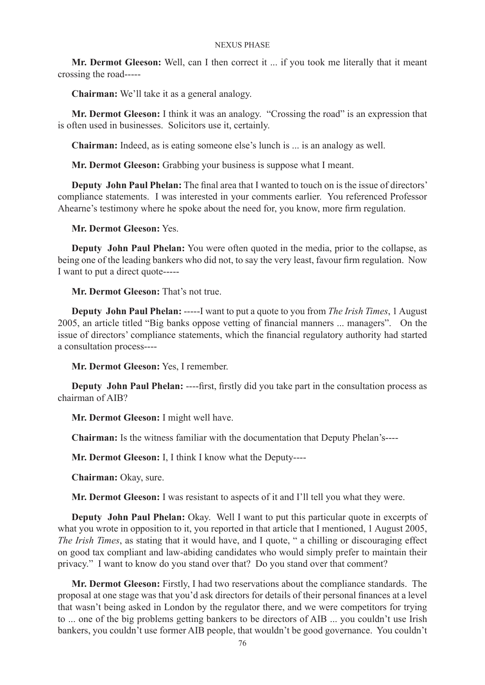**Mr. Dermot Gleeson:** Well, can I then correct it ... if you took me literally that it meant crossing the road-----

**Chairman:** We'll take it as a general analogy.

**Mr. Dermot Gleeson:** I think it was an analogy. "Crossing the road" is an expression that is often used in businesses. Solicitors use it, certainly.

**Chairman:** Indeed, as is eating someone else's lunch is ... is an analogy as well.

**Mr. Dermot Gleeson:** Grabbing your business is suppose what I meant.

**Deputy John Paul Phelan:** The final area that I wanted to touch on is the issue of directors' compliance statements. I was interested in your comments earlier. You referenced Professor Ahearne's testimony where he spoke about the need for, you know, more firm regulation.

**Mr. Dermot Gleeson:** Yes.

**Deputy John Paul Phelan:** You were often quoted in the media, prior to the collapse, as being one of the leading bankers who did not, to say the very least, favour firm regulation. Now I want to put a direct quote-----

**Mr. Dermot Gleeson:** That's not true.

**Deputy John Paul Phelan:** -----I want to put a quote to you from *The Irish Times*, 1 August 2005, an article titled "Big banks oppose vetting of financial manners ... managers". On the issue of directors' compliance statements, which the financial regulatory authority had started a consultation process----

**Mr. Dermot Gleeson:** Yes, I remember.

**Deputy John Paul Phelan:** ----first, firstly did you take part in the consultation process as chairman of AIB?

**Mr. Dermot Gleeson:** I might well have.

**Chairman:** Is the witness familiar with the documentation that Deputy Phelan's----

**Mr. Dermot Gleeson:** I, I think I know what the Deputy----

**Chairman:** Okay, sure.

**Mr. Dermot Gleeson:** I was resistant to aspects of it and I'll tell you what they were.

**Deputy John Paul Phelan:** Okay. Well I want to put this particular quote in excerpts of what you wrote in opposition to it, you reported in that article that I mentioned, 1 August 2005, *The Irish Times*, as stating that it would have, and I quote, " a chilling or discouraging effect on good tax compliant and law-abiding candidates who would simply prefer to maintain their privacy." I want to know do you stand over that? Do you stand over that comment?

**Mr. Dermot Gleeson:** Firstly, I had two reservations about the compliance standards. The proposal at one stage was that you'd ask directors for details of their personal finances at a level that wasn't being asked in London by the regulator there, and we were competitors for trying to ... one of the big problems getting bankers to be directors of AIB ... you couldn't use Irish bankers, you couldn't use former AIB people, that wouldn't be good governance. You couldn't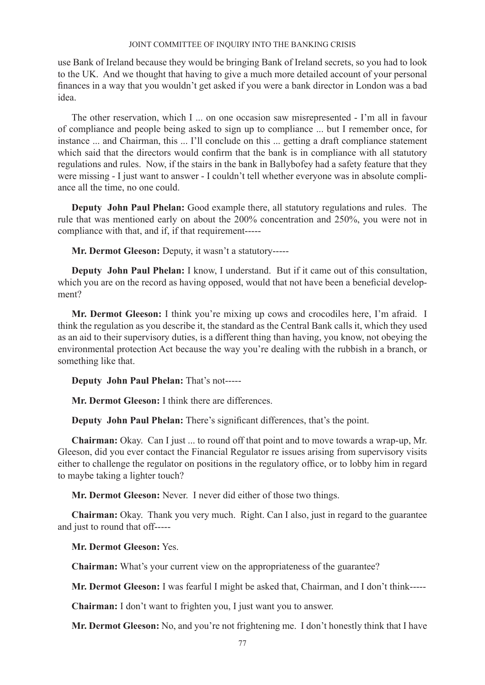## JOINT COMMITTEE OF INQUIRY INTO THE BANKING CRISIS

use Bank of Ireland because they would be bringing Bank of Ireland secrets, so you had to look to the UK. And we thought that having to give a much more detailed account of your personal finances in a way that you wouldn't get asked if you were a bank director in London was a bad idea.

The other reservation, which I ... on one occasion saw misrepresented - I'm all in favour of compliance and people being asked to sign up to compliance ... but I remember once, for instance ... and Chairman, this ... I'll conclude on this ... getting a draft compliance statement which said that the directors would confirm that the bank is in compliance with all statutory regulations and rules. Now, if the stairs in the bank in Ballybofey had a safety feature that they were missing - I just want to answer - I couldn't tell whether everyone was in absolute compliance all the time, no one could.

**Deputy John Paul Phelan:** Good example there, all statutory regulations and rules. The rule that was mentioned early on about the 200% concentration and 250%, you were not in compliance with that, and if, if that requirement-----

**Mr. Dermot Gleeson:** Deputy, it wasn't a statutory-----

**Deputy John Paul Phelan:** I know, I understand. But if it came out of this consultation, which you are on the record as having opposed, would that not have been a beneficial development?

**Mr. Dermot Gleeson:** I think you're mixing up cows and crocodiles here, I'm afraid. I think the regulation as you describe it, the standard as the Central Bank calls it, which they used as an aid to their supervisory duties, is a different thing than having, you know, not obeying the environmental protection Act because the way you're dealing with the rubbish in a branch, or something like that.

**Deputy John Paul Phelan:** That's not-----

**Mr. Dermot Gleeson:** I think there are differences.

**Deputy John Paul Phelan:** There's significant differences, that's the point.

**Chairman:** Okay. Can I just ... to round off that point and to move towards a wrap-up, Mr. Gleeson, did you ever contact the Financial Regulator re issues arising from supervisory visits either to challenge the regulator on positions in the regulatory office, or to lobby him in regard to maybe taking a lighter touch?

**Mr. Dermot Gleeson:** Never. I never did either of those two things.

**Chairman:** Okay. Thank you very much. Right. Can I also, just in regard to the guarantee and just to round that off-----

**Mr. Dermot Gleeson:** Yes.

**Chairman:** What's your current view on the appropriateness of the guarantee?

**Mr. Dermot Gleeson:** I was fearful I might be asked that, Chairman, and I don't think-----

**Chairman:** I don't want to frighten you, I just want you to answer.

**Mr. Dermot Gleeson:** No, and you're not frightening me. I don't honestly think that I have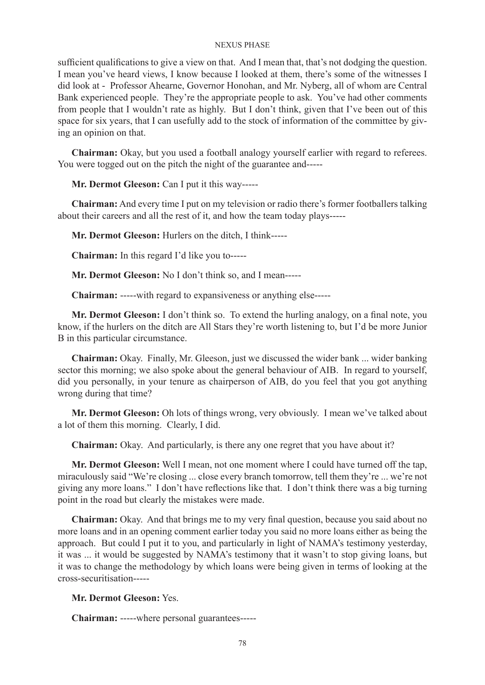#### Nexus Phase

sufficient qualifications to give a view on that. And I mean that, that's not dodging the question. I mean you've heard views, I know because I looked at them, there's some of the witnesses I did look at - Professor Ahearne, Governor Honohan, and Mr. Nyberg, all of whom are Central Bank experienced people. They're the appropriate people to ask. You've had other comments from people that I wouldn't rate as highly. But I don't think, given that I've been out of this space for six years, that I can usefully add to the stock of information of the committee by giving an opinion on that.

**Chairman:** Okay, but you used a football analogy yourself earlier with regard to referees. You were togged out on the pitch the night of the guarantee and-----

**Mr. Dermot Gleeson:** Can I put it this way-----

**Chairman:** And every time I put on my television or radio there's former footballers talking about their careers and all the rest of it, and how the team today plays-----

**Mr. Dermot Gleeson:** Hurlers on the ditch, I think-----

**Chairman:** In this regard I'd like you to-----

**Mr. Dermot Gleeson:** No I don't think so, and I mean-----

**Chairman:** -----with regard to expansiveness or anything else-----

**Mr. Dermot Gleeson:** I don't think so. To extend the hurling analogy, on a final note, you know, if the hurlers on the ditch are All Stars they're worth listening to, but I'd be more Junior B in this particular circumstance.

**Chairman:** Okay. Finally, Mr. Gleeson, just we discussed the wider bank ... wider banking sector this morning; we also spoke about the general behaviour of AIB. In regard to yourself, did you personally, in your tenure as chairperson of AIB, do you feel that you got anything wrong during that time?

**Mr. Dermot Gleeson:** Oh lots of things wrong, very obviously. I mean we've talked about a lot of them this morning. Clearly, I did.

**Chairman:** Okay. And particularly, is there any one regret that you have about it?

**Mr. Dermot Gleeson:** Well I mean, not one moment where I could have turned off the tap, miraculously said "We're closing ... close every branch tomorrow, tell them they're ... we're not giving any more loans." I don't have reflections like that. I don't think there was a big turning point in the road but clearly the mistakes were made.

**Chairman:** Okay. And that brings me to my very final question, because you said about no more loans and in an opening comment earlier today you said no more loans either as being the approach. But could I put it to you, and particularly in light of NAMA's testimony yesterday, it was ... it would be suggested by NAMA's testimony that it wasn't to stop giving loans, but it was to change the methodology by which loans were being given in terms of looking at the cross-securitisation-----

**Mr. Dermot Gleeson:** Yes.

**Chairman:** -----where personal guarantees-----